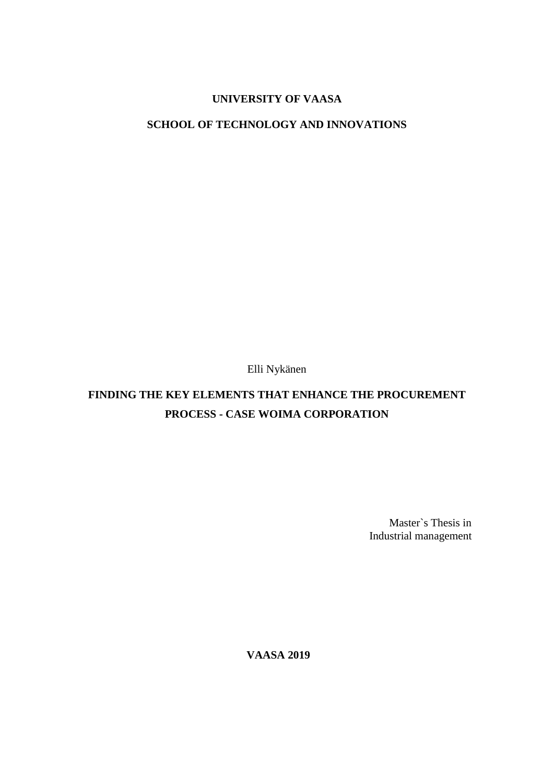# **UNIVERSITY OF VAASA**

## **SCHOOL OF TECHNOLOGY AND INNOVATIONS**

Elli Nykänen

# **FINDING THE KEY ELEMENTS THAT ENHANCE THE PROCUREMENT PROCESS - CASE WOIMA CORPORATION**

Master`s Thesis in Industrial management

**VAASA 2019**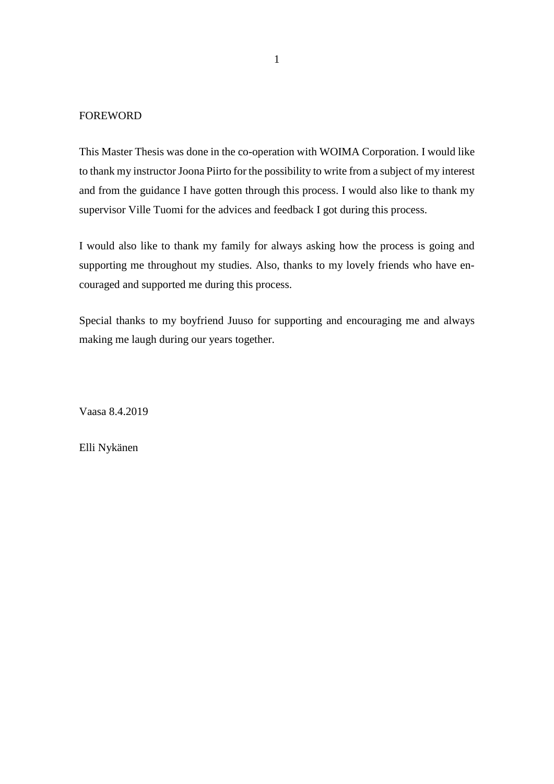### FOREWORD

This Master Thesis was done in the co-operation with WOIMA Corporation. I would like to thank my instructor Joona Piirto for the possibility to write from a subject of my interest and from the guidance I have gotten through this process. I would also like to thank my supervisor Ville Tuomi for the advices and feedback I got during this process.

I would also like to thank my family for always asking how the process is going and supporting me throughout my studies. Also, thanks to my lovely friends who have encouraged and supported me during this process.

Special thanks to my boyfriend Juuso for supporting and encouraging me and always making me laugh during our years together.

Vaasa 8.4.2019

Elli Nykänen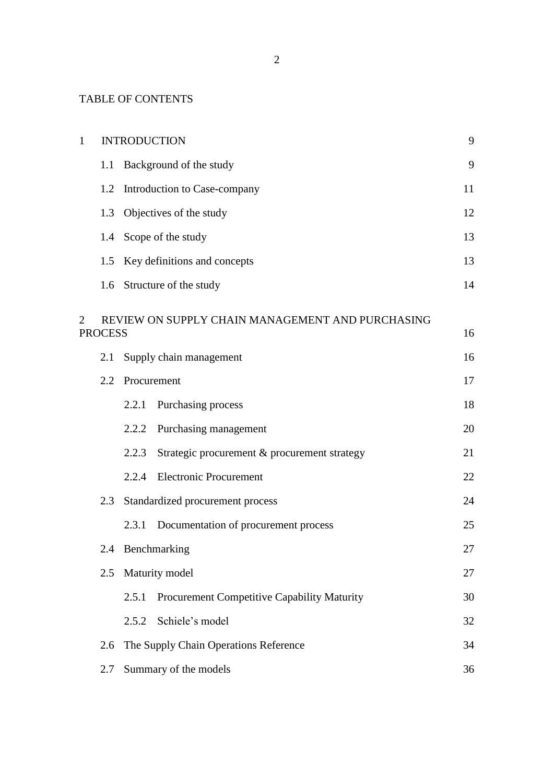# TABLE OF CONTENTS

| $\mathbf{1}$   | <b>INTRODUCTION</b>            |                                                       |    |  |  |
|----------------|--------------------------------|-------------------------------------------------------|----|--|--|
|                | 1.1                            | Background of the study                               | 9  |  |  |
|                | 1.2                            | Introduction to Case-company                          | 11 |  |  |
|                | Objectives of the study<br>1.3 |                                                       |    |  |  |
|                | 1.4                            | Scope of the study                                    |    |  |  |
|                | 1.5                            | Key definitions and concepts                          | 13 |  |  |
|                | 1.6                            | Structure of the study                                | 14 |  |  |
| $\overline{2}$ | <b>PROCESS</b>                 | REVIEW ON SUPPLY CHAIN MANAGEMENT AND PURCHASING      | 16 |  |  |
|                | 2.1                            | Supply chain management                               | 16 |  |  |
|                |                                | 2.2 Procurement                                       | 17 |  |  |
|                |                                | Purchasing process<br>2.2.1                           | 18 |  |  |
|                |                                | Purchasing management<br>2.2.2                        | 20 |  |  |
|                |                                | 2.2.3<br>Strategic procurement & procurement strategy | 21 |  |  |
|                |                                | <b>Electronic Procurement</b><br>2.2.4                | 22 |  |  |
|                | 2.3                            | Standardized procurement process                      |    |  |  |
|                |                                | Documentation of procurement process<br>2.3.1         | 25 |  |  |
|                | 2.4                            | Benchmarking                                          | 27 |  |  |
|                | 2.5                            | Maturity model                                        | 27 |  |  |
|                |                                | Procurement Competitive Capability Maturity<br>2.5.1  | 30 |  |  |
|                |                                | Schiele's model<br>2.5.2                              | 32 |  |  |
|                | 2.6                            | The Supply Chain Operations Reference                 | 34 |  |  |
|                | 2.7                            | Summary of the models                                 | 36 |  |  |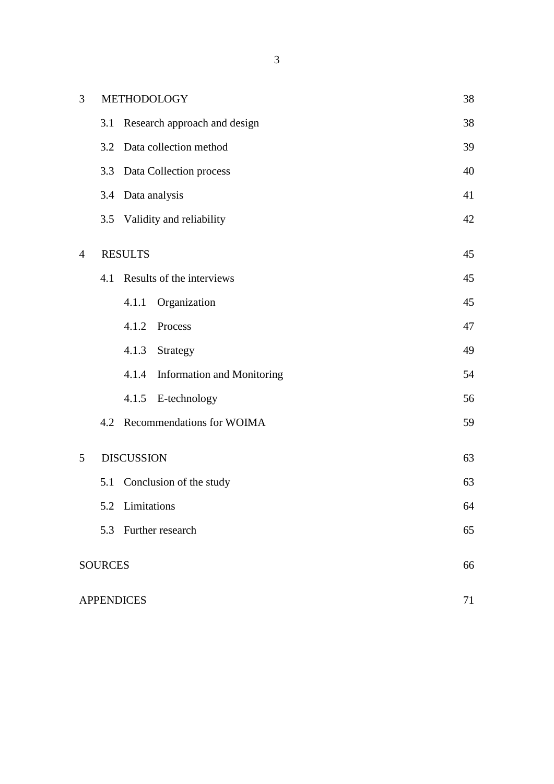| 3              |                | METHODOLOGY                                | 38 |
|----------------|----------------|--------------------------------------------|----|
|                | 3.1            | Research approach and design               | 38 |
|                | 3.2            | Data collection method                     | 39 |
|                | 3.3            | Data Collection process                    | 40 |
|                | 3.4            | Data analysis                              |    |
|                | 3.5            | Validity and reliability                   | 42 |
| $\overline{4}$ |                | <b>RESULTS</b>                             | 45 |
|                | 4.1            | Results of the interviews                  | 45 |
|                |                | Organization<br>4.1.1                      | 45 |
|                |                | 4.1.2<br>Process                           | 47 |
|                |                | 4.1.3<br>Strategy                          | 49 |
|                |                | <b>Information and Monitoring</b><br>4.1.4 | 54 |
|                |                | E-technology<br>4.1.5                      | 56 |
|                |                | 4.2 Recommendations for WOIMA              | 59 |
| 5              |                | <b>DISCUSSION</b>                          | 63 |
|                |                | 5.1 Conclusion of the study                | 63 |
|                |                | 5.2 Limitations                            | 64 |
|                | 5.3            | Further research                           | 65 |
|                | <b>SOURCES</b> |                                            | 66 |
|                |                | <b>APPENDICES</b>                          | 71 |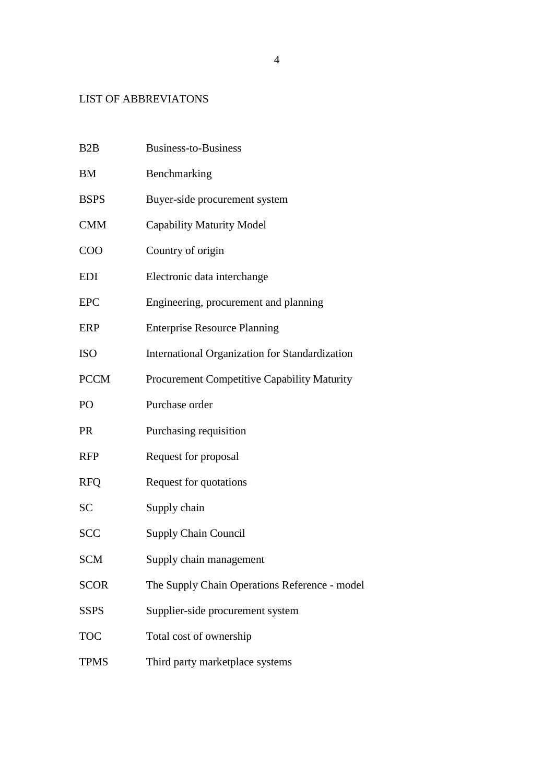# LIST OF ABBREVIATONS

| B2B         | <b>Business-to-Business</b>                        |
|-------------|----------------------------------------------------|
| <b>BM</b>   | Benchmarking                                       |
| <b>BSPS</b> | Buyer-side procurement system                      |
| <b>CMM</b>  | <b>Capability Maturity Model</b>                   |
| <b>COO</b>  | Country of origin                                  |
| <b>EDI</b>  | Electronic data interchange                        |
| <b>EPC</b>  | Engineering, procurement and planning              |
| ERP         | <b>Enterprise Resource Planning</b>                |
| <b>ISO</b>  | International Organization for Standardization     |
| <b>PCCM</b> | <b>Procurement Competitive Capability Maturity</b> |
| PO          | Purchase order                                     |
| <b>PR</b>   | Purchasing requisition                             |
| <b>RFP</b>  | Request for proposal                               |
| <b>RFQ</b>  | Request for quotations                             |
| <b>SC</b>   | Supply chain                                       |
| <b>SCC</b>  | <b>Supply Chain Council</b>                        |
| <b>SCM</b>  | Supply chain management                            |
| <b>SCOR</b> | The Supply Chain Operations Reference - model      |
| <b>SSPS</b> | Supplier-side procurement system                   |
| <b>TOC</b>  | Total cost of ownership                            |
| <b>TPMS</b> | Third party marketplace systems                    |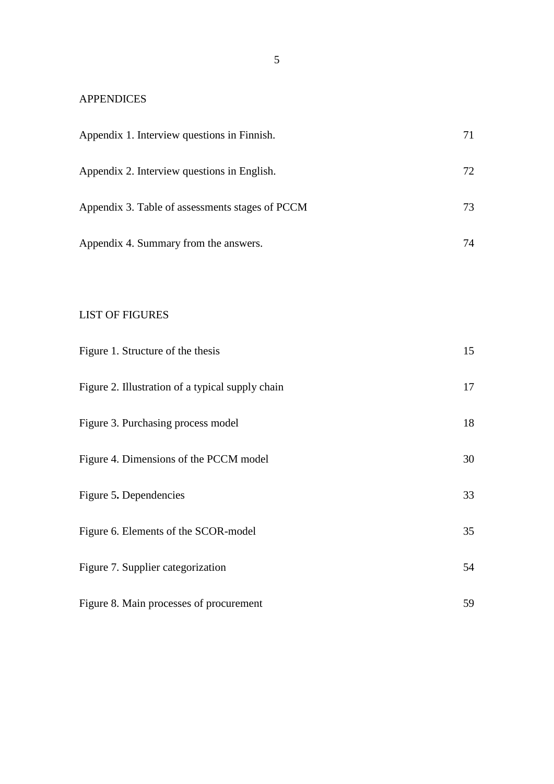# APPENDICES

| Appendix 1. Interview questions in Finnish.      | 71 |
|--------------------------------------------------|----|
| Appendix 2. Interview questions in English.      | 72 |
| Appendix 3. Table of assessments stages of PCCM  | 73 |
| Appendix 4. Summary from the answers.            | 74 |
|                                                  |    |
| <b>LIST OF FIGURES</b>                           |    |
| Figure 1. Structure of the thesis                | 15 |
| Figure 2. Illustration of a typical supply chain | 17 |
| Figure 3. Purchasing process model               | 18 |
| Figure 4. Dimensions of the PCCM model           | 30 |
| Figure 5. Dependencies                           | 33 |
| Figure 6. Elements of the SCOR-model             | 35 |
| Figure 7. Supplier categorization                | 54 |

| Figure 8. Main processes of procurement |  |
|-----------------------------------------|--|
|                                         |  |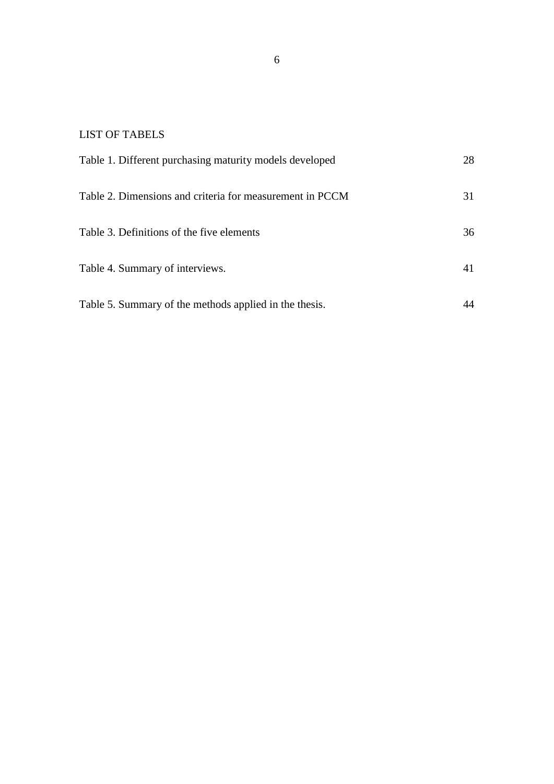# LIST OF TABELS

| Table 1. Different purchasing maturity models developed  | 28 |
|----------------------------------------------------------|----|
| Table 2. Dimensions and criteria for measurement in PCCM | 31 |
| Table 3. Definitions of the five elements                | 36 |
| Table 4. Summary of interviews.                          | 41 |
| Table 5. Summary of the methods applied in the thesis.   |    |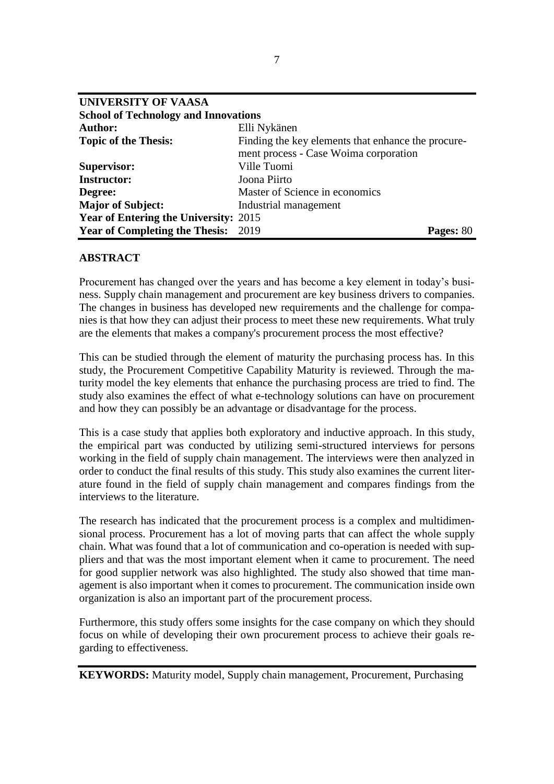| <b>UNIVERSITY OF VAASA</b>                  |                                                                                             |           |
|---------------------------------------------|---------------------------------------------------------------------------------------------|-----------|
| <b>School of Technology and Innovations</b> |                                                                                             |           |
| <b>Author:</b>                              | Elli Nykänen                                                                                |           |
| <b>Topic of the Thesis:</b>                 | Finding the key elements that enhance the procure-<br>ment process - Case Woima corporation |           |
| <b>Supervisor:</b>                          | Ville Tuomi                                                                                 |           |
| <b>Instructor:</b>                          | Joona Piirto                                                                                |           |
| Degree:                                     | Master of Science in economics                                                              |           |
| <b>Major of Subject:</b>                    | Industrial management                                                                       |           |
| Year of Entering the University: 2015       |                                                                                             |           |
| <b>Year of Completing the Thesis: 2019</b>  |                                                                                             | Pages: 80 |

## **ABSTRACT**

Procurement has changed over the years and has become a key element in today's business. Supply chain management and procurement are key business drivers to companies. The changes in business has developed new requirements and the challenge for companies is that how they can adjust their process to meet these new requirements. What truly are the elements that makes a company's procurement process the most effective?

This can be studied through the element of maturity the purchasing process has. In this study, the Procurement Competitive Capability Maturity is reviewed. Through the maturity model the key elements that enhance the purchasing process are tried to find. The study also examines the effect of what e-technology solutions can have on procurement and how they can possibly be an advantage or disadvantage for the process.

This is a case study that applies both exploratory and inductive approach. In this study, the empirical part was conducted by utilizing semi-structured interviews for persons working in the field of supply chain management. The interviews were then analyzed in order to conduct the final results of this study. This study also examines the current literature found in the field of supply chain management and compares findings from the interviews to the literature.

The research has indicated that the procurement process is a complex and multidimensional process. Procurement has a lot of moving parts that can affect the whole supply chain. What was found that a lot of communication and co-operation is needed with suppliers and that was the most important element when it came to procurement. The need for good supplier network was also highlighted. The study also showed that time management is also important when it comes to procurement. The communication inside own organization is also an important part of the procurement process.

Furthermore, this study offers some insights for the case company on which they should focus on while of developing their own procurement process to achieve their goals regarding to effectiveness.

**KEYWORDS:** Maturity model, Supply chain management, Procurement, Purchasing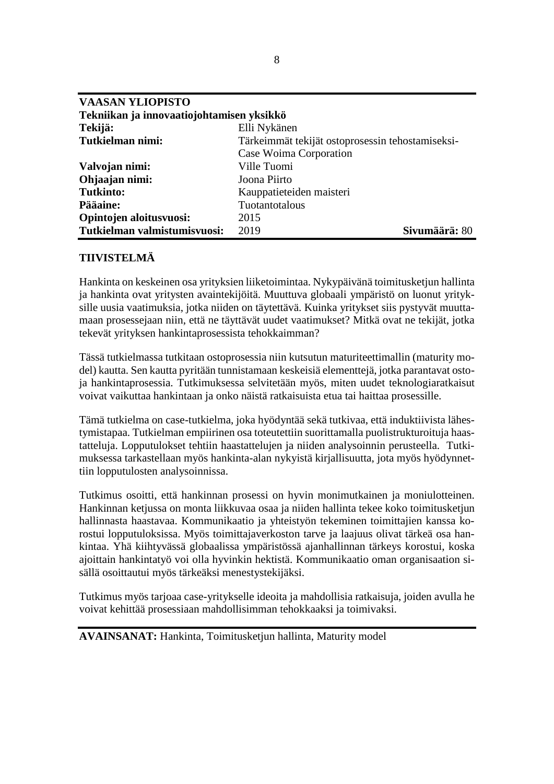| <b>VAASAN YLIOPISTO</b>                   |                                                  |
|-------------------------------------------|--------------------------------------------------|
| Tekniikan ja innovaatiojohtamisen yksikkö |                                                  |
| Tekijä:                                   | Elli Nykänen                                     |
| Tutkielman nimi:                          | Tärkeimmät tekijät ostoprosessin tehostamiseksi- |
|                                           | Case Woima Corporation                           |
| Valvojan nimi:                            | Ville Tuomi                                      |
| Ohjaajan nimi:                            | Joona Piirto                                     |
| <b>Tutkinto:</b>                          | Kauppatieteiden maisteri                         |
| Pääaine:                                  | Tuotantotalous                                   |
| Opintojen aloitusvuosi:                   | 2015                                             |
| Tutkielman valmistumisvuosi:              | Sivumäärä: 80<br>2019                            |

## **TIIVISTELMÄ**

Hankinta on keskeinen osa yrityksien liiketoimintaa. Nykypäivänä toimitusketjun hallinta ja hankinta ovat yritysten avaintekijöitä. Muuttuva globaali ympäristö on luonut yrityksille uusia vaatimuksia, jotka niiden on täytettävä. Kuinka yritykset siis pystyvät muuttamaan prosessejaan niin, että ne täyttävät uudet vaatimukset? Mitkä ovat ne tekijät, jotka tekevät yrityksen hankintaprosessista tehokkaimman?

Tässä tutkielmassa tutkitaan ostoprosessia niin kutsutun maturiteettimallin (maturity model) kautta. Sen kautta pyritään tunnistamaan keskeisiä elementtejä, jotka parantavat ostoja hankintaprosessia. Tutkimuksessa selvitetään myös, miten uudet teknologiaratkaisut voivat vaikuttaa hankintaan ja onko näistä ratkaisuista etua tai haittaa prosessille.

Tämä tutkielma on case-tutkielma, joka hyödyntää sekä tutkivaa, että induktiivista lähestymistapaa. Tutkielman empiirinen osa toteutettiin suorittamalla puolistrukturoituja haastatteluja. Lopputulokset tehtiin haastattelujen ja niiden analysoinnin perusteella. Tutkimuksessa tarkastellaan myös hankinta-alan nykyistä kirjallisuutta, jota myös hyödynnettiin lopputulosten analysoinnissa.

Tutkimus osoitti, että hankinnan prosessi on hyvin monimutkainen ja moniulotteinen. Hankinnan ketjussa on monta liikkuvaa osaa ja niiden hallinta tekee koko toimitusketjun hallinnasta haastavaa. Kommunikaatio ja yhteistyön tekeminen toimittajien kanssa korostui lopputuloksissa. Myös toimittajaverkoston tarve ja laajuus olivat tärkeä osa hankintaa. Yhä kiihtyvässä globaalissa ympäristössä ajanhallinnan tärkeys korostui, koska ajoittain hankintatyö voi olla hyvinkin hektistä. Kommunikaatio oman organisaation sisällä osoittautui myös tärkeäksi menestystekijäksi.

Tutkimus myös tarjoaa case-yritykselle ideoita ja mahdollisia ratkaisuja, joiden avulla he voivat kehittää prosessiaan mahdollisimman tehokkaaksi ja toimivaksi.

**AVAINSANAT:** Hankinta, Toimitusketjun hallinta, Maturity model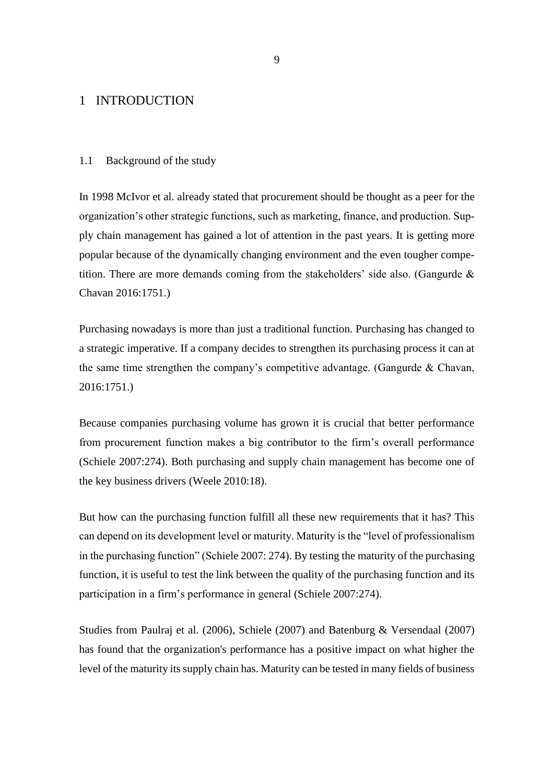## <span id="page-9-0"></span>1 INTRODUCTION

### <span id="page-9-1"></span>1.1 Background of the study

In 1998 McIvor et al. already stated that procurement should be thought as a peer for the organization's other strategic functions, such as marketing, finance, and production. Supply chain management has gained a lot of attention in the past years. It is getting more popular because of the dynamically changing environment and the even tougher competition. There are more demands coming from the stakeholders' side also. (Gangurde  $\&$ Chavan 2016:1751.)

Purchasing nowadays is more than just a traditional function. Purchasing has changed to a strategic imperative. If a company decides to strengthen its purchasing process it can at the same time strengthen the company's competitive advantage. (Gangurde & Chavan, 2016:1751.)

Because companies purchasing volume has grown it is crucial that better performance from procurement function makes a big contributor to the firm's overall performance (Schiele 2007:274). Both purchasing and supply chain management has become one of the key business drivers (Weele 2010:18).

But how can the purchasing function fulfill all these new requirements that it has? This can depend on its development level or maturity. Maturity is the "level of professionalism in the purchasing function" (Schiele 2007: 274). By testing the maturity of the purchasing function, it is useful to test the link between the quality of the purchasing function and its participation in a firm's performance in general (Schiele 2007:274).

Studies from Paulraj et al. (2006), Schiele (2007) and Batenburg & Versendaal (2007) has found that the organization's performance has a positive impact on what higher the level of the maturity its supply chain has. Maturity can be tested in many fields of business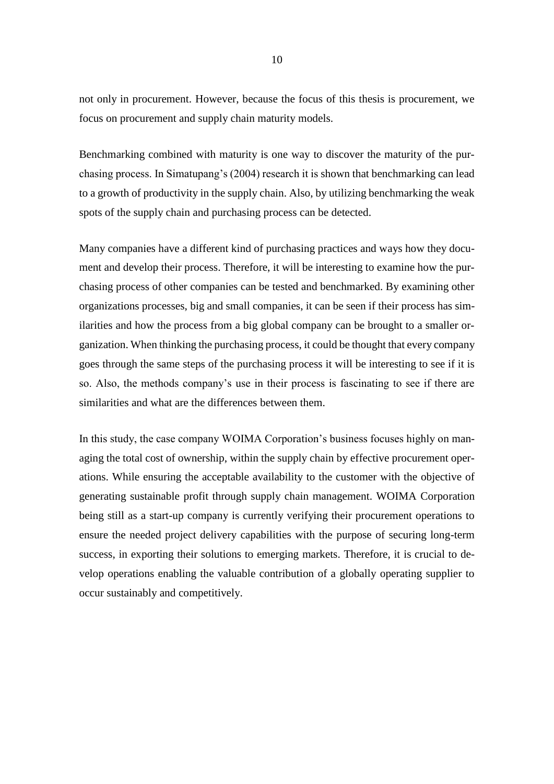not only in procurement. However, because the focus of this thesis is procurement, we focus on procurement and supply chain maturity models.

Benchmarking combined with maturity is one way to discover the maturity of the purchasing process. In Simatupang's (2004) research it is shown that benchmarking can lead to a growth of productivity in the supply chain. Also, by utilizing benchmarking the weak spots of the supply chain and purchasing process can be detected.

Many companies have a different kind of purchasing practices and ways how they document and develop their process. Therefore, it will be interesting to examine how the purchasing process of other companies can be tested and benchmarked. By examining other organizations processes, big and small companies, it can be seen if their process has similarities and how the process from a big global company can be brought to a smaller organization. When thinking the purchasing process, it could be thought that every company goes through the same steps of the purchasing process it will be interesting to see if it is so. Also, the methods company's use in their process is fascinating to see if there are similarities and what are the differences between them.

In this study, the case company WOIMA Corporation's business focuses highly on managing the total cost of ownership, within the supply chain by effective procurement operations. While ensuring the acceptable availability to the customer with the objective of generating sustainable profit through supply chain management. WOIMA Corporation being still as a start-up company is currently verifying their procurement operations to ensure the needed project delivery capabilities with the purpose of securing long-term success, in exporting their solutions to emerging markets. Therefore, it is crucial to develop operations enabling the valuable contribution of a globally operating supplier to occur sustainably and competitively.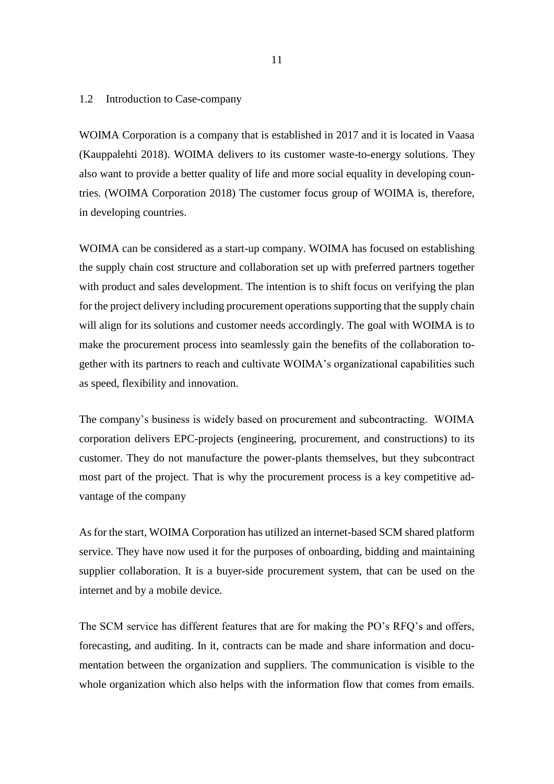### <span id="page-11-0"></span>1.2 Introduction to Case-company

WOIMA Corporation is a company that is established in 2017 and it is located in Vaasa (Kauppalehti 2018). WOIMA delivers to its customer waste-to-energy solutions. They also want to provide a better quality of life and more social equality in developing countries. (WOIMA Corporation 2018) The customer focus group of WOIMA is, therefore, in developing countries.

WOIMA can be considered as a start-up company. WOIMA has focused on establishing the supply chain cost structure and collaboration set up with preferred partners together with product and sales development. The intention is to shift focus on verifying the plan for the project delivery including procurement operations supporting that the supply chain will align for its solutions and customer needs accordingly. The goal with WOIMA is to make the procurement process into seamlessly gain the benefits of the collaboration together with its partners to reach and cultivate WOIMA's organizational capabilities such as speed, flexibility and innovation.

The company's business is widely based on procurement and subcontracting. WOIMA corporation delivers EPC-projects (engineering, procurement, and constructions) to its customer. They do not manufacture the power-plants themselves, but they subcontract most part of the project. That is why the procurement process is a key competitive advantage of the company

As for the start, WOIMA Corporation has utilized an internet-based SCM shared platform service. They have now used it for the purposes of onboarding, bidding and maintaining supplier collaboration. It is a buyer-side procurement system, that can be used on the internet and by a mobile device.

The SCM service has different features that are for making the PO's RFQ's and offers, forecasting, and auditing. In it, contracts can be made and share information and documentation between the organization and suppliers. The communication is visible to the whole organization which also helps with the information flow that comes from emails.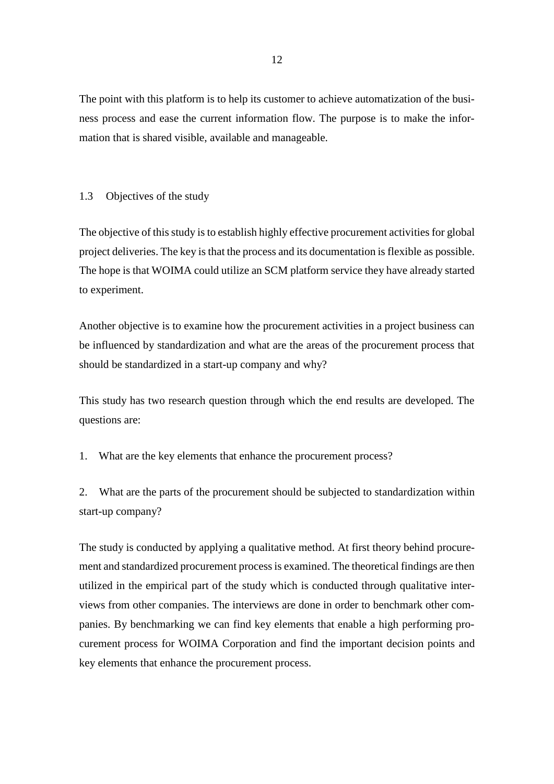The point with this platform is to help its customer to achieve automatization of the business process and ease the current information flow. The purpose is to make the information that is shared visible, available and manageable.

### <span id="page-12-0"></span>1.3 Objectives of the study

The objective of this study is to establish highly effective procurement activities for global project deliveries. The key is that the process and its documentation is flexible as possible. The hope is that WOIMA could utilize an SCM platform service they have already started to experiment.

Another objective is to examine how the procurement activities in a project business can be influenced by standardization and what are the areas of the procurement process that should be standardized in a start-up company and why?

This study has two research question through which the end results are developed. The questions are:

1. What are the key elements that enhance the procurement process?

2. What are the parts of the procurement should be subjected to standardization within start-up company?

The study is conducted by applying a qualitative method. At first theory behind procurement and standardized procurement process is examined. The theoretical findings are then utilized in the empirical part of the study which is conducted through qualitative interviews from other companies. The interviews are done in order to benchmark other companies. By benchmarking we can find key elements that enable a high performing procurement process for WOIMA Corporation and find the important decision points and key elements that enhance the procurement process.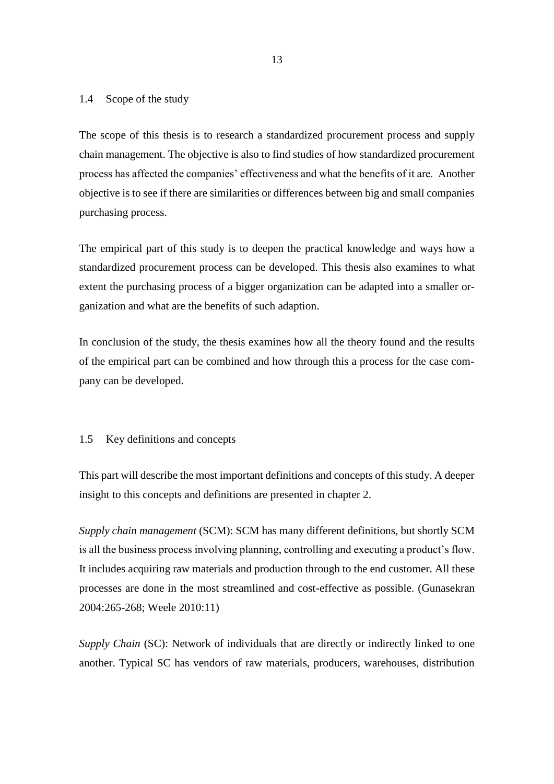### <span id="page-13-0"></span>1.4 Scope of the study

The scope of this thesis is to research a standardized procurement process and supply chain management. The objective is also to find studies of how standardized procurement process has affected the companies' effectiveness and what the benefits of it are. Another objective is to see if there are similarities or differences between big and small companies purchasing process.

The empirical part of this study is to deepen the practical knowledge and ways how a standardized procurement process can be developed. This thesis also examines to what extent the purchasing process of a bigger organization can be adapted into a smaller organization and what are the benefits of such adaption.

In conclusion of the study, the thesis examines how all the theory found and the results of the empirical part can be combined and how through this a process for the case company can be developed.

### <span id="page-13-1"></span>1.5 Key definitions and concepts

This part will describe the most important definitions and concepts of this study. A deeper insight to this concepts and definitions are presented in chapter 2.

*Supply chain management* (SCM): SCM has many different definitions, but shortly SCM is all the business process involving planning, controlling and executing a product's flow. It includes acquiring raw materials and production through to the end customer. All these processes are done in the most streamlined and cost-effective as possible. (Gunasekran 2004:265-268; Weele 2010:11)

*Supply Chain* (SC): Network of individuals that are directly or indirectly linked to one another. Typical SC has vendors of raw materials, producers, warehouses, distribution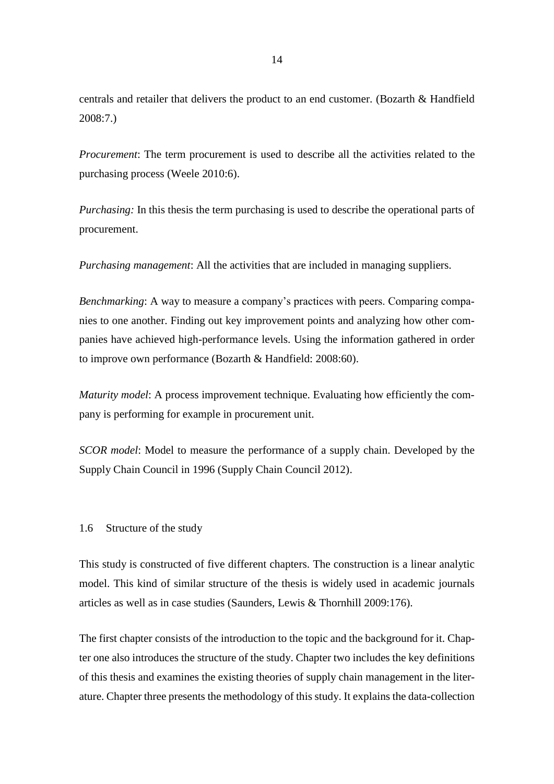centrals and retailer that delivers the product to an end customer. (Bozarth & Handfield 2008:7.)

*Procurement*: The term procurement is used to describe all the activities related to the purchasing process (Weele 2010:6).

*Purchasing:* In this thesis the term purchasing is used to describe the operational parts of procurement.

*Purchasing management*: All the activities that are included in managing suppliers.

*Benchmarking*: A way to measure a company's practices with peers. Comparing companies to one another. Finding out key improvement points and analyzing how other companies have achieved high-performance levels. Using the information gathered in order to improve own performance (Bozarth & Handfield: 2008:60).

*Maturity model*: A process improvement technique. Evaluating how efficiently the company is performing for example in procurement unit.

<span id="page-14-0"></span>*SCOR model*: Model to measure the performance of a supply chain. Developed by the Supply Chain Council in 1996 (Supply Chain Council 2012).

## 1.6 Structure of the study

This study is constructed of five different chapters. The construction is a linear analytic model. This kind of similar structure of the thesis is widely used in academic journals articles as well as in case studies (Saunders, Lewis & Thornhill 2009:176).

The first chapter consists of the introduction to the topic and the background for it. Chapter one also introduces the structure of the study. Chapter two includes the key definitions of this thesis and examines the existing theories of supply chain management in the literature. Chapter three presents the methodology of this study. It explains the data-collection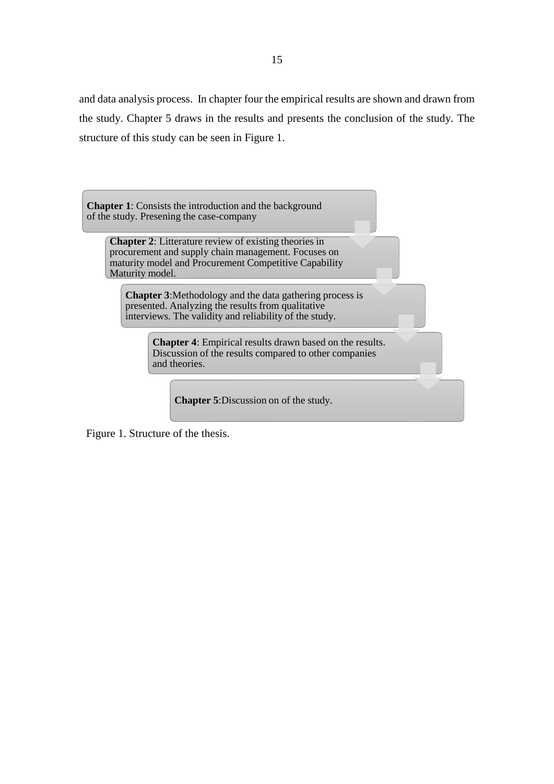and data analysis process. In chapter four the empirical results are shown and drawn from the study. Chapter 5 draws in the results and presents the conclusion of the study. The structure of this study can be seen in Figure 1.

**Chapter 1**: Consists the introduction and the background of the study. Presening the case-company

**Chapter 2**: Litterature review of existing theories in procurement and supply chain management. Focuses on maturity model and Procurement Competitive Capability Maturity model.

**Chapter 3**:Methodology and the data gathering process is presented. Analyzing the results from qualitative interviews. The validity and reliability of the study.

> **Chapter 4**: Empirical results drawn based on the results. Discussion of the results compared to other companies and theories.

**Chapter 5**:Discussion on of the study.

Figure 1. Structure of the thesis.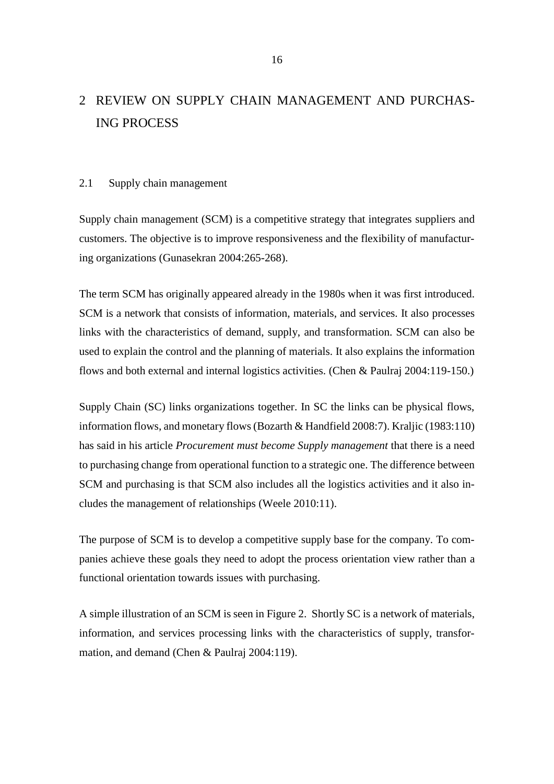# <span id="page-16-0"></span>2 REVIEW ON SUPPLY CHAIN MANAGEMENT AND PURCHAS-ING PROCESS

#### <span id="page-16-1"></span>2.1 Supply chain management

Supply chain management (SCM) is a competitive strategy that integrates suppliers and customers. The objective is to improve responsiveness and the flexibility of manufacturing organizations (Gunasekran 2004:265-268).

The term SCM has originally appeared already in the 1980s when it was first introduced. SCM is a network that consists of information, materials, and services. It also processes links with the characteristics of demand, supply, and transformation. SCM can also be used to explain the control and the planning of materials. It also explains the information flows and both external and internal logistics activities. (Chen & Paulraj 2004:119-150.)

Supply Chain (SC) links organizations together. In SC the links can be physical flows, information flows, and monetary flows (Bozarth & Handfield 2008:7). Kraljic (1983:110) has said in his article *Procurement must become Supply management* that there is a need to purchasing change from operational function to a strategic one. The difference between SCM and purchasing is that SCM also includes all the logistics activities and it also includes the management of relationships (Weele 2010:11).

The purpose of SCM is to develop a competitive supply base for the company. To companies achieve these goals they need to adopt the process orientation view rather than a functional orientation towards issues with purchasing.

A simple illustration of an SCM is seen in Figure 2. Shortly SC is a network of materials, information, and services processing links with the characteristics of supply, transformation, and demand (Chen & Paulraj 2004:119).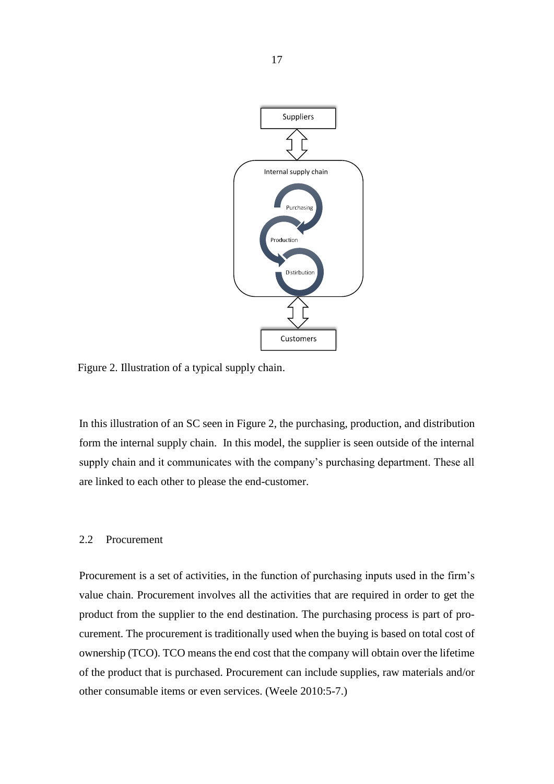

Figure 2. Illustration of a typical supply chain.

In this illustration of an SC seen in Figure 2, the purchasing, production, and distribution form the internal supply chain. In this model, the supplier is seen outside of the internal supply chain and it communicates with the company's purchasing department. These all are linked to each other to please the end-customer.

## <span id="page-17-0"></span>2.2 Procurement

Procurement is a set of activities, in the function of purchasing inputs used in the firm's value chain. Procurement involves all the activities that are required in order to get the product from the supplier to the end destination. The purchasing process is part of procurement. The procurement is traditionally used when the buying is based on total cost of ownership (TCO). TCO means the end cost that the company will obtain over the lifetime of the product that is purchased. Procurement can include supplies, raw materials and/or other consumable items or even services. (Weele 2010:5-7.)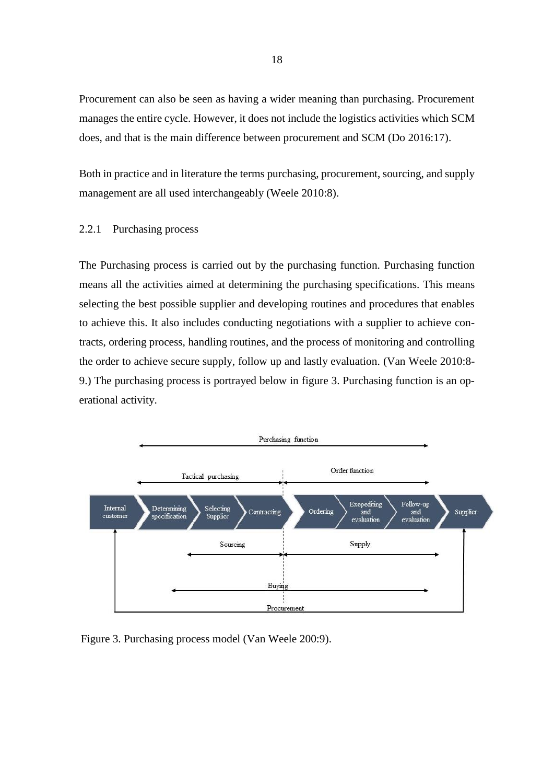Procurement can also be seen as having a wider meaning than purchasing. Procurement manages the entire cycle. However, it does not include the logistics activities which SCM does, and that is the main difference between procurement and SCM (Do 2016:17).

Both in practice and in literature the terms purchasing, procurement, sourcing, and supply management are all used interchangeably (Weele 2010:8).

## <span id="page-18-0"></span>2.2.1 Purchasing process

The Purchasing process is carried out by the purchasing function. Purchasing function means all the activities aimed at determining the purchasing specifications. This means selecting the best possible supplier and developing routines and procedures that enables to achieve this. It also includes conducting negotiations with a supplier to achieve contracts, ordering process, handling routines, and the process of monitoring and controlling the order to achieve secure supply, follow up and lastly evaluation. (Van Weele 2010:8- 9.) The purchasing process is portrayed below in figure 3. Purchasing function is an operational activity.



Figure 3. Purchasing process model (Van Weele 200:9).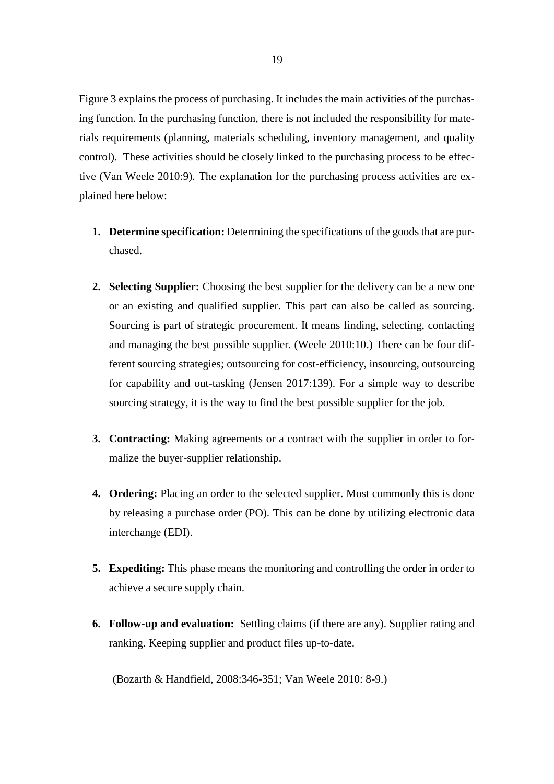Figure 3 explains the process of purchasing. It includes the main activities of the purchasing function. In the purchasing function, there is not included the responsibility for materials requirements (planning, materials scheduling, inventory management, and quality control). These activities should be closely linked to the purchasing process to be effective (Van Weele 2010:9). The explanation for the purchasing process activities are explained here below:

- **1. Determine specification:** Determining the specifications of the goods that are purchased.
- **2. Selecting Supplier:** Choosing the best supplier for the delivery can be a new one or an existing and qualified supplier. This part can also be called as sourcing. Sourcing is part of strategic procurement. It means finding, selecting, contacting and managing the best possible supplier. (Weele 2010:10.) There can be four different sourcing strategies; outsourcing for cost-efficiency, insourcing, outsourcing for capability and out-tasking (Jensen 2017:139). For a simple way to describe sourcing strategy, it is the way to find the best possible supplier for the job.
- **3. Contracting:** Making agreements or a contract with the supplier in order to formalize the buyer-supplier relationship.
- **4. Ordering:** Placing an order to the selected supplier. Most commonly this is done by releasing a purchase order (PO). This can be done by utilizing electronic data interchange (EDI).
- **5. Expediting:** This phase means the monitoring and controlling the order in order to achieve a secure supply chain.
- **6. Follow-up and evaluation:** Settling claims (if there are any). Supplier rating and ranking. Keeping supplier and product files up-to-date.

(Bozarth & Handfield, 2008:346-351; Van Weele 2010: 8-9.)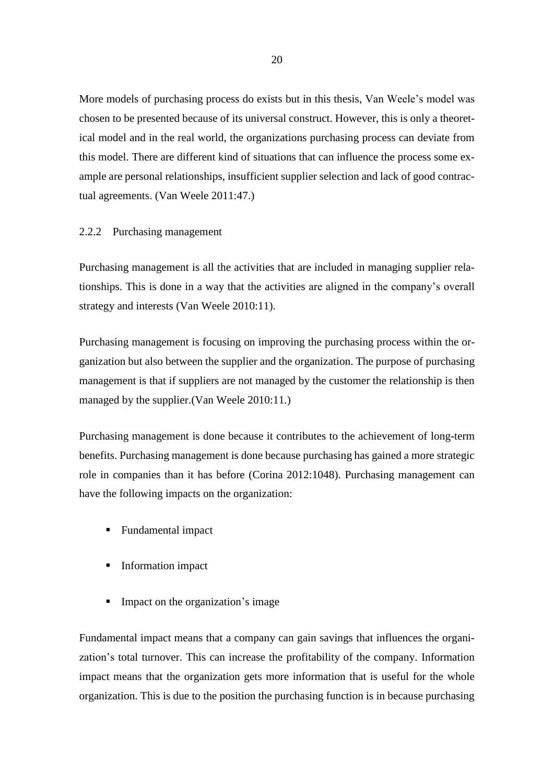More models of purchasing process do exists but in this thesis, Van Weele's model was chosen to be presented because of its universal construct. However, this is only a theoretical model and in the real world, the organizations purchasing process can deviate from this model. There are different kind of situations that can influence the process some example are personal relationships, insufficient supplier selection and lack of good contractual agreements. (Van Weele 2011:47.)

### <span id="page-20-0"></span>2.2.2 Purchasing management

Purchasing management is all the activities that are included in managing supplier relationships. This is done in a way that the activities are aligned in the company's overall strategy and interests (Van Weele 2010:11).

Purchasing management is focusing on improving the purchasing process within the organization but also between the supplier and the organization. The purpose of purchasing management is that if suppliers are not managed by the customer the relationship is then managed by the supplier.(Van Weele 2010:11.)

Purchasing management is done because it contributes to the achievement of long-term benefits. Purchasing management is done because purchasing has gained a more strategic role in companies than it has before (Corina 2012:1048). Purchasing management can have the following impacts on the organization:

- Fundamental impact
- Information impact
- **•** Impact on the organization's image

Fundamental impact means that a company can gain savings that influences the organization's total turnover. This can increase the profitability of the company. Information impact means that the organization gets more information that is useful for the whole organization. This is due to the position the purchasing function is in because purchasing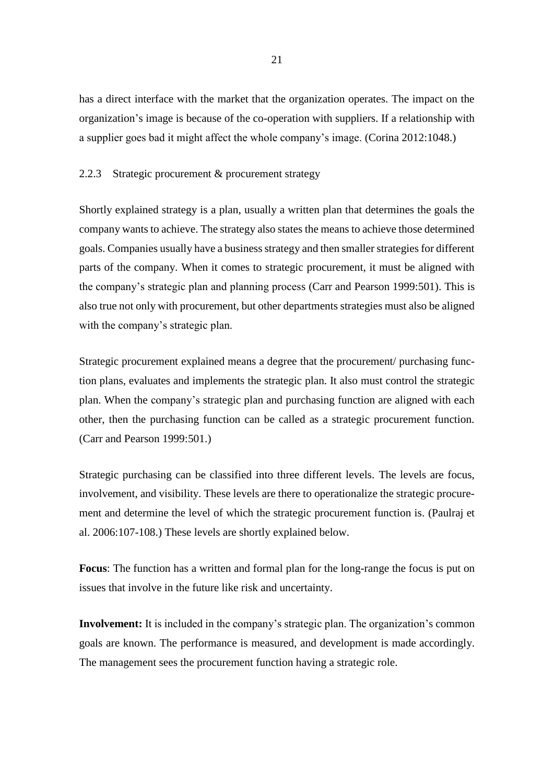has a direct interface with the market that the organization operates. The impact on the organization's image is because of the co-operation with suppliers. If a relationship with a supplier goes bad it might affect the whole company's image. (Corina 2012:1048.)

## <span id="page-21-0"></span>2.2.3 Strategic procurement & procurement strategy

Shortly explained strategy is a plan, usually a written plan that determines the goals the company wants to achieve. The strategy also states the means to achieve those determined goals. Companies usually have a business strategy and then smaller strategies for different parts of the company. When it comes to strategic procurement, it must be aligned with the company's strategic plan and planning process (Carr and Pearson 1999:501). This is also true not only with procurement, but other departments strategies must also be aligned with the company's strategic plan.

Strategic procurement explained means a degree that the procurement/ purchasing function plans, evaluates and implements the strategic plan. It also must control the strategic plan. When the company's strategic plan and purchasing function are aligned with each other, then the purchasing function can be called as a strategic procurement function. (Carr and Pearson 1999:501.)

Strategic purchasing can be classified into three different levels. The levels are focus, involvement, and visibility. These levels are there to operationalize the strategic procurement and determine the level of which the strategic procurement function is. (Paulraj et al. 2006:107-108.) These levels are shortly explained below.

**Focus**: The function has a written and formal plan for the long-range the focus is put on issues that involve in the future like risk and uncertainty.

**Involvement:** It is included in the company's strategic plan. The organization's common goals are known. The performance is measured, and development is made accordingly. The management sees the procurement function having a strategic role.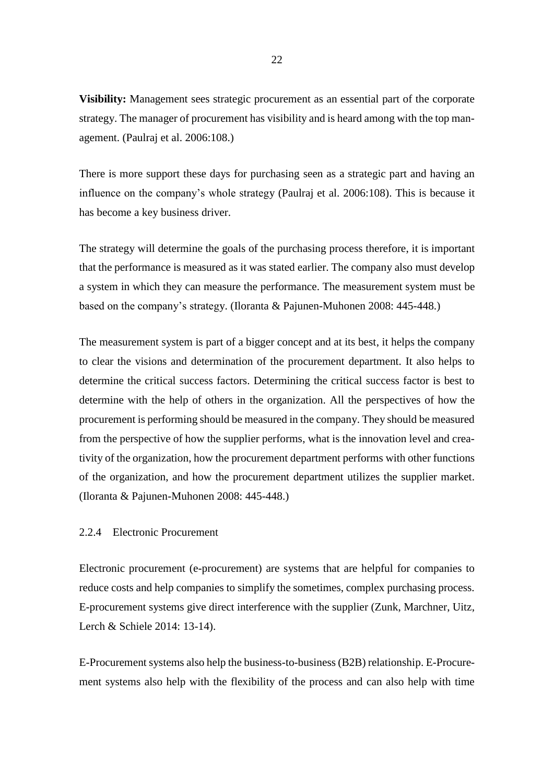**Visibility:** Management sees strategic procurement as an essential part of the corporate strategy. The manager of procurement has visibility and is heard among with the top management. (Paulraj et al. 2006:108.)

There is more support these days for purchasing seen as a strategic part and having an influence on the company's whole strategy (Paulraj et al. 2006:108). This is because it has become a key business driver.

The strategy will determine the goals of the purchasing process therefore, it is important that the performance is measured as it was stated earlier. The company also must develop a system in which they can measure the performance. The measurement system must be based on the company's strategy. (Iloranta & Pajunen-Muhonen 2008: 445-448.)

The measurement system is part of a bigger concept and at its best, it helps the company to clear the visions and determination of the procurement department. It also helps to determine the critical success factors. Determining the critical success factor is best to determine with the help of others in the organization. All the perspectives of how the procurement is performing should be measured in the company. They should be measured from the perspective of how the supplier performs, what is the innovation level and creativity of the organization, how the procurement department performs with other functions of the organization, and how the procurement department utilizes the supplier market. (Iloranta & Pajunen-Muhonen 2008: 445-448.)

### <span id="page-22-0"></span>2.2.4 Electronic Procurement

Electronic procurement (e-procurement) are systems that are helpful for companies to reduce costs and help companies to simplify the sometimes, complex purchasing process. E-procurement systems give direct interference with the supplier (Zunk, Marchner, Uitz, Lerch & Schiele 2014: 13-14).

E-Procurement systems also help the business-to-business (B2B) relationship. E-Procurement systems also help with the flexibility of the process and can also help with time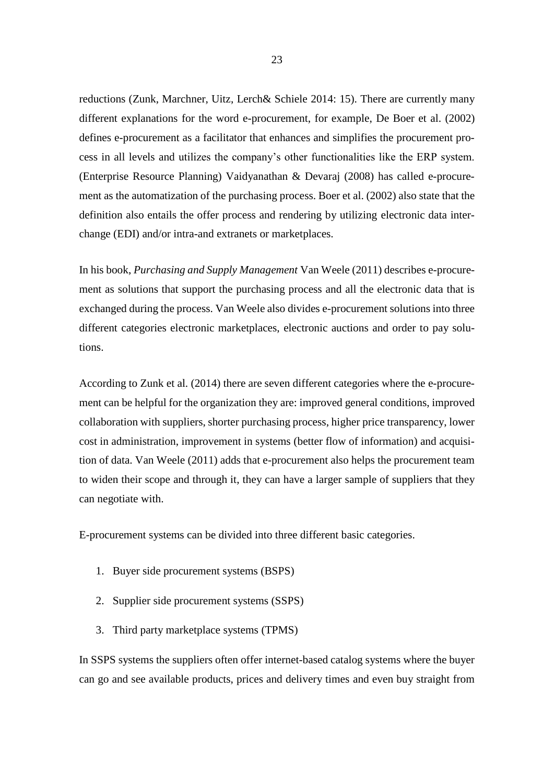reductions (Zunk, Marchner, Uitz, Lerch& Schiele 2014: 15). There are currently many different explanations for the word e-procurement, for example, De Boer et al. (2002) defines e-procurement as a facilitator that enhances and simplifies the procurement process in all levels and utilizes the company's other functionalities like the ERP system. (Enterprise Resource Planning) Vaidyanathan & Devaraj (2008) has called e-procurement as the automatization of the purchasing process. Boer et al. (2002) also state that the definition also entails the offer process and rendering by utilizing electronic data interchange (EDI) and/or intra-and extranets or marketplaces.

In his book, *Purchasing and Supply Management* Van Weele (2011) describes e-procurement as solutions that support the purchasing process and all the electronic data that is exchanged during the process. Van Weele also divides e-procurement solutions into three different categories electronic marketplaces, electronic auctions and order to pay solutions.

According to Zunk et al. (2014) there are seven different categories where the e-procurement can be helpful for the organization they are: improved general conditions, improved collaboration with suppliers, shorter purchasing process, higher price transparency, lower cost in administration, improvement in systems (better flow of information) and acquisition of data. Van Weele (2011) adds that e-procurement also helps the procurement team to widen their scope and through it, they can have a larger sample of suppliers that they can negotiate with.

E-procurement systems can be divided into three different basic categories.

- 1. Buyer side procurement systems (BSPS)
- 2. Supplier side procurement systems (SSPS)
- 3. Third party marketplace systems (TPMS)

In SSPS systems the suppliers often offer internet-based catalog systems where the buyer can go and see available products, prices and delivery times and even buy straight from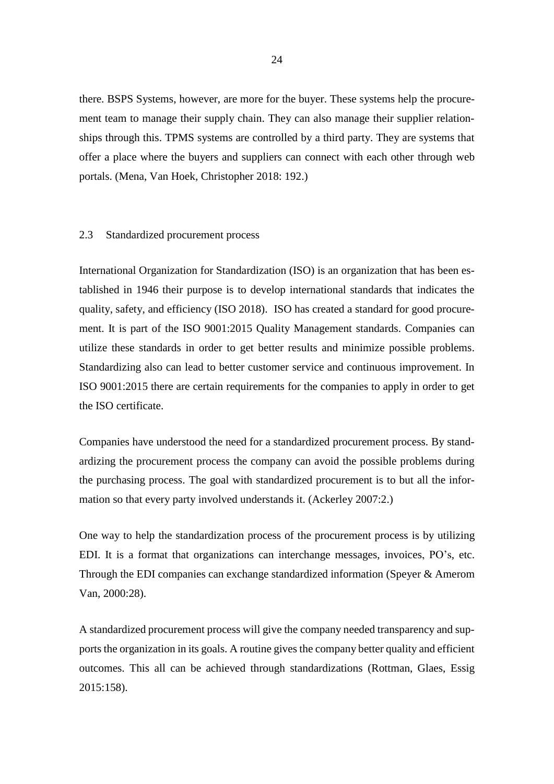there. BSPS Systems, however, are more for the buyer. These systems help the procurement team to manage their supply chain. They can also manage their supplier relationships through this. TPMS systems are controlled by a third party. They are systems that offer a place where the buyers and suppliers can connect with each other through web portals. (Mena, Van Hoek, Christopher 2018: 192.)

### <span id="page-24-0"></span>2.3 Standardized procurement process

International Organization for Standardization (ISO) is an organization that has been established in 1946 their purpose is to develop international standards that indicates the quality, safety, and efficiency (ISO 2018). ISO has created a standard for good procurement. It is part of the ISO 9001:2015 Quality Management standards. Companies can utilize these standards in order to get better results and minimize possible problems. Standardizing also can lead to better customer service and continuous improvement. In ISO 9001:2015 there are certain requirements for the companies to apply in order to get the ISO certificate.

Companies have understood the need for a standardized procurement process. By standardizing the procurement process the company can avoid the possible problems during the purchasing process. The goal with standardized procurement is to but all the information so that every party involved understands it. (Ackerley 2007:2.)

One way to help the standardization process of the procurement process is by utilizing EDI. It is a format that organizations can interchange messages, invoices, PO's, etc. Through the EDI companies can exchange standardized information (Speyer & Amerom Van, 2000:28).

A standardized procurement process will give the company needed transparency and supports the organization in its goals. A routine gives the company better quality and efficient outcomes. This all can be achieved through standardizations (Rottman, Glaes, Essig 2015:158).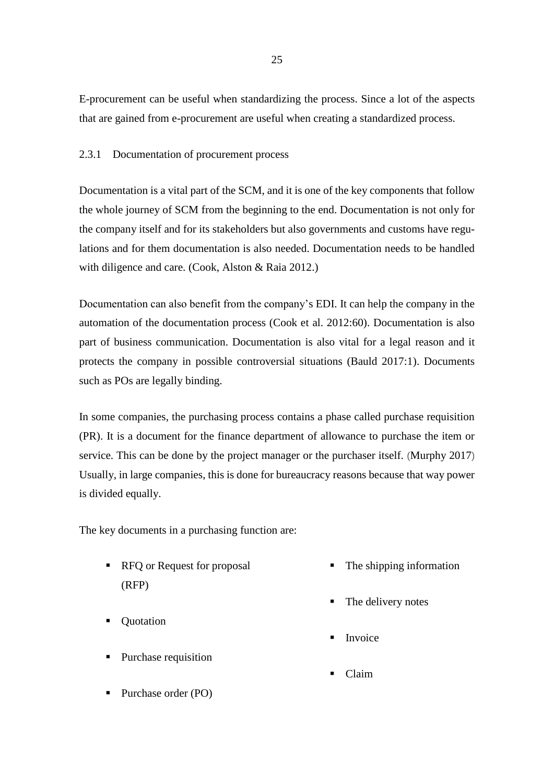E-procurement can be useful when standardizing the process. Since a lot of the aspects that are gained from e-procurement are useful when creating a standardized process.

## <span id="page-25-0"></span>2.3.1 Documentation of procurement process

Documentation is a vital part of the SCM, and it is one of the key components that follow the whole journey of SCM from the beginning to the end. Documentation is not only for the company itself and for its stakeholders but also governments and customs have regulations and for them documentation is also needed. Documentation needs to be handled with diligence and care. (Cook, Alston & Raia 2012.)

Documentation can also benefit from the company's EDI. It can help the company in the automation of the documentation process (Cook et al. 2012:60). Documentation is also part of business communication. Documentation is also vital for a legal reason and it protects the company in possible controversial situations (Bauld 2017:1). Documents such as POs are legally binding.

In some companies, the purchasing process contains a phase called purchase requisition (PR). It is a document for the finance department of allowance to purchase the item or service. This can be done by the project manager or the purchaser itself. (Murphy 2017) Usually, in large companies, this is done for bureaucracy reasons because that way power is divided equally.

The key documents in a purchasing function are:

- RFQ or Request for proposal (RFP)
- Ouotation
- Purchase requisition
- Purchase order (PO)
- The shipping information
- The delivery notes
- **F** Invoice
- **Claim**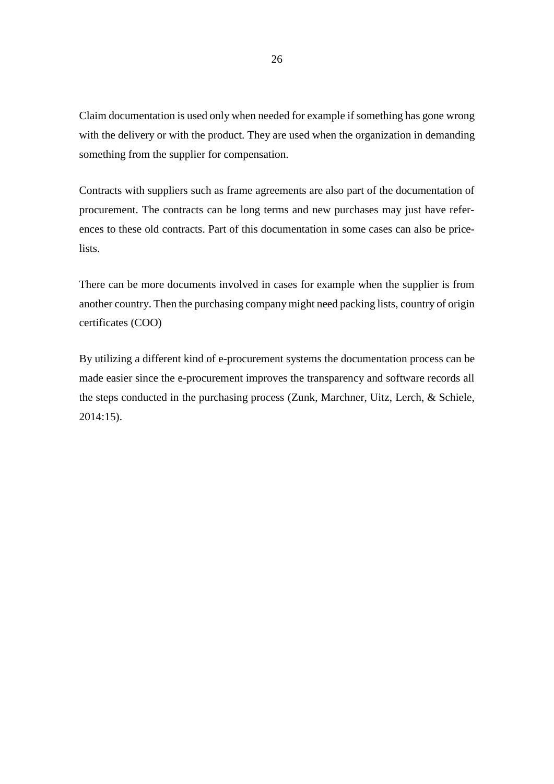Claim documentation is used only when needed for example if something has gone wrong with the delivery or with the product. They are used when the organization in demanding something from the supplier for compensation.

Contracts with suppliers such as frame agreements are also part of the documentation of procurement. The contracts can be long terms and new purchases may just have references to these old contracts. Part of this documentation in some cases can also be pricelists.

There can be more documents involved in cases for example when the supplier is from another country. Then the purchasing company might need packing lists, country of origin certificates (COO)

By utilizing a different kind of e-procurement systems the documentation process can be made easier since the e-procurement improves the transparency and software records all the steps conducted in the purchasing process (Zunk, Marchner, Uitz, Lerch, & Schiele, 2014:15).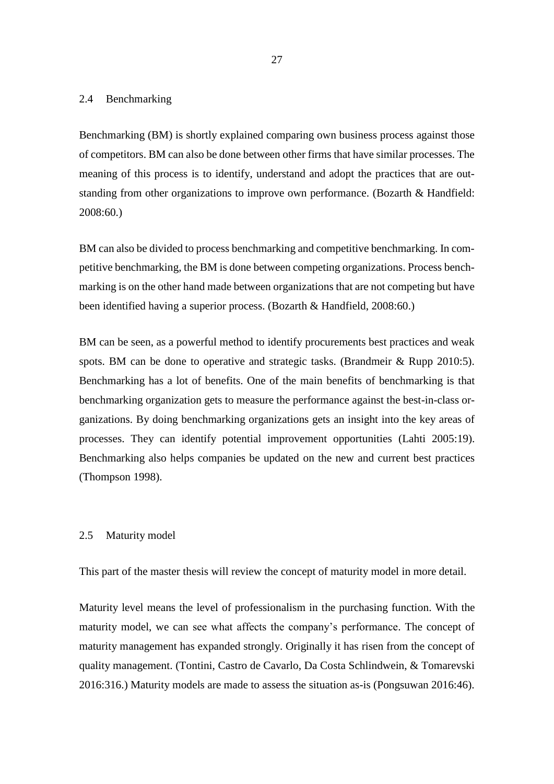### <span id="page-27-0"></span>2.4 Benchmarking

Benchmarking (BM) is shortly explained comparing own business process against those of competitors. BM can also be done between other firms that have similar processes. The meaning of this process is to identify, understand and adopt the practices that are outstanding from other organizations to improve own performance. (Bozarth & Handfield: 2008:60.)

BM can also be divided to process benchmarking and competitive benchmarking. In competitive benchmarking, the BM is done between competing organizations. Process benchmarking is on the other hand made between organizations that are not competing but have been identified having a superior process. (Bozarth & Handfield, 2008:60.)

BM can be seen, as a powerful method to identify procurements best practices and weak spots. BM can be done to operative and strategic tasks. (Brandmeir & Rupp 2010:5). Benchmarking has a lot of benefits. One of the main benefits of benchmarking is that benchmarking organization gets to measure the performance against the best-in-class organizations. By doing benchmarking organizations gets an insight into the key areas of processes. They can identify potential improvement opportunities (Lahti 2005:19). Benchmarking also helps companies be updated on the new and current best practices (Thompson 1998).

### <span id="page-27-1"></span>2.5 Maturity model

This part of the master thesis will review the concept of maturity model in more detail.

Maturity level means the level of professionalism in the purchasing function. With the maturity model, we can see what affects the company's performance. The concept of maturity management has expanded strongly. Originally it has risen from the concept of quality management. (Tontini, Castro de Cavarlo, Da Costa Schlindwein, & Tomarevski 2016:316.) Maturity models are made to assess the situation as-is (Pongsuwan 2016:46).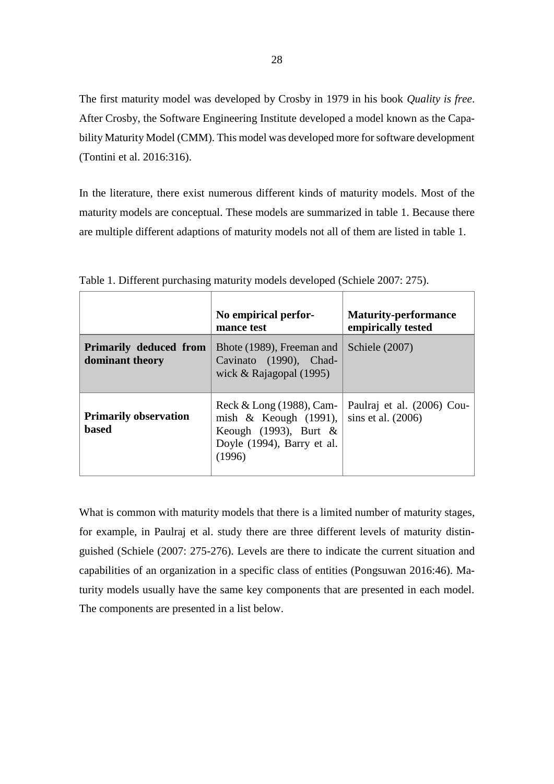The first maturity model was developed by Crosby in 1979 in his book *Quality is free*. After Crosby, the Software Engineering Institute developed a model known as the Capability Maturity Model (CMM). This model was developed more for software development (Tontini et al. 2016:316).

In the literature, there exist numerous different kinds of maturity models. Most of the maturity models are conceptual. These models are summarized in table 1. Because there are multiple different adaptions of maturity models not all of them are listed in table 1.

|                                                  | No empirical perfor-<br>mance test                                                                                       | <b>Maturity-performance</b><br>empirically tested  |
|--------------------------------------------------|--------------------------------------------------------------------------------------------------------------------------|----------------------------------------------------|
| <b>Primarily deduced from</b><br>dominant theory | Bhote (1989), Freeman and<br>Cavinato (1990), Chad-<br>wick & Rajagopal $(1995)$                                         | Schiele (2007)                                     |
| <b>Primarily observation</b><br>based            | Reck & Long $(1988)$ , Cam-<br>mish $\&$ Keough (1991),<br>Keough (1993), Burt &<br>Doyle (1994), Barry et al.<br>(1996) | Paulraj et al. (2006) Cou-<br>sins et al. $(2006)$ |

<span id="page-28-0"></span>Table 1. Different purchasing maturity models developed (Schiele 2007: 275).

What is common with maturity models that there is a limited number of maturity stages, for example, in Paulraj et al. study there are three different levels of maturity distinguished (Schiele (2007: 275-276). Levels are there to indicate the current situation and capabilities of an organization in a specific class of entities (Pongsuwan 2016:46). Maturity models usually have the same key components that are presented in each model. The components are presented in a list below.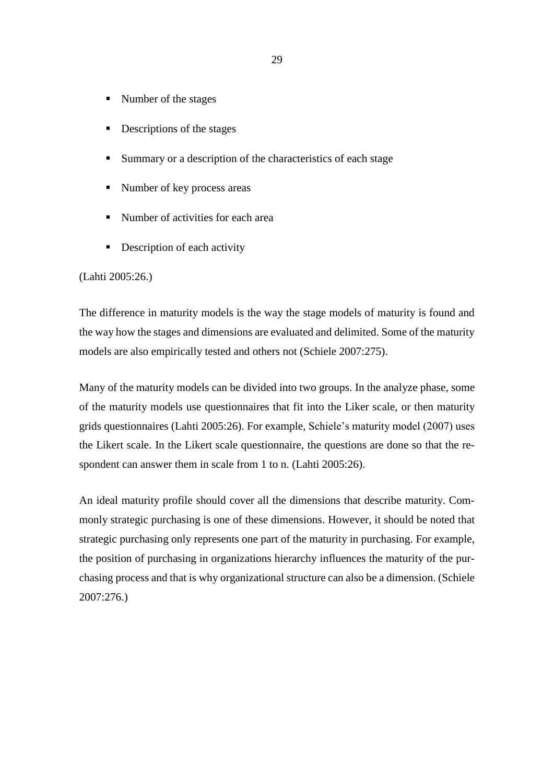- Number of the stages
- Descriptions of the stages
- Summary or a description of the characteristics of each stage
- Number of key process areas
- Number of activities for each area
- **•** Description of each activity

## (Lahti 2005:26.)

The difference in maturity models is the way the stage models of maturity is found and the way how the stages and dimensions are evaluated and delimited. Some of the maturity models are also empirically tested and others not (Schiele 2007:275).

Many of the maturity models can be divided into two groups. In the analyze phase, some of the maturity models use questionnaires that fit into the Liker scale, or then maturity grids questionnaires (Lahti 2005:26). For example, Schiele's maturity model (2007) uses the Likert scale. In the Likert scale questionnaire, the questions are done so that the respondent can answer them in scale from 1 to n. (Lahti 2005:26).

An ideal maturity profile should cover all the dimensions that describe maturity. Commonly strategic purchasing is one of these dimensions. However, it should be noted that strategic purchasing only represents one part of the maturity in purchasing. For example, the position of purchasing in organizations hierarchy influences the maturity of the purchasing process and that is why organizational structure can also be a dimension. (Schiele 2007:276.)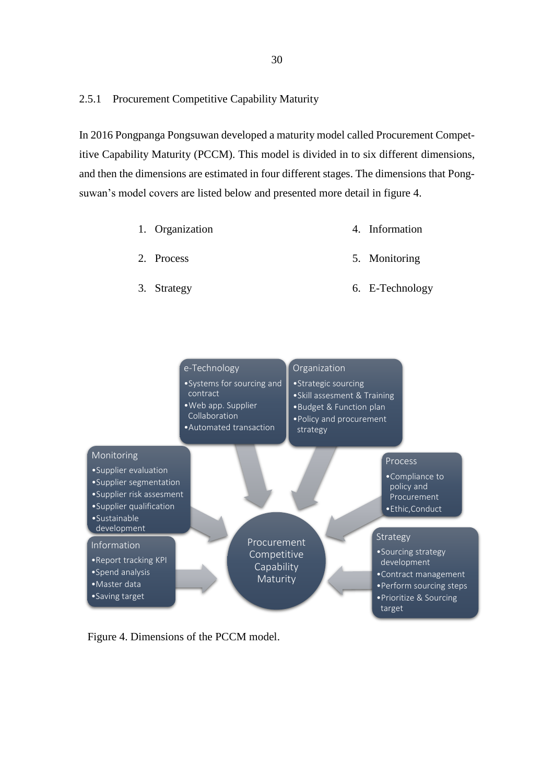## <span id="page-30-0"></span>2.5.1 Procurement Competitive Capability Maturity

In 2016 Pongpanga Pongsuwan developed a maturity model called Procurement Competitive Capability Maturity (PCCM). This model is divided in to six different dimensions, and then the dimensions are estimated in four different stages. The dimensions that Pongsuwan's model covers are listed below and presented more detail in figure 4.

- 1. Organization 4. Information
- 2. Process 5. Monitoring
- 3. Strategy

6. E-Technology



Figure 4. Dimensions of the PCCM model.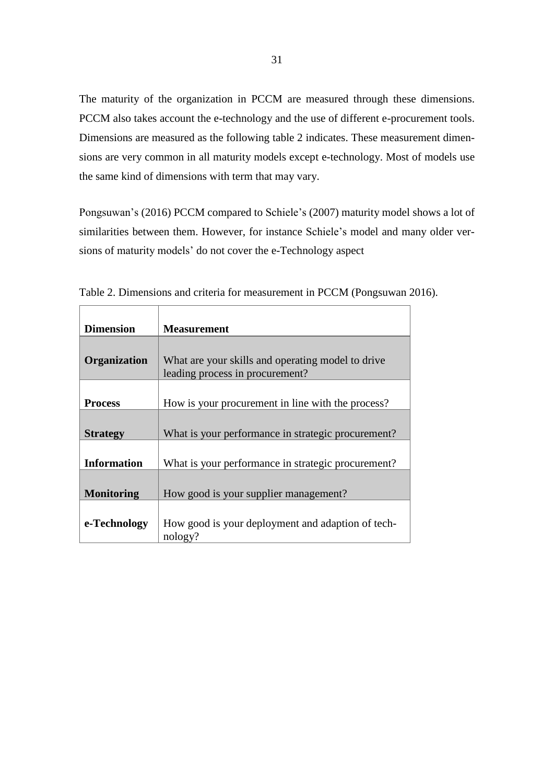The maturity of the organization in PCCM are measured through these dimensions. PCCM also takes account the e-technology and the use of different e-procurement tools. Dimensions are measured as the following table 2 indicates. These measurement dimensions are very common in all maturity models except e-technology. Most of models use the same kind of dimensions with term that may vary.

Pongsuwan's (2016) PCCM compared to Schiele's (2007) maturity model shows a lot of similarities between them. However, for instance Schiele's model and many older versions of maturity models' do not cover the e-Technology aspect

| <b>Dimension</b>   | <b>Measurement</b>                                                                   |
|--------------------|--------------------------------------------------------------------------------------|
|                    |                                                                                      |
| Organization       | What are your skills and operating model to drive<br>leading process in procurement? |
|                    |                                                                                      |
| <b>Process</b>     | How is your procurement in line with the process?                                    |
|                    |                                                                                      |
| <b>Strategy</b>    | What is your performance in strategic procurement?                                   |
|                    |                                                                                      |
| <b>Information</b> | What is your performance in strategic procurement?                                   |
|                    |                                                                                      |
| <b>Monitoring</b>  | How good is your supplier management?                                                |
|                    |                                                                                      |
| e-Technology       | How good is your deployment and adaption of tech-<br>nology?                         |

Table 2. Dimensions and criteria for measurement in PCCM (Pongsuwan 2016).

 $\mathbf{r}$ 

<span id="page-31-0"></span> $\top$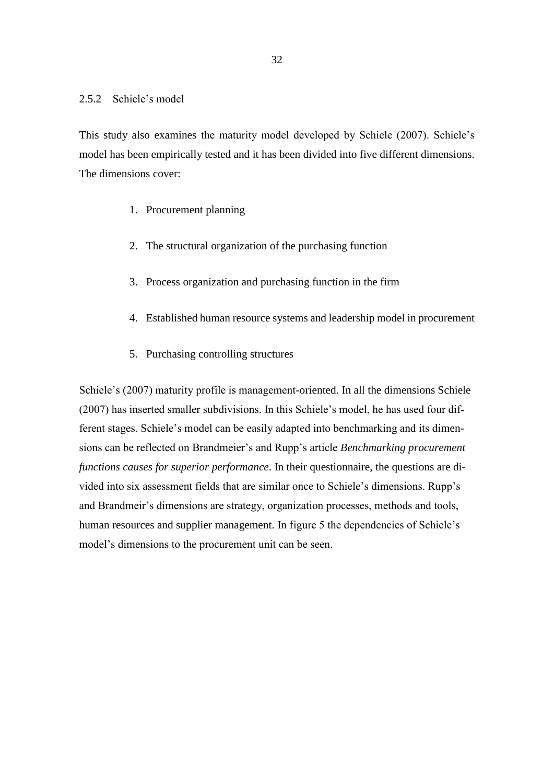## <span id="page-32-0"></span>2.5.2 Schiele's model

This study also examines the maturity model developed by Schiele (2007). Schiele's model has been empirically tested and it has been divided into five different dimensions. The dimensions cover:

- 1. Procurement planning
- 2. The structural organization of the purchasing function
- 3. Process organization and purchasing function in the firm
- 4. Established human resource systems and leadership model in procurement
- 5. Purchasing controlling structures

Schiele's (2007) maturity profile is management-oriented. In all the dimensions Schiele (2007) has inserted smaller subdivisions. In this Schiele's model, he has used four different stages. Schiele's model can be easily adapted into benchmarking and its dimensions can be reflected on Brandmeier's and Rupp's article *Benchmarking procurement functions causes for superior performance*. In their questionnaire, the questions are divided into six assessment fields that are similar once to Schiele's dimensions. Rupp's and Brandmeir's dimensions are strategy, organization processes, methods and tools, human resources and supplier management. In figure 5 the dependencies of Schiele's model's dimensions to the procurement unit can be seen.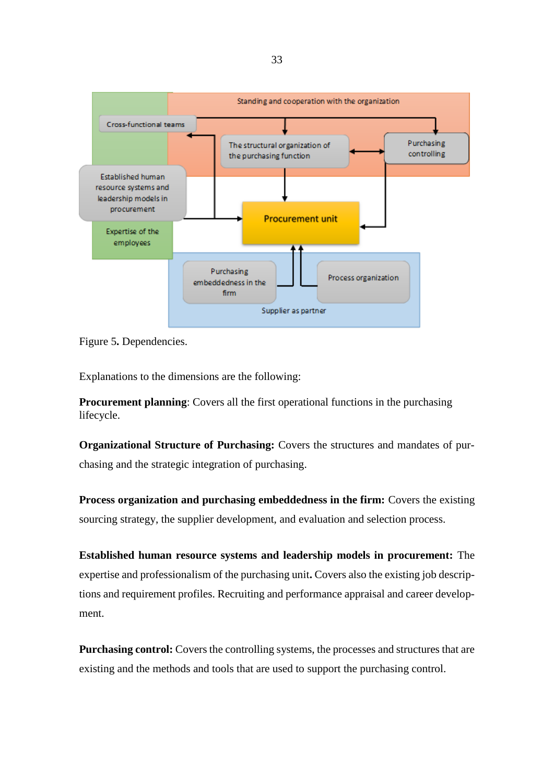

<span id="page-33-0"></span>Figure 5**.** Dependencies.

Explanations to the dimensions are the following:

**Procurement planning**: Covers all the first operational functions in the purchasing lifecycle.

**Organizational Structure of Purchasing:** Covers the structures and mandates of purchasing and the strategic integration of purchasing.

**Process organization and purchasing embeddedness in the firm:** Covers the existing sourcing strategy, the supplier development, and evaluation and selection process.

**Established human resource systems and leadership models in procurement:** The expertise and professionalism of the purchasing unit**.** Covers also the existing job descriptions and requirement profiles. Recruiting and performance appraisal and career development.

**Purchasing control:** Covers the controlling systems, the processes and structures that are existing and the methods and tools that are used to support the purchasing control.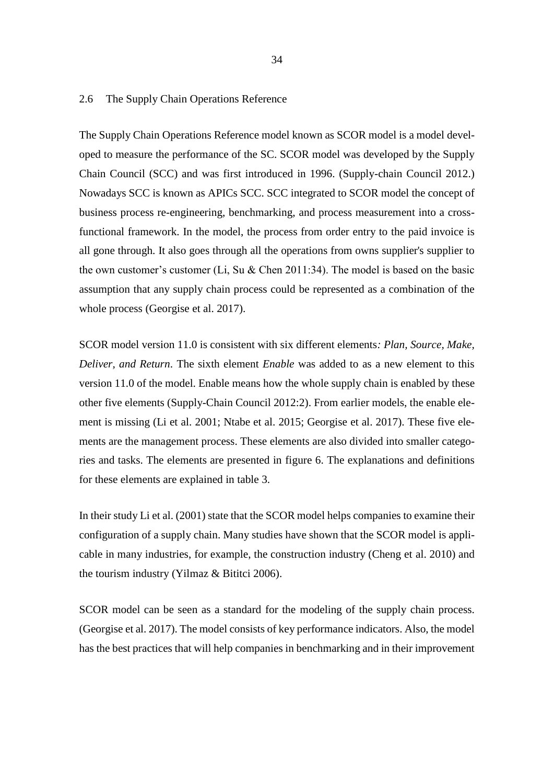### <span id="page-34-0"></span>2.6 The Supply Chain Operations Reference

The Supply Chain Operations Reference model known as SCOR model is a model developed to measure the performance of the SC. SCOR model was developed by the Supply Chain Council (SCC) and was first introduced in 1996. (Supply-chain Council 2012.) Nowadays SCC is known as APICs SCC. SCC integrated to SCOR model the concept of business process re-engineering, benchmarking, and process measurement into a crossfunctional framework. In the model, the process from order entry to the paid invoice is all gone through. It also goes through all the operations from owns supplier's supplier to the own customer's customer (Li, Su & Chen 2011:34). The model is based on the basic assumption that any supply chain process could be represented as a combination of the whole process (Georgise et al. 2017).

SCOR model version 11.0 is consistent with six different elements*: Plan, Source, Make, Deliver, and Return*. The sixth element *Enable* was added to as a new element to this version 11.0 of the model. Enable means how the whole supply chain is enabled by these other five elements (Supply-Chain Council 2012:2). From earlier models, the enable element is missing (Li et al. 2001; Ntabe et al. 2015; Georgise et al. 2017). These five elements are the management process. These elements are also divided into smaller categories and tasks. The elements are presented in figure 6. The explanations and definitions for these elements are explained in table 3.

In their study Li et al. (2001) state that the SCOR model helps companies to examine their configuration of a supply chain. Many studies have shown that the SCOR model is applicable in many industries, for example, the construction industry (Cheng et al. 2010) and the tourism industry (Yilmaz & Bititci 2006).

SCOR model can be seen as a standard for the modeling of the supply chain process. (Georgise et al. 2017). The model consists of key performance indicators. Also, the model has the best practices that will help companies in benchmarking and in their improvement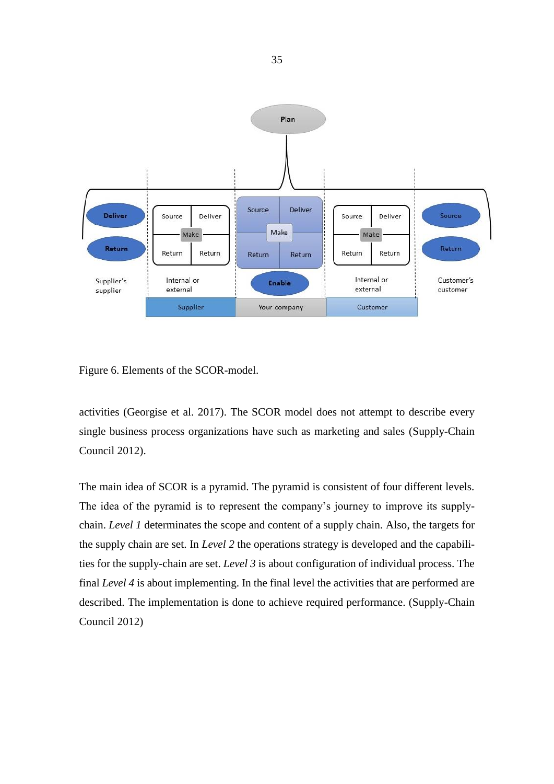

Figure 6. Elements of the SCOR-model.

activities (Georgise et al. 2017). The SCOR model does not attempt to describe every single business process organizations have such as marketing and sales (Supply-Chain Council 2012).

The main idea of SCOR is a pyramid. The pyramid is consistent of four different levels. The idea of the pyramid is to represent the company's journey to improve its supplychain. *Level 1* determinates the scope and content of a supply chain. Also, the targets for the supply chain are set. In *Level 2* the operations strategy is developed and the capabilities for the supply-chain are set. *Level 3* is about configuration of individual process. The final *Level 4* is about implementing. In the final level the activities that are performed are described. The implementation is done to achieve required performance. (Supply-Chain Council 2012)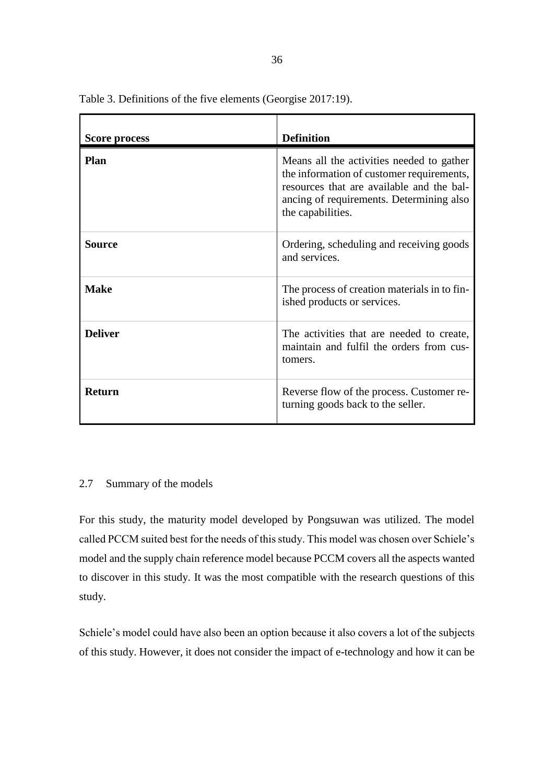| <b>Score process</b> | <b>Definition</b>                                                                                                                                                                                    |
|----------------------|------------------------------------------------------------------------------------------------------------------------------------------------------------------------------------------------------|
| <b>Plan</b>          | Means all the activities needed to gather<br>the information of customer requirements,<br>resources that are available and the bal-<br>ancing of requirements. Determining also<br>the capabilities. |
| Source               | Ordering, scheduling and receiving goods<br>and services.                                                                                                                                            |
| <b>Make</b>          | The process of creation materials in to fin-<br>ished products or services.                                                                                                                          |
| <b>Deliver</b>       | The activities that are needed to create,<br>maintain and fulfil the orders from cus-<br>tomers.                                                                                                     |
| <b>Return</b>        | Reverse flow of the process. Customer re-<br>turning goods back to the seller.                                                                                                                       |

Table 3. Definitions of the five elements (Georgise 2017:19).

# 2.7 Summary of the models

For this study, the maturity model developed by Pongsuwan was utilized. The model called PCCM suited best for the needs of this study. This model was chosen over Schiele's model and the supply chain reference model because PCCM covers all the aspects wanted to discover in this study. It was the most compatible with the research questions of this study.

Schiele's model could have also been an option because it also covers a lot of the subjects of this study. However, it does not consider the impact of e-technology and how it can be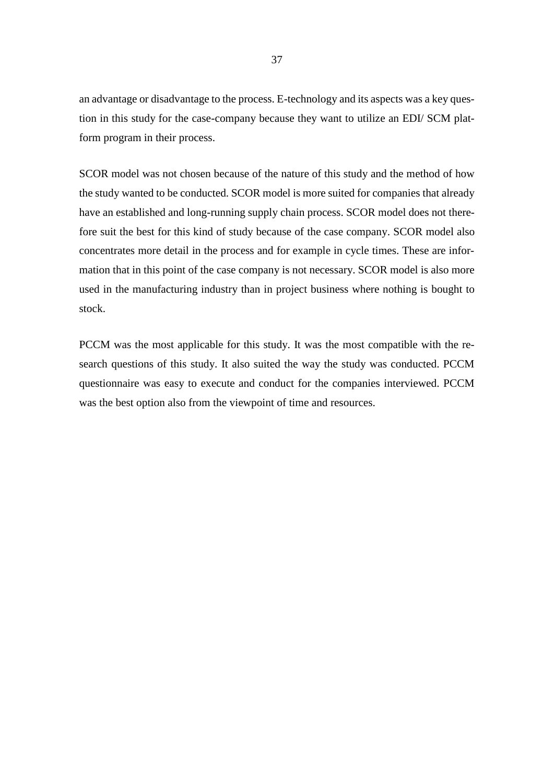an advantage or disadvantage to the process. E-technology and its aspects was a key question in this study for the case-company because they want to utilize an EDI/ SCM platform program in their process.

SCOR model was not chosen because of the nature of this study and the method of how the study wanted to be conducted. SCOR model is more suited for companies that already have an established and long-running supply chain process. SCOR model does not therefore suit the best for this kind of study because of the case company. SCOR model also concentrates more detail in the process and for example in cycle times. These are information that in this point of the case company is not necessary. SCOR model is also more used in the manufacturing industry than in project business where nothing is bought to stock.

PCCM was the most applicable for this study. It was the most compatible with the research questions of this study. It also suited the way the study was conducted. PCCM questionnaire was easy to execute and conduct for the companies interviewed. PCCM was the best option also from the viewpoint of time and resources.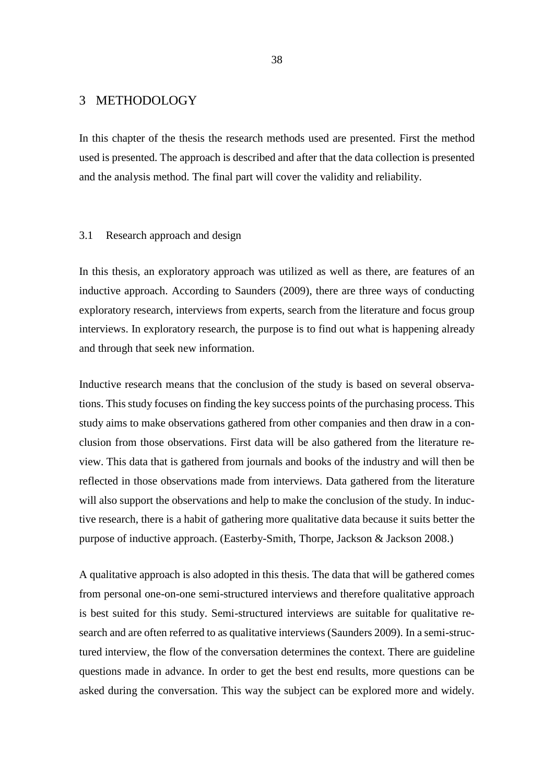# 3 METHODOLOGY

In this chapter of the thesis the research methods used are presented. First the method used is presented. The approach is described and after that the data collection is presented and the analysis method. The final part will cover the validity and reliability.

#### 3.1 Research approach and design

In this thesis, an exploratory approach was utilized as well as there, are features of an inductive approach. According to Saunders (2009), there are three ways of conducting exploratory research, interviews from experts, search from the literature and focus group interviews. In exploratory research, the purpose is to find out what is happening already and through that seek new information.

Inductive research means that the conclusion of the study is based on several observations. This study focuses on finding the key success points of the purchasing process. This study aims to make observations gathered from other companies and then draw in a conclusion from those observations. First data will be also gathered from the literature review. This data that is gathered from journals and books of the industry and will then be reflected in those observations made from interviews. Data gathered from the literature will also support the observations and help to make the conclusion of the study. In inductive research, there is a habit of gathering more qualitative data because it suits better the purpose of inductive approach. (Easterby-Smith, Thorpe, Jackson & Jackson 2008.)

A qualitative approach is also adopted in this thesis. The data that will be gathered comes from personal one-on-one semi-structured interviews and therefore qualitative approach is best suited for this study. Semi-structured interviews are suitable for qualitative research and are often referred to as qualitative interviews (Saunders 2009). In a semi-structured interview, the flow of the conversation determines the context. There are guideline questions made in advance. In order to get the best end results, more questions can be asked during the conversation. This way the subject can be explored more and widely.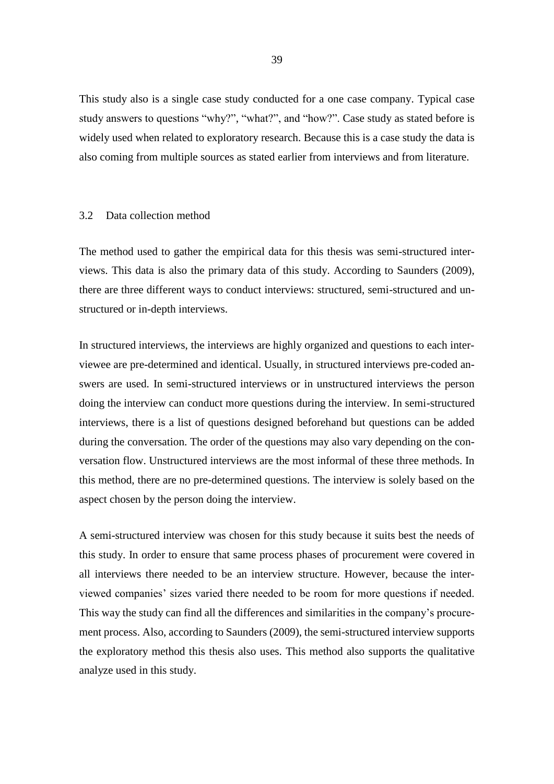This study also is a single case study conducted for a one case company. Typical case study answers to questions "why?", "what?", and "how?". Case study as stated before is widely used when related to exploratory research. Because this is a case study the data is also coming from multiple sources as stated earlier from interviews and from literature.

### 3.2 Data collection method

The method used to gather the empirical data for this thesis was semi-structured interviews. This data is also the primary data of this study. According to Saunders (2009), there are three different ways to conduct interviews: structured, semi-structured and unstructured or in-depth interviews.

In structured interviews, the interviews are highly organized and questions to each interviewee are pre-determined and identical. Usually, in structured interviews pre-coded answers are used. In semi-structured interviews or in unstructured interviews the person doing the interview can conduct more questions during the interview. In semi-structured interviews, there is a list of questions designed beforehand but questions can be added during the conversation. The order of the questions may also vary depending on the conversation flow. Unstructured interviews are the most informal of these three methods. In this method, there are no pre-determined questions. The interview is solely based on the aspect chosen by the person doing the interview.

A semi-structured interview was chosen for this study because it suits best the needs of this study. In order to ensure that same process phases of procurement were covered in all interviews there needed to be an interview structure. However, because the interviewed companies' sizes varied there needed to be room for more questions if needed. This way the study can find all the differences and similarities in the company's procurement process. Also, according to Saunders (2009), the semi-structured interview supports the exploratory method this thesis also uses. This method also supports the qualitative analyze used in this study.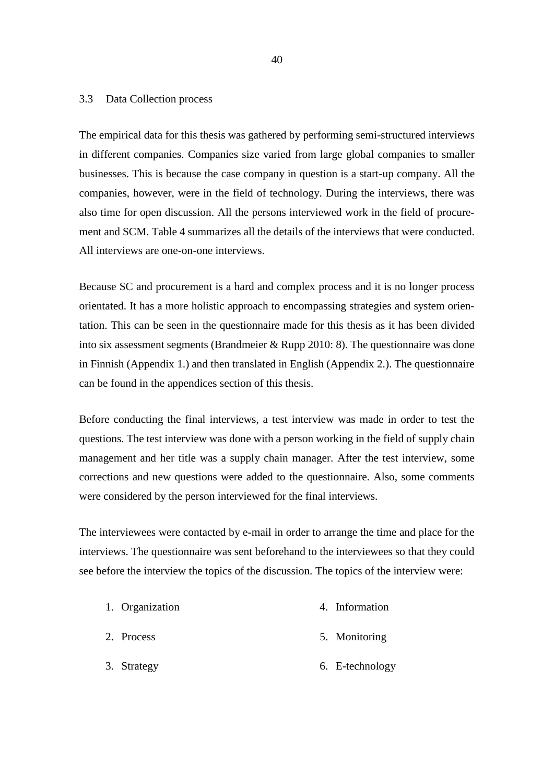#### 3.3 Data Collection process

The empirical data for this thesis was gathered by performing semi-structured interviews in different companies. Companies size varied from large global companies to smaller businesses. This is because the case company in question is a start-up company. All the companies, however, were in the field of technology. During the interviews, there was also time for open discussion. All the persons interviewed work in the field of procurement and SCM. Table 4 summarizes all the details of the interviews that were conducted. All interviews are one-on-one interviews.

Because SC and procurement is a hard and complex process and it is no longer process orientated. It has a more holistic approach to encompassing strategies and system orientation. This can be seen in the questionnaire made for this thesis as it has been divided into six assessment segments (Brandmeier & Rupp 2010: 8). The questionnaire was done in Finnish (Appendix 1.) and then translated in English (Appendix 2.). The questionnaire can be found in the appendices section of this thesis.

Before conducting the final interviews, a test interview was made in order to test the questions. The test interview was done with a person working in the field of supply chain management and her title was a supply chain manager. After the test interview, some corrections and new questions were added to the questionnaire. Also, some comments were considered by the person interviewed for the final interviews.

The interviewees were contacted by e-mail in order to arrange the time and place for the interviews. The questionnaire was sent beforehand to the interviewees so that they could see before the interview the topics of the discussion. The topics of the interview were:

| 1. Organization | 4. Information  |
|-----------------|-----------------|
| 2. Process      | 5. Monitoring   |
| 3. Strategy     | 6. E-technology |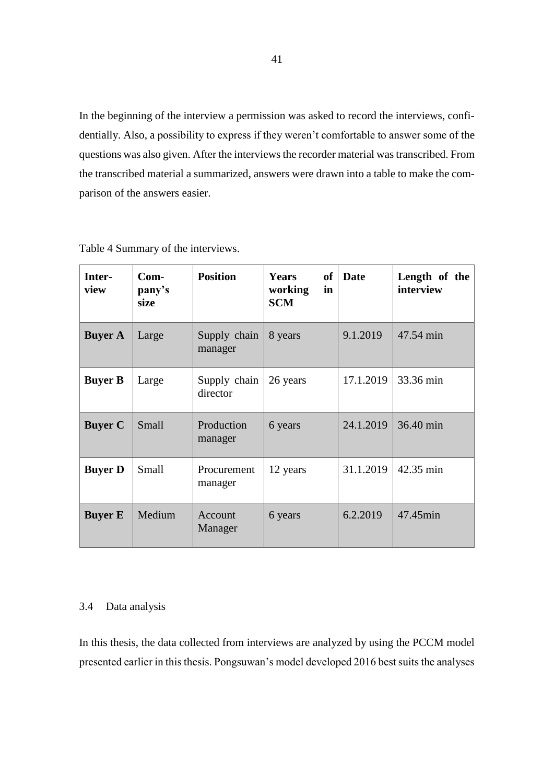In the beginning of the interview a permission was asked to record the interviews, confidentially. Also, a possibility to express if they weren't comfortable to answer some of the questions was also given. After the interviews the recorder material was transcribed. From the transcribed material a summarized, answers were drawn into a table to make the comparison of the answers easier.

| Inter-<br>view | $Com-$<br>pany's<br>size | <b>Position</b>          | of<br>Years<br>working<br>in<br><b>SCM</b> | Date      | Length of the<br>interview |
|----------------|--------------------------|--------------------------|--------------------------------------------|-----------|----------------------------|
| <b>Buyer A</b> | Large                    | Supply chain<br>manager  | 8 years                                    | 9.1.2019  | 47.54 min                  |
| <b>Buyer B</b> | Large                    | Supply chain<br>director | 26 years                                   | 17.1.2019 | 33.36 min                  |
| <b>Buyer C</b> | Small                    | Production<br>manager    | 6 years                                    | 24.1.2019 | 36.40 min                  |
| <b>Buyer D</b> | Small                    | Procurement<br>manager   | 12 years                                   | 31.1.2019 | 42.35 min                  |
| <b>Buyer E</b> | Medium                   | Account<br>Manager       | 6 years                                    | 6.2.2019  | 47.45min                   |

Table 4 Summary of the interviews.

### 3.4 Data analysis

In this thesis, the data collected from interviews are analyzed by using the PCCM model presented earlier in this thesis. Pongsuwan's model developed 2016 best suits the analyses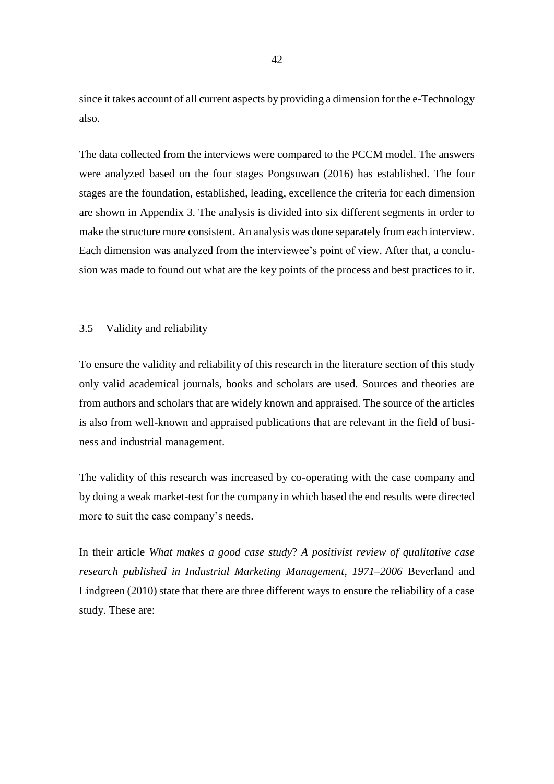since it takes account of all current aspects by providing a dimension for the e-Technology also.

The data collected from the interviews were compared to the PCCM model. The answers were analyzed based on the four stages Pongsuwan (2016) has established. The four stages are the foundation, established, leading, excellence the criteria for each dimension are shown in Appendix 3. The analysis is divided into six different segments in order to make the structure more consistent. An analysis was done separately from each interview. Each dimension was analyzed from the interviewee's point of view. After that, a conclusion was made to found out what are the key points of the process and best practices to it.

### 3.5 Validity and reliability

To ensure the validity and reliability of this research in the literature section of this study only valid academical journals, books and scholars are used. Sources and theories are from authors and scholars that are widely known and appraised. The source of the articles is also from well-known and appraised publications that are relevant in the field of business and industrial management.

The validity of this research was increased by co-operating with the case company and by doing a weak market-test for the company in which based the end results were directed more to suit the case company's needs.

In their article *What makes a good case study*? *A positivist review of qualitative case research published in Industrial Marketing Management*, *1971–2006* Beverland and Lindgreen (2010) state that there are three different ways to ensure the reliability of a case study. These are: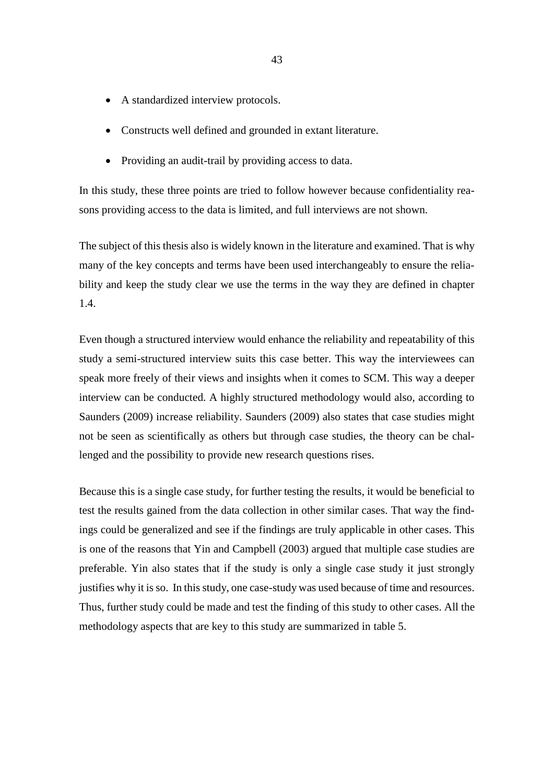- A standardized interview protocols.
- Constructs well defined and grounded in extant literature.
- Providing an audit-trail by providing access to data.

In this study, these three points are tried to follow however because confidentiality reasons providing access to the data is limited, and full interviews are not shown.

The subject of this thesis also is widely known in the literature and examined. That is why many of the key concepts and terms have been used interchangeably to ensure the reliability and keep the study clear we use the terms in the way they are defined in chapter 1.4.

Even though a structured interview would enhance the reliability and repeatability of this study a semi-structured interview suits this case better. This way the interviewees can speak more freely of their views and insights when it comes to SCM. This way a deeper interview can be conducted. A highly structured methodology would also, according to Saunders (2009) increase reliability. Saunders (2009) also states that case studies might not be seen as scientifically as others but through case studies, the theory can be challenged and the possibility to provide new research questions rises.

Because this is a single case study, for further testing the results, it would be beneficial to test the results gained from the data collection in other similar cases. That way the findings could be generalized and see if the findings are truly applicable in other cases. This is one of the reasons that Yin and Campbell (2003) argued that multiple case studies are preferable. Yin also states that if the study is only a single case study it just strongly justifies why it is so. In this study, one case-study was used because of time and resources. Thus, further study could be made and test the finding of this study to other cases. All the methodology aspects that are key to this study are summarized in table 5.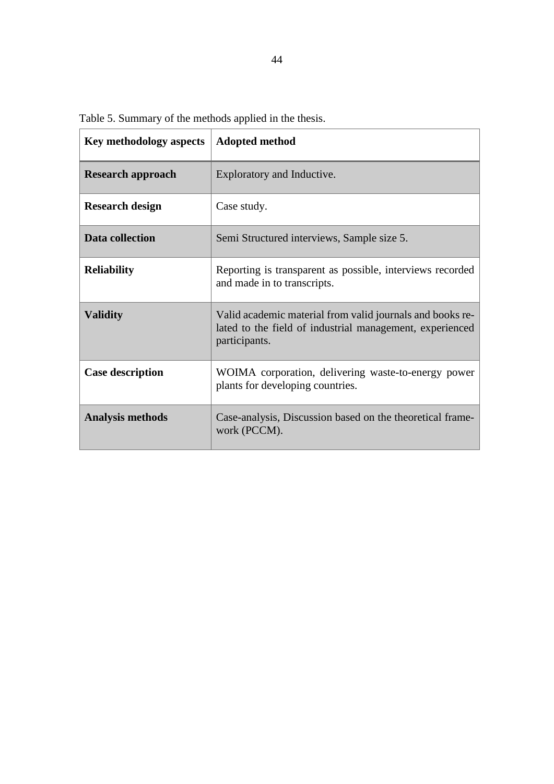Table 5. Summary of the methods applied in the thesis.

| <b>Key methodology aspects</b> | <b>Adopted method</b>                                                                                                                  |
|--------------------------------|----------------------------------------------------------------------------------------------------------------------------------------|
| <b>Research approach</b>       | Exploratory and Inductive.                                                                                                             |
| <b>Research design</b>         | Case study.                                                                                                                            |
| Data collection                | Semi Structured interviews, Sample size 5.                                                                                             |
| <b>Reliability</b>             | Reporting is transparent as possible, interviews recorded<br>and made in to transcripts.                                               |
| <b>Validity</b>                | Valid academic material from valid journals and books re-<br>lated to the field of industrial management, experienced<br>participants. |
| <b>Case description</b>        | WOIMA corporation, delivering waste-to-energy power<br>plants for developing countries.                                                |
| <b>Analysis methods</b>        | Case-analysis, Discussion based on the theoretical frame-<br>work (PCCM).                                                              |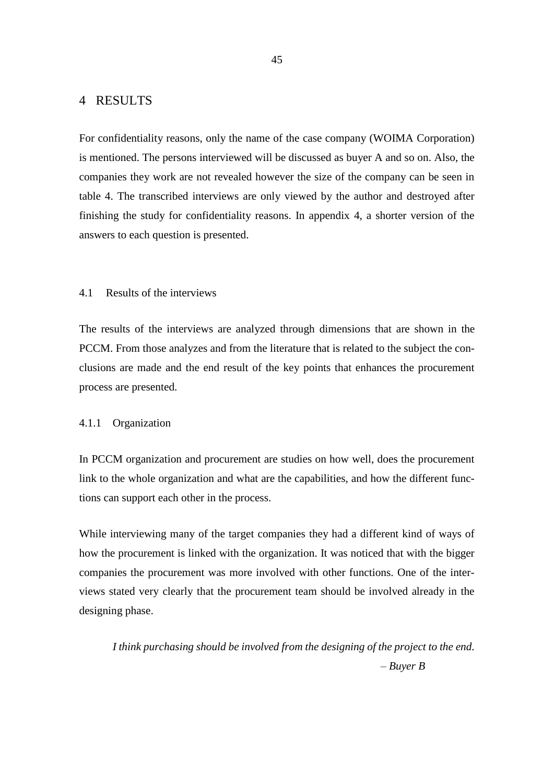# 4 RESULTS

For confidentiality reasons, only the name of the case company (WOIMA Corporation) is mentioned. The persons interviewed will be discussed as buyer A and so on. Also, the companies they work are not revealed however the size of the company can be seen in table 4. The transcribed interviews are only viewed by the author and destroyed after finishing the study for confidentiality reasons. In appendix 4, a shorter version of the answers to each question is presented.

# 4.1 Results of the interviews

The results of the interviews are analyzed through dimensions that are shown in the PCCM. From those analyzes and from the literature that is related to the subject the conclusions are made and the end result of the key points that enhances the procurement process are presented.

### 4.1.1 Organization

In PCCM organization and procurement are studies on how well, does the procurement link to the whole organization and what are the capabilities, and how the different functions can support each other in the process.

While interviewing many of the target companies they had a different kind of ways of how the procurement is linked with the organization. It was noticed that with the bigger companies the procurement was more involved with other functions. One of the interviews stated very clearly that the procurement team should be involved already in the designing phase.

*I think purchasing should be involved from the designing of the project to the end. – Buyer B*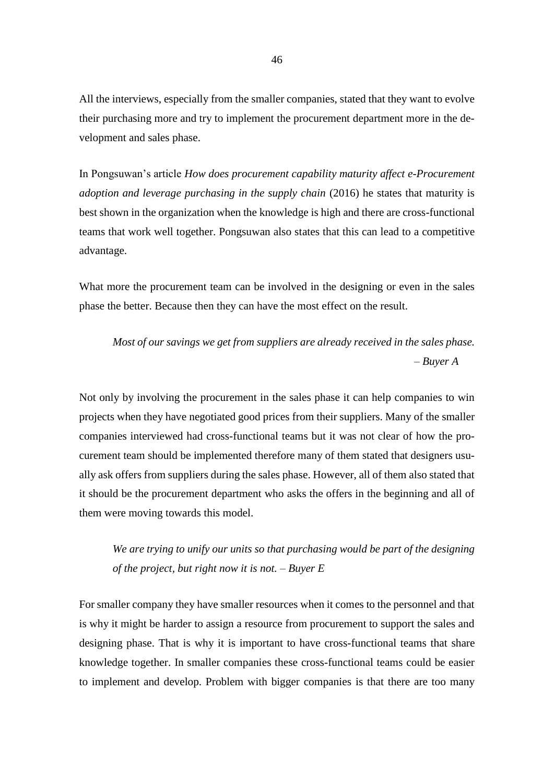All the interviews, especially from the smaller companies, stated that they want to evolve their purchasing more and try to implement the procurement department more in the development and sales phase.

In Pongsuwan's article *How does procurement capability maturity affect e-Procurement adoption and leverage purchasing in the supply chain* (2016) he states that maturity is best shown in the organization when the knowledge is high and there are cross-functional teams that work well together. Pongsuwan also states that this can lead to a competitive advantage.

What more the procurement team can be involved in the designing or even in the sales phase the better. Because then they can have the most effect on the result.

*Most of our savings we get from suppliers are already received in the sales phase. – Buyer A*

Not only by involving the procurement in the sales phase it can help companies to win projects when they have negotiated good prices from their suppliers. Many of the smaller companies interviewed had cross-functional teams but it was not clear of how the procurement team should be implemented therefore many of them stated that designers usually ask offers from suppliers during the sales phase. However, all of them also stated that it should be the procurement department who asks the offers in the beginning and all of them were moving towards this model.

*We are trying to unify our units so that purchasing would be part of the designing of the project, but right now it is not. – Buyer E*

For smaller company they have smaller resources when it comes to the personnel and that is why it might be harder to assign a resource from procurement to support the sales and designing phase. That is why it is important to have cross-functional teams that share knowledge together. In smaller companies these cross-functional teams could be easier to implement and develop. Problem with bigger companies is that there are too many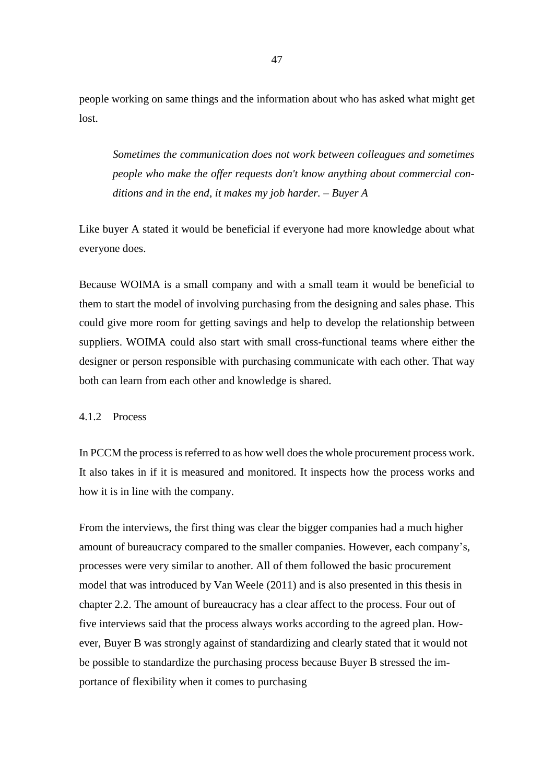people working on same things and the information about who has asked what might get lost.

*Sometimes the communication does not work between colleagues and sometimes people who make the offer requests don't know anything about commercial conditions and in the end, it makes my job harder. – Buyer A* 

Like buyer A stated it would be beneficial if everyone had more knowledge about what everyone does.

Because WOIMA is a small company and with a small team it would be beneficial to them to start the model of involving purchasing from the designing and sales phase. This could give more room for getting savings and help to develop the relationship between suppliers. WOIMA could also start with small cross-functional teams where either the designer or person responsible with purchasing communicate with each other. That way both can learn from each other and knowledge is shared.

#### 4.1.2 Process

In PCCM the process is referred to as how well does the whole procurement process work. It also takes in if it is measured and monitored. It inspects how the process works and how it is in line with the company.

From the interviews, the first thing was clear the bigger companies had a much higher amount of bureaucracy compared to the smaller companies. However, each company's, processes were very similar to another. All of them followed the basic procurement model that was introduced by Van Weele (2011) and is also presented in this thesis in chapter 2.2. The amount of bureaucracy has a clear affect to the process. Four out of five interviews said that the process always works according to the agreed plan. However, Buyer B was strongly against of standardizing and clearly stated that it would not be possible to standardize the purchasing process because Buyer B stressed the importance of flexibility when it comes to purchasing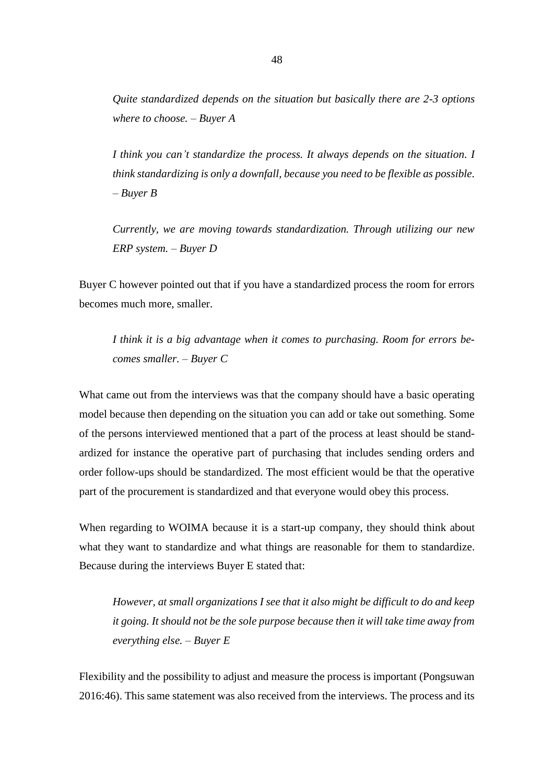*Quite standardized depends on the situation but basically there are 2-3 options where to choose. – Buyer A*

*I think you can't standardize the process. It always depends on the situation. I think standardizing is only a downfall, because you need to be flexible as possible. – Buyer B* 

*Currently, we are moving towards standardization. Through utilizing our new ERP system. – Buyer D* 

Buyer C however pointed out that if you have a standardized process the room for errors becomes much more, smaller.

*I think it is a big advantage when it comes to purchasing. Room for errors becomes smaller. – Buyer C* 

What came out from the interviews was that the company should have a basic operating model because then depending on the situation you can add or take out something. Some of the persons interviewed mentioned that a part of the process at least should be standardized for instance the operative part of purchasing that includes sending orders and order follow-ups should be standardized. The most efficient would be that the operative part of the procurement is standardized and that everyone would obey this process.

When regarding to WOIMA because it is a start-up company, they should think about what they want to standardize and what things are reasonable for them to standardize. Because during the interviews Buyer E stated that:

*However, at small organizations I see that it also might be difficult to do and keep it going. It should not be the sole purpose because then it will take time away from everything else. – Buyer E* 

Flexibility and the possibility to adjust and measure the process is important (Pongsuwan 2016:46). This same statement was also received from the interviews. The process and its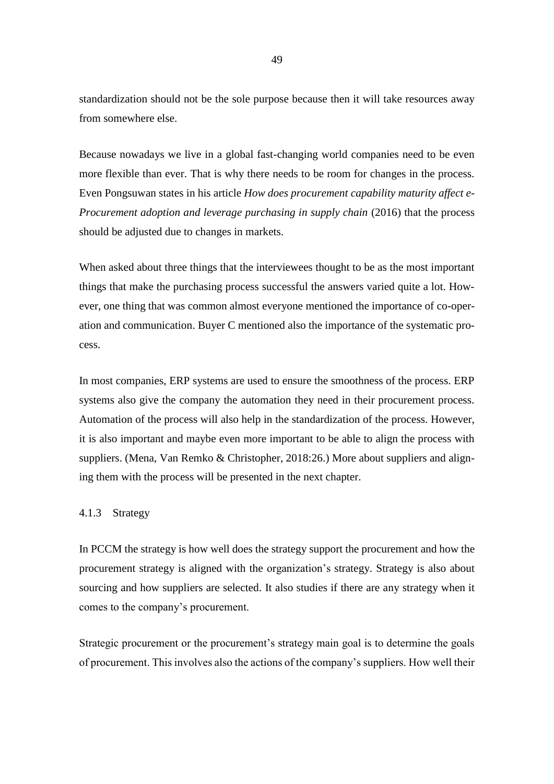standardization should not be the sole purpose because then it will take resources away from somewhere else.

Because nowadays we live in a global fast-changing world companies need to be even more flexible than ever. That is why there needs to be room for changes in the process. Even Pongsuwan states in his article *How does procurement capability maturity affect e-Procurement adoption and leverage purchasing in supply chain* (2016) that the process should be adjusted due to changes in markets.

When asked about three things that the interviewees thought to be as the most important things that make the purchasing process successful the answers varied quite a lot. However, one thing that was common almost everyone mentioned the importance of co-operation and communication. Buyer C mentioned also the importance of the systematic process.

In most companies, ERP systems are used to ensure the smoothness of the process. ERP systems also give the company the automation they need in their procurement process. Automation of the process will also help in the standardization of the process. However, it is also important and maybe even more important to be able to align the process with suppliers. (Mena, Van Remko & Christopher, 2018:26.) More about suppliers and aligning them with the process will be presented in the next chapter.

#### 4.1.3 Strategy

In PCCM the strategy is how well does the strategy support the procurement and how the procurement strategy is aligned with the organization's strategy. Strategy is also about sourcing and how suppliers are selected. It also studies if there are any strategy when it comes to the company's procurement.

Strategic procurement or the procurement's strategy main goal is to determine the goals of procurement. This involves also the actions of the company's suppliers. How well their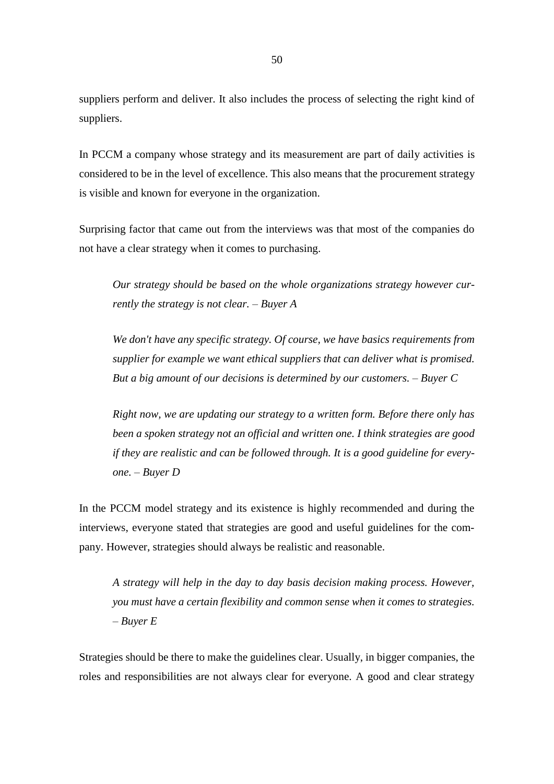suppliers perform and deliver. It also includes the process of selecting the right kind of suppliers.

In PCCM a company whose strategy and its measurement are part of daily activities is considered to be in the level of excellence. This also means that the procurement strategy is visible and known for everyone in the organization.

Surprising factor that came out from the interviews was that most of the companies do not have a clear strategy when it comes to purchasing.

*Our strategy should be based on the whole organizations strategy however currently the strategy is not clear. – Buyer A*

*We don't have any specific strategy. Of course, we have basics requirements from supplier for example we want ethical suppliers that can deliver what is promised. But a big amount of our decisions is determined by our customers. – Buyer C*

*Right now, we are updating our strategy to a written form. Before there only has been a spoken strategy not an official and written one. I think strategies are good if they are realistic and can be followed through. It is a good guideline for everyone. – Buyer D*

In the PCCM model strategy and its existence is highly recommended and during the interviews, everyone stated that strategies are good and useful guidelines for the company. However, strategies should always be realistic and reasonable.

*A strategy will help in the day to day basis decision making process. However, you must have a certain flexibility and common sense when it comes to strategies. – Buyer E* 

Strategies should be there to make the guidelines clear. Usually, in bigger companies, the roles and responsibilities are not always clear for everyone. A good and clear strategy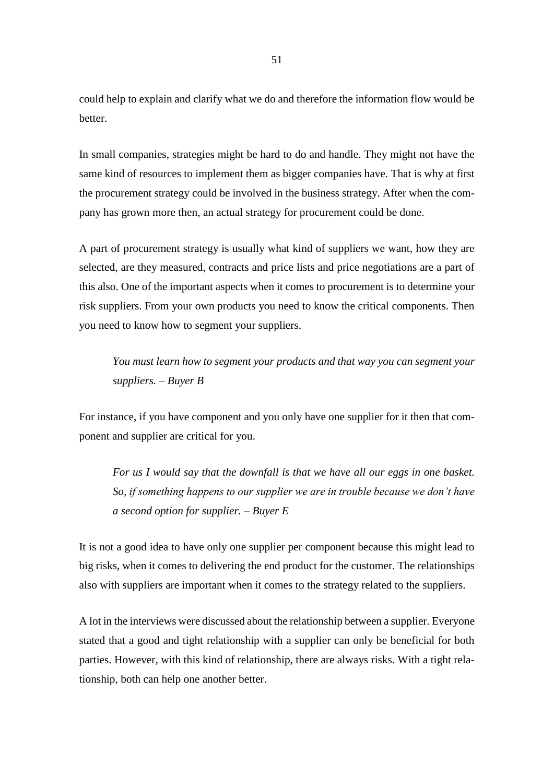could help to explain and clarify what we do and therefore the information flow would be better.

In small companies, strategies might be hard to do and handle. They might not have the same kind of resources to implement them as bigger companies have. That is why at first the procurement strategy could be involved in the business strategy. After when the company has grown more then, an actual strategy for procurement could be done.

A part of procurement strategy is usually what kind of suppliers we want, how they are selected, are they measured, contracts and price lists and price negotiations are a part of this also. One of the important aspects when it comes to procurement is to determine your risk suppliers. From your own products you need to know the critical components. Then you need to know how to segment your suppliers.

*You must learn how to segment your products and that way you can segment your suppliers. – Buyer B*

For instance, if you have component and you only have one supplier for it then that component and supplier are critical for you.

*For us I would say that the downfall is that we have all our eggs in one basket. So, if something happens to our supplier we are in trouble because we don't have a second option for supplier. – Buyer E* 

It is not a good idea to have only one supplier per component because this might lead to big risks, when it comes to delivering the end product for the customer. The relationships also with suppliers are important when it comes to the strategy related to the suppliers.

A lot in the interviews were discussed about the relationship between a supplier. Everyone stated that a good and tight relationship with a supplier can only be beneficial for both parties. However, with this kind of relationship, there are always risks. With a tight relationship, both can help one another better.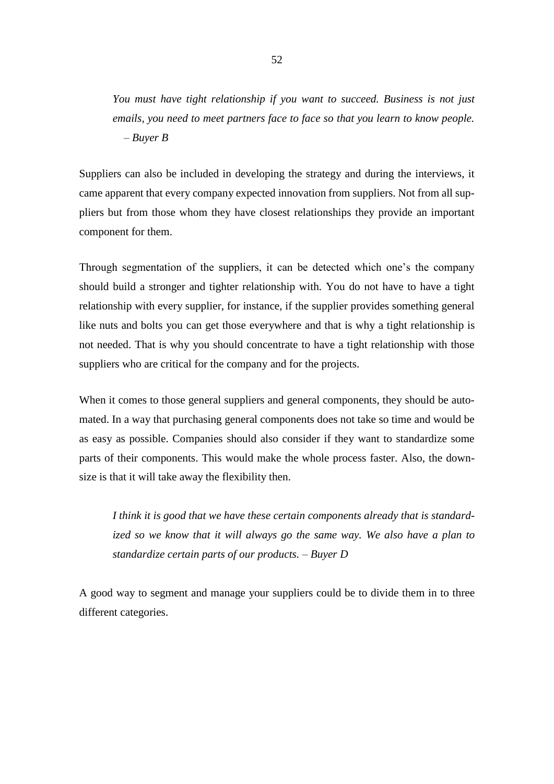*You must have tight relationship if you want to succeed. Business is not just emails, you need to meet partners face to face so that you learn to know people. – Buyer B*

Suppliers can also be included in developing the strategy and during the interviews, it came apparent that every company expected innovation from suppliers. Not from all suppliers but from those whom they have closest relationships they provide an important component for them.

Through segmentation of the suppliers, it can be detected which one's the company should build a stronger and tighter relationship with. You do not have to have a tight relationship with every supplier, for instance, if the supplier provides something general like nuts and bolts you can get those everywhere and that is why a tight relationship is not needed. That is why you should concentrate to have a tight relationship with those suppliers who are critical for the company and for the projects.

When it comes to those general suppliers and general components, they should be automated. In a way that purchasing general components does not take so time and would be as easy as possible. Companies should also consider if they want to standardize some parts of their components. This would make the whole process faster. Also, the downsize is that it will take away the flexibility then.

*I think it is good that we have these certain components already that is standardized so we know that it will always go the same way. We also have a plan to standardize certain parts of our products. – Buyer D* 

A good way to segment and manage your suppliers could be to divide them in to three different categories.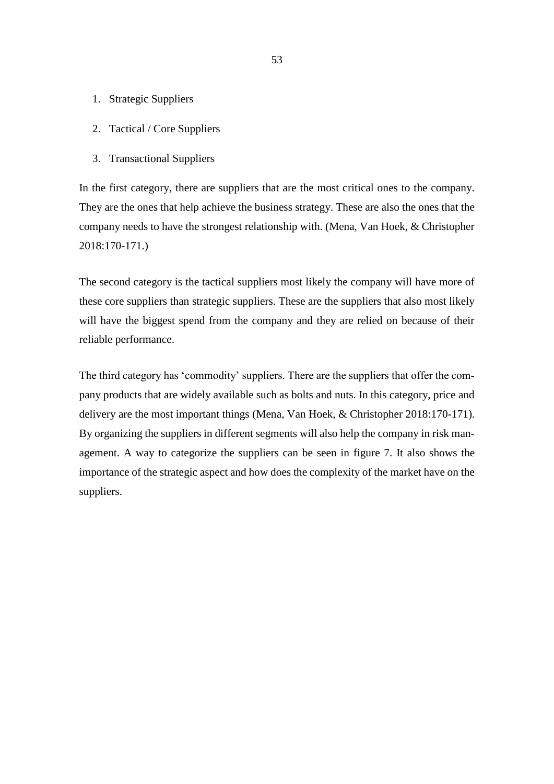- 1. Strategic Suppliers
- 2. Tactical / Core Suppliers
- 3. Transactional Suppliers

In the first category, there are suppliers that are the most critical ones to the company. They are the ones that help achieve the business strategy. These are also the ones that the company needs to have the strongest relationship with. (Mena, Van Hoek, & Christopher 2018:170-171.)

The second category is the tactical suppliers most likely the company will have more of these core suppliers than strategic suppliers. These are the suppliers that also most likely will have the biggest spend from the company and they are relied on because of their reliable performance.

The third category has 'commodity' suppliers. There are the suppliers that offer the company products that are widely available such as bolts and nuts. In this category, price and delivery are the most important things (Mena, Van Hoek, & Christopher 2018:170-171). By organizing the suppliers in different segments will also help the company in risk management. A way to categorize the suppliers can be seen in figure 7. It also shows the importance of the strategic aspect and how does the complexity of the market have on the suppliers.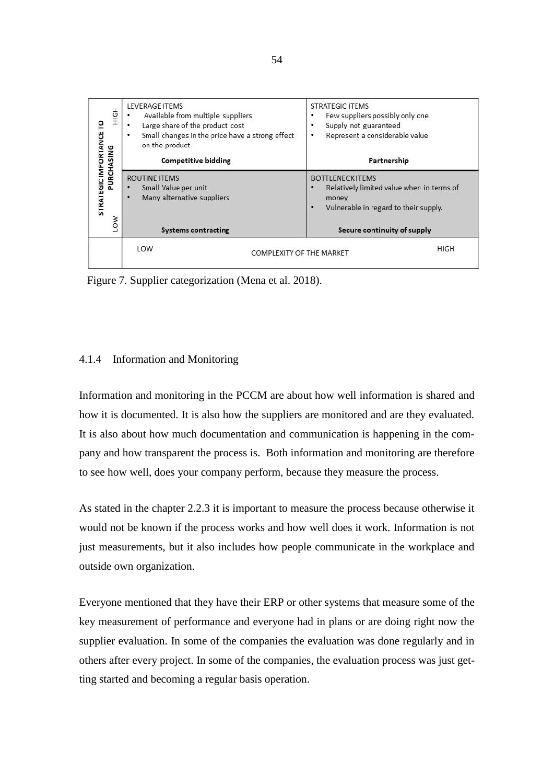| STRATEGIC IMPORTANCE TO<br>PURCHASING | <b>Competitive bidding</b><br><b>ROUTINE ITEMS</b><br>Small Value per unit<br>٠<br>Many alternative suppliers<br>٠ | Partnership<br><b>BOTTLENECK ITEMS</b><br>Relatively limited value when in terms of<br>money<br>Vulnerable in regard to their supply.<br>٠ |
|---------------------------------------|--------------------------------------------------------------------------------------------------------------------|--------------------------------------------------------------------------------------------------------------------------------------------|
| <b>MOT</b>                            | <b>Systems contracting</b>                                                                                         | Secure continuity of supply                                                                                                                |

Figure 7. Supplier categorization (Mena et al. 2018).

# 4.1.4 Information and Monitoring

Information and monitoring in the PCCM are about how well information is shared and how it is documented. It is also how the suppliers are monitored and are they evaluated. It is also about how much documentation and communication is happening in the company and how transparent the process is. Both information and monitoring are therefore to see how well, does your company perform, because they measure the process.

As stated in the chapter 2.2.3 it is important to measure the process because otherwise it would not be known if the process works and how well does it work. Information is not just measurements, but it also includes how people communicate in the workplace and outside own organization.

Everyone mentioned that they have their ERP or other systems that measure some of the key measurement of performance and everyone had in plans or are doing right now the supplier evaluation. In some of the companies the evaluation was done regularly and in others after every project. In some of the companies, the evaluation process was just getting started and becoming a regular basis operation.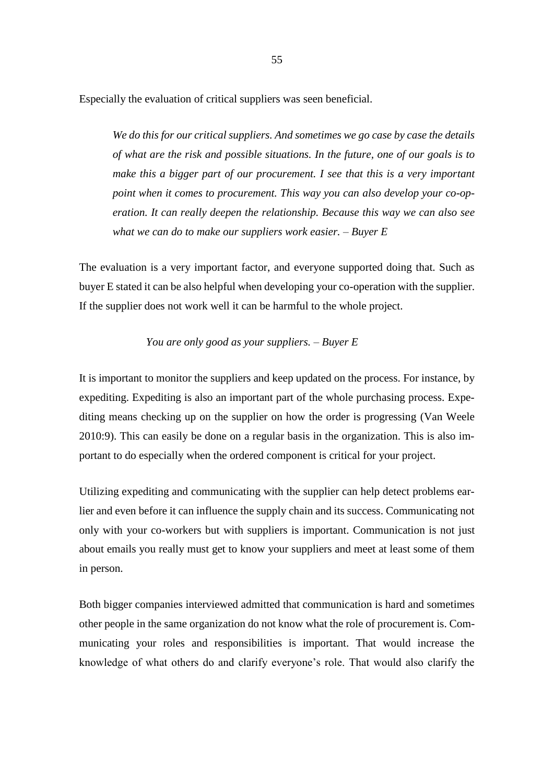Especially the evaluation of critical suppliers was seen beneficial.

*We do this for our critical suppliers. And sometimes we go case by case the details of what are the risk and possible situations. In the future, one of our goals is to make this a bigger part of our procurement. I see that this is a very important point when it comes to procurement. This way you can also develop your co-operation. It can really deepen the relationship. Because this way we can also see what we can do to make our suppliers work easier. – Buyer E* 

The evaluation is a very important factor, and everyone supported doing that. Such as buyer E stated it can be also helpful when developing your co-operation with the supplier. If the supplier does not work well it can be harmful to the whole project.

### *You are only good as your suppliers. – Buyer E*

It is important to monitor the suppliers and keep updated on the process. For instance, by expediting. Expediting is also an important part of the whole purchasing process. Expediting means checking up on the supplier on how the order is progressing (Van Weele 2010:9). This can easily be done on a regular basis in the organization. This is also important to do especially when the ordered component is critical for your project.

Utilizing expediting and communicating with the supplier can help detect problems earlier and even before it can influence the supply chain and its success. Communicating not only with your co-workers but with suppliers is important. Communication is not just about emails you really must get to know your suppliers and meet at least some of them in person.

Both bigger companies interviewed admitted that communication is hard and sometimes other people in the same organization do not know what the role of procurement is. Communicating your roles and responsibilities is important. That would increase the knowledge of what others do and clarify everyone's role. That would also clarify the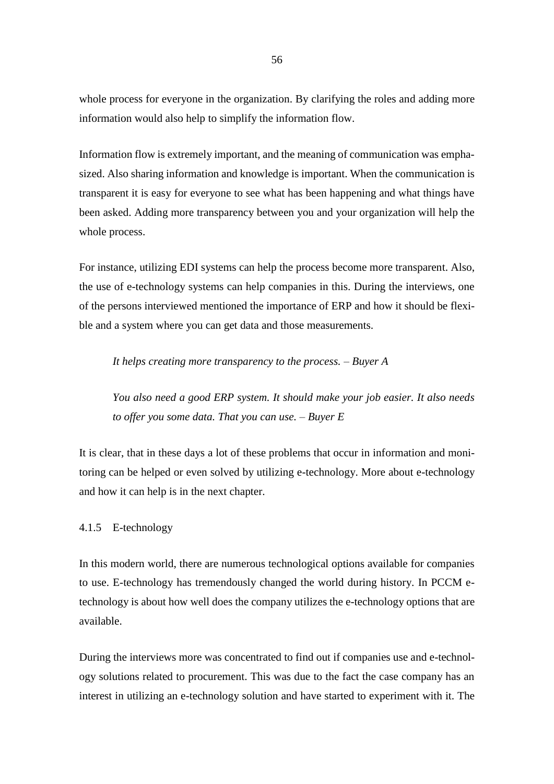whole process for everyone in the organization. By clarifying the roles and adding more information would also help to simplify the information flow.

Information flow is extremely important, and the meaning of communication was emphasized. Also sharing information and knowledge is important. When the communication is transparent it is easy for everyone to see what has been happening and what things have been asked. Adding more transparency between you and your organization will help the whole process.

For instance, utilizing EDI systems can help the process become more transparent. Also, the use of e-technology systems can help companies in this. During the interviews, one of the persons interviewed mentioned the importance of ERP and how it should be flexible and a system where you can get data and those measurements.

*It helps creating more transparency to the process. – Buyer A*

*You also need a good ERP system. It should make your job easier. It also needs to offer you some data. That you can use. – Buyer E*

It is clear, that in these days a lot of these problems that occur in information and monitoring can be helped or even solved by utilizing e-technology. More about e-technology and how it can help is in the next chapter.

# 4.1.5 E-technology

In this modern world, there are numerous technological options available for companies to use. E-technology has tremendously changed the world during history. In PCCM etechnology is about how well does the company utilizes the e-technology options that are available.

During the interviews more was concentrated to find out if companies use and e-technology solutions related to procurement. This was due to the fact the case company has an interest in utilizing an e-technology solution and have started to experiment with it. The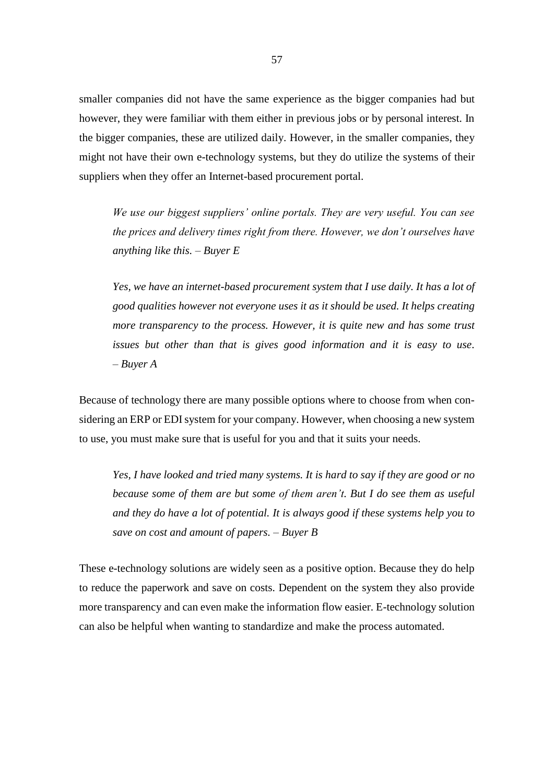smaller companies did not have the same experience as the bigger companies had but however, they were familiar with them either in previous jobs or by personal interest. In the bigger companies, these are utilized daily. However, in the smaller companies, they might not have their own e-technology systems, but they do utilize the systems of their suppliers when they offer an Internet-based procurement portal.

*We use our biggest suppliers' online portals. They are very useful. You can see the prices and delivery times right from there. However, we don't ourselves have anything like this. – Buyer E* 

*Yes, we have an internet-based procurement system that I use daily. It has a lot of good qualities however not everyone uses it as it should be used. It helps creating more transparency to the process. However, it is quite new and has some trust issues but other than that is gives good information and it is easy to use. – Buyer A*

Because of technology there are many possible options where to choose from when considering an ERP or EDI system for your company. However, when choosing a new system to use, you must make sure that is useful for you and that it suits your needs.

*Yes, I have looked and tried many systems. It is hard to say if they are good or no because some of them are but some of them aren't. But I do see them as useful and they do have a lot of potential. It is always good if these systems help you to save on cost and amount of papers. – Buyer B* 

These e-technology solutions are widely seen as a positive option. Because they do help to reduce the paperwork and save on costs. Dependent on the system they also provide more transparency and can even make the information flow easier. E-technology solution can also be helpful when wanting to standardize and make the process automated.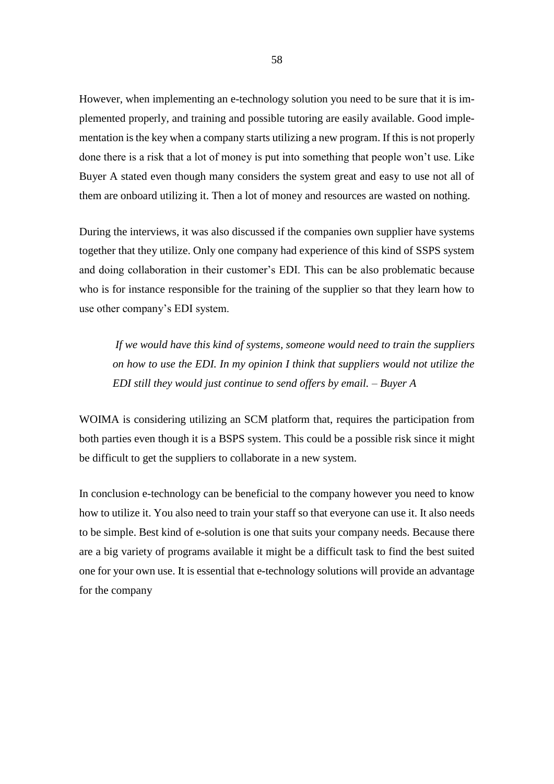However, when implementing an e-technology solution you need to be sure that it is implemented properly, and training and possible tutoring are easily available. Good implementation is the key when a company starts utilizing a new program. If this is not properly done there is a risk that a lot of money is put into something that people won't use. Like Buyer A stated even though many considers the system great and easy to use not all of them are onboard utilizing it. Then a lot of money and resources are wasted on nothing.

During the interviews, it was also discussed if the companies own supplier have systems together that they utilize. Only one company had experience of this kind of SSPS system and doing collaboration in their customer's EDI. This can be also problematic because who is for instance responsible for the training of the supplier so that they learn how to use other company's EDI system.

*If we would have this kind of systems, someone would need to train the suppliers on how to use the EDI. In my opinion I think that suppliers would not utilize the EDI still they would just continue to send offers by email. – Buyer A* 

WOIMA is considering utilizing an SCM platform that, requires the participation from both parties even though it is a BSPS system. This could be a possible risk since it might be difficult to get the suppliers to collaborate in a new system.

In conclusion e-technology can be beneficial to the company however you need to know how to utilize it. You also need to train your staff so that everyone can use it. It also needs to be simple. Best kind of e-solution is one that suits your company needs. Because there are a big variety of programs available it might be a difficult task to find the best suited one for your own use. It is essential that e-technology solutions will provide an advantage for the company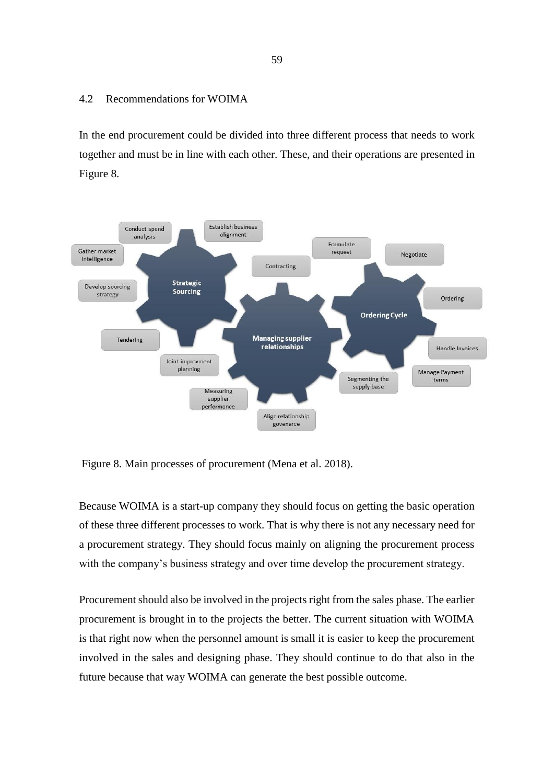### 4.2 Recommendations for WOIMA

In the end procurement could be divided into three different process that needs to work together and must be in line with each other. These, and their operations are presented in Figure 8.



Figure 8. Main processes of procurement (Mena et al. 2018).

Because WOIMA is a start-up company they should focus on getting the basic operation of these three different processes to work. That is why there is not any necessary need for a procurement strategy. They should focus mainly on aligning the procurement process with the company's business strategy and over time develop the procurement strategy.

Procurement should also be involved in the projects right from the sales phase. The earlier procurement is brought in to the projects the better. The current situation with WOIMA is that right now when the personnel amount is small it is easier to keep the procurement involved in the sales and designing phase. They should continue to do that also in the future because that way WOIMA can generate the best possible outcome.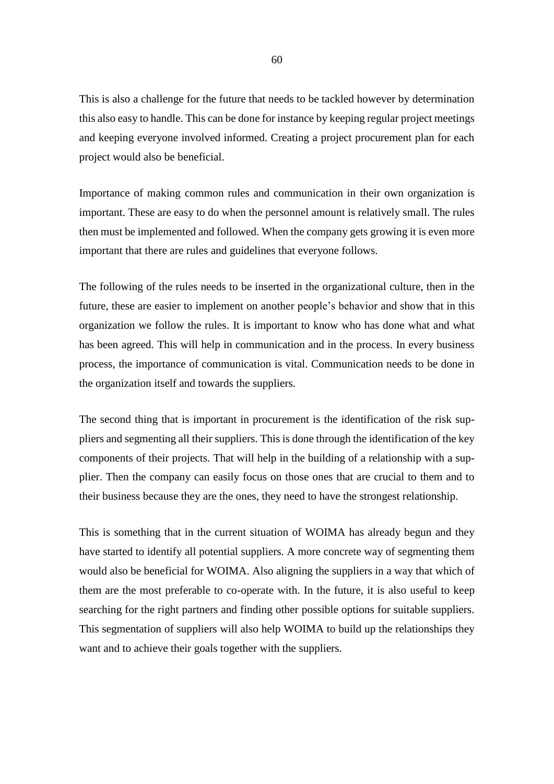This is also a challenge for the future that needs to be tackled however by determination this also easy to handle. This can be done for instance by keeping regular project meetings and keeping everyone involved informed. Creating a project procurement plan for each project would also be beneficial.

Importance of making common rules and communication in their own organization is important. These are easy to do when the personnel amount is relatively small. The rules then must be implemented and followed. When the company gets growing it is even more important that there are rules and guidelines that everyone follows.

The following of the rules needs to be inserted in the organizational culture, then in the future, these are easier to implement on another people's behavior and show that in this organization we follow the rules. It is important to know who has done what and what has been agreed. This will help in communication and in the process. In every business process, the importance of communication is vital. Communication needs to be done in the organization itself and towards the suppliers.

The second thing that is important in procurement is the identification of the risk suppliers and segmenting all their suppliers. This is done through the identification of the key components of their projects. That will help in the building of a relationship with a supplier. Then the company can easily focus on those ones that are crucial to them and to their business because they are the ones, they need to have the strongest relationship.

This is something that in the current situation of WOIMA has already begun and they have started to identify all potential suppliers. A more concrete way of segmenting them would also be beneficial for WOIMA. Also aligning the suppliers in a way that which of them are the most preferable to co-operate with. In the future, it is also useful to keep searching for the right partners and finding other possible options for suitable suppliers. This segmentation of suppliers will also help WOIMA to build up the relationships they want and to achieve their goals together with the suppliers.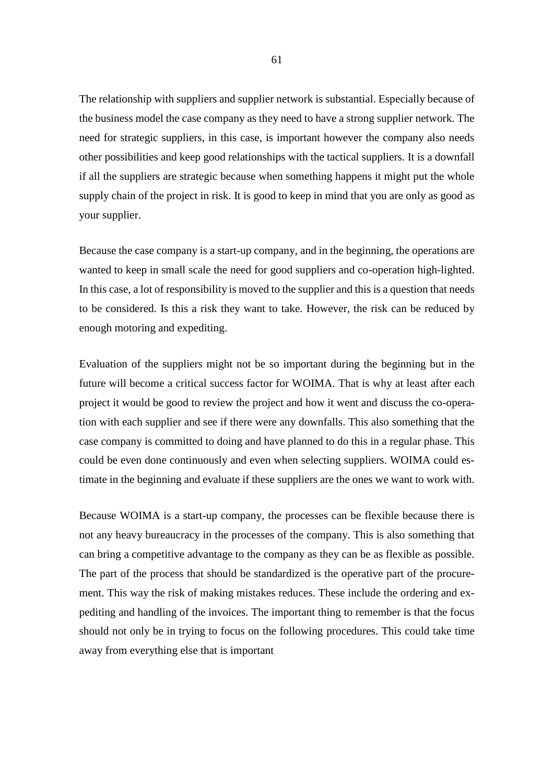The relationship with suppliers and supplier network is substantial. Especially because of the business model the case company as they need to have a strong supplier network. The need for strategic suppliers, in this case, is important however the company also needs other possibilities and keep good relationships with the tactical suppliers. It is a downfall if all the suppliers are strategic because when something happens it might put the whole supply chain of the project in risk. It is good to keep in mind that you are only as good as your supplier.

Because the case company is a start-up company, and in the beginning, the operations are wanted to keep in small scale the need for good suppliers and co-operation high-lighted. In this case, a lot of responsibility is moved to the supplier and this is a question that needs to be considered. Is this a risk they want to take. However, the risk can be reduced by enough motoring and expediting.

Evaluation of the suppliers might not be so important during the beginning but in the future will become a critical success factor for WOIMA. That is why at least after each project it would be good to review the project and how it went and discuss the co-operation with each supplier and see if there were any downfalls. This also something that the case company is committed to doing and have planned to do this in a regular phase. This could be even done continuously and even when selecting suppliers. WOIMA could estimate in the beginning and evaluate if these suppliers are the ones we want to work with.

Because WOIMA is a start-up company, the processes can be flexible because there is not any heavy bureaucracy in the processes of the company. This is also something that can bring a competitive advantage to the company as they can be as flexible as possible. The part of the process that should be standardized is the operative part of the procurement. This way the risk of making mistakes reduces. These include the ordering and expediting and handling of the invoices. The important thing to remember is that the focus should not only be in trying to focus on the following procedures. This could take time away from everything else that is important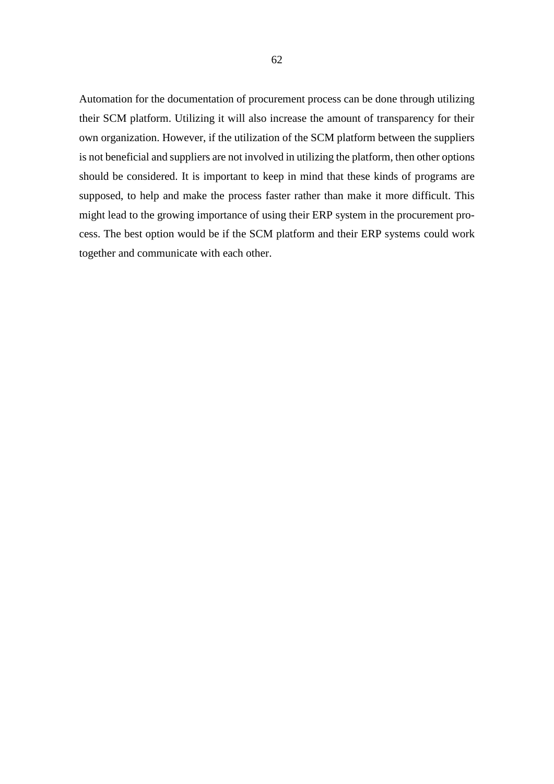Automation for the documentation of procurement process can be done through utilizing their SCM platform. Utilizing it will also increase the amount of transparency for their own organization. However, if the utilization of the SCM platform between the suppliers is not beneficial and suppliers are not involved in utilizing the platform, then other options should be considered. It is important to keep in mind that these kinds of programs are supposed, to help and make the process faster rather than make it more difficult. This might lead to the growing importance of using their ERP system in the procurement process. The best option would be if the SCM platform and their ERP systems could work together and communicate with each other.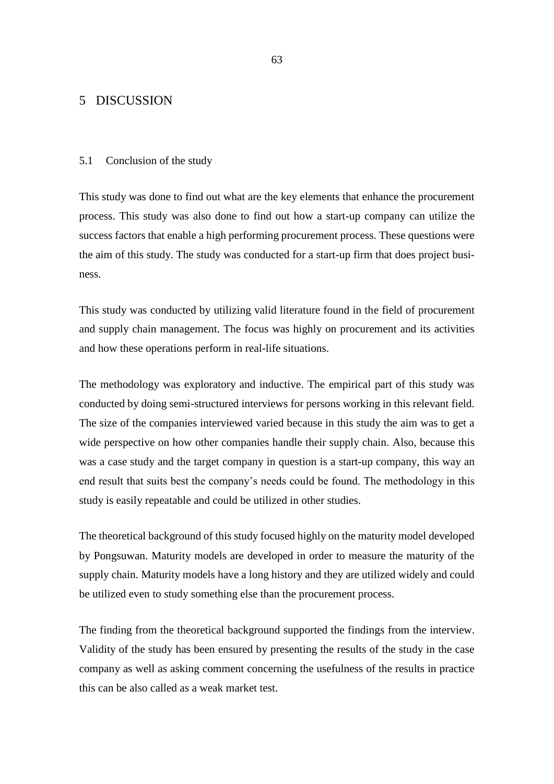# 5 DISCUSSION

#### 5.1 Conclusion of the study

This study was done to find out what are the key elements that enhance the procurement process. This study was also done to find out how a start-up company can utilize the success factors that enable a high performing procurement process. These questions were the aim of this study. The study was conducted for a start-up firm that does project business.

This study was conducted by utilizing valid literature found in the field of procurement and supply chain management. The focus was highly on procurement and its activities and how these operations perform in real-life situations.

The methodology was exploratory and inductive. The empirical part of this study was conducted by doing semi-structured interviews for persons working in this relevant field. The size of the companies interviewed varied because in this study the aim was to get a wide perspective on how other companies handle their supply chain. Also, because this was a case study and the target company in question is a start-up company, this way an end result that suits best the company's needs could be found. The methodology in this study is easily repeatable and could be utilized in other studies.

The theoretical background of this study focused highly on the maturity model developed by Pongsuwan. Maturity models are developed in order to measure the maturity of the supply chain. Maturity models have a long history and they are utilized widely and could be utilized even to study something else than the procurement process.

The finding from the theoretical background supported the findings from the interview. Validity of the study has been ensured by presenting the results of the study in the case company as well as asking comment concerning the usefulness of the results in practice this can be also called as a weak market test.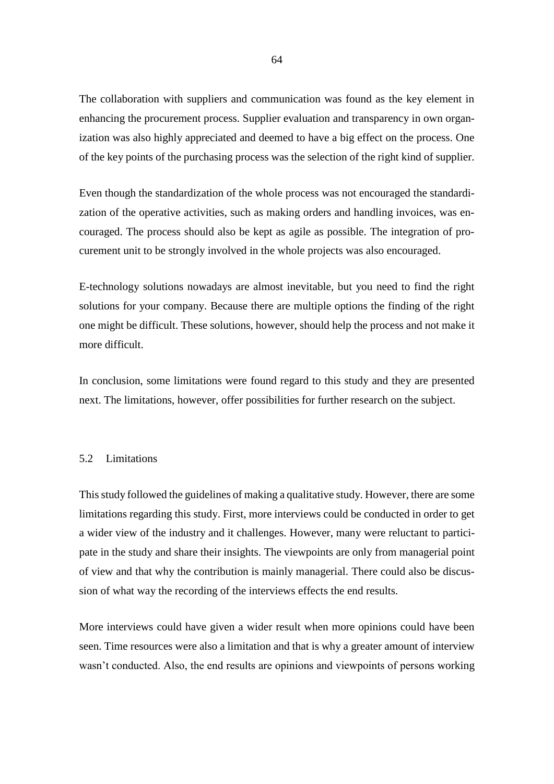The collaboration with suppliers and communication was found as the key element in enhancing the procurement process. Supplier evaluation and transparency in own organization was also highly appreciated and deemed to have a big effect on the process. One of the key points of the purchasing process was the selection of the right kind of supplier.

Even though the standardization of the whole process was not encouraged the standardization of the operative activities, such as making orders and handling invoices, was encouraged. The process should also be kept as agile as possible. The integration of procurement unit to be strongly involved in the whole projects was also encouraged.

E-technology solutions nowadays are almost inevitable, but you need to find the right solutions for your company. Because there are multiple options the finding of the right one might be difficult. These solutions, however, should help the process and not make it more difficult.

In conclusion, some limitations were found regard to this study and they are presented next. The limitations, however, offer possibilities for further research on the subject.

### 5.2 Limitations

This study followed the guidelines of making a qualitative study. However, there are some limitations regarding this study. First, more interviews could be conducted in order to get a wider view of the industry and it challenges. However, many were reluctant to participate in the study and share their insights. The viewpoints are only from managerial point of view and that why the contribution is mainly managerial. There could also be discussion of what way the recording of the interviews effects the end results.

More interviews could have given a wider result when more opinions could have been seen. Time resources were also a limitation and that is why a greater amount of interview wasn't conducted. Also, the end results are opinions and viewpoints of persons working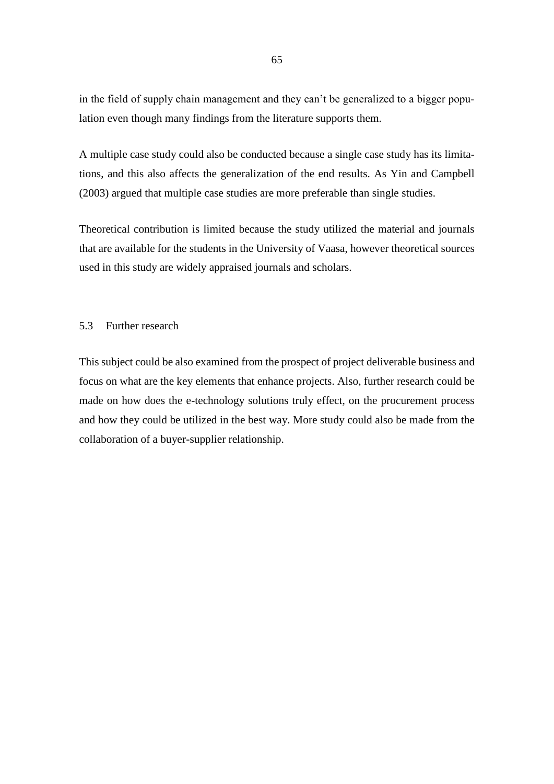in the field of supply chain management and they can't be generalized to a bigger population even though many findings from the literature supports them.

A multiple case study could also be conducted because a single case study has its limitations, and this also affects the generalization of the end results. As Yin and Campbell (2003) argued that multiple case studies are more preferable than single studies.

Theoretical contribution is limited because the study utilized the material and journals that are available for the students in the University of Vaasa, however theoretical sources used in this study are widely appraised journals and scholars.

# 5.3 Further research

This subject could be also examined from the prospect of project deliverable business and focus on what are the key elements that enhance projects. Also, further research could be made on how does the e-technology solutions truly effect, on the procurement process and how they could be utilized in the best way. More study could also be made from the collaboration of a buyer-supplier relationship.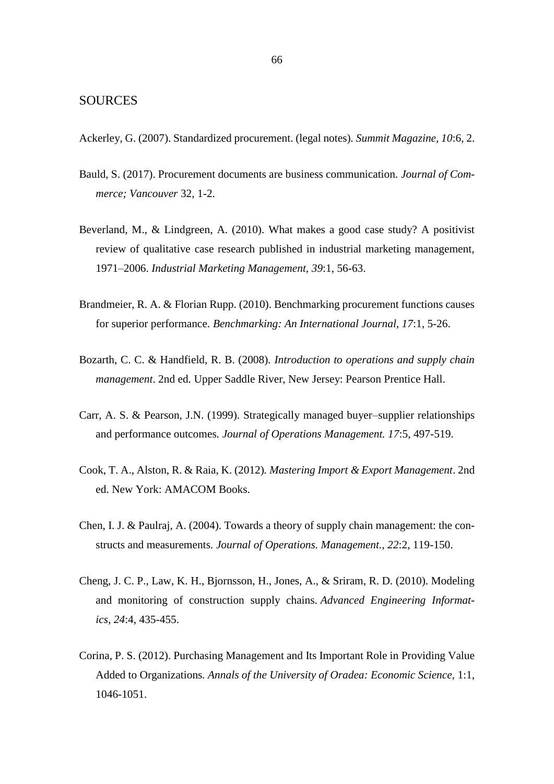# SOURCES

Ackerley, G. (2007). Standardized procurement. (legal notes)*. Summit Magazine, 10*:6, 2.

- Bauld, S. (2017). Procurement documents are business communication*. Journal of Commerce; Vancouver* 32, 1-2.
- Beverland, M., & Lindgreen, A. (2010). What makes a good case study? A positivist review of qualitative case research published in industrial marketing management, 1971–2006. *Industrial Marketing Management, 39*:1, 56-63.
- Brandmeier, R. A. & Florian Rupp. (2010). Benchmarking procurement functions causes for superior performance*. Benchmarking: An International Journal, 17*:1, 5-26.
- Bozarth, C. C. & Handfield, R. B. (2008)*. Introduction to operations and supply chain management*. 2nd ed. Upper Saddle River, New Jersey: Pearson Prentice Hall.
- Carr, A. S. & Pearson, J.N. (1999). Strategically managed buyer–supplier relationships and performance outcomes*. Journal of Operations Management. 17*:5, 497-519.
- Cook, T. A., Alston, R. & Raia, K. (2012)*. Mastering Import & Export Management*. 2nd ed. New York: AMACOM Books.
- Chen, I. J. & Paulraj, A. (2004). Towards a theory of supply chain management: the constructs and measurements*. Journal of Operations. Management., 22*:2, 119-150.
- Cheng, J. C. P., Law, K. H., Bjornsson, H., Jones, A., & Sriram, R. D. (2010). Modeling and monitoring of construction supply chains. *Advanced Engineering Informatics, 24*:4, 435-455.
- Corina, P. S. (2012). Purchasing Management and Its Important Role in Providing Value Added to Organizations*. Annals of the University of Oradea: Economic Science,* 1:1, 1046-1051.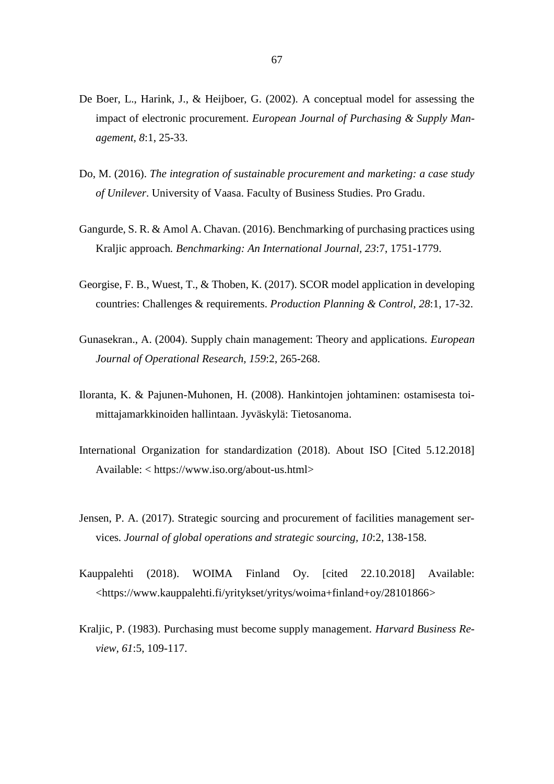- De Boer, L., Harink, J., & Heijboer, G. (2002). A conceptual model for assessing the impact of electronic procurement. *European Journal of Purchasing & Supply Management, 8*:1, 25-33.
- Do, M. (2016). *The integration of sustainable procurement and marketing: a case study of Unilever*. University of Vaasa. Faculty of Business Studies. Pro Gradu.
- Gangurde, S. R. & Amol A. Chavan. (2016). Benchmarking of purchasing practices using Kraljic approach*. Benchmarking: An International Journal, 23*:7, 1751-1779.
- Georgise, F. B., Wuest, T., & Thoben, K. (2017). SCOR model application in developing countries: Challenges & requirements. *Production Planning & Control, 28*:1, 17-32.
- Gunasekran., A. (2004). Supply chain management: Theory and applications*. European Journal of Operational Research, 159*:2, 265-268.
- Iloranta, K. & Pajunen-Muhonen, H. (2008). Hankintojen johtaminen: ostamisesta toimittajamarkkinoiden hallintaan. Jyväskylä: Tietosanoma.
- International Organization for standardization (2018). About ISO [Cited 5.12.2018] Available: < https://www.iso.org/about-us.html>
- Jensen, P. A. (2017). Strategic sourcing and procurement of facilities management services*. Journal of global operations and strategic sourcing, 10*:2, 138-158.
- Kauppalehti (2018). WOIMA Finland Oy. [cited 22.10.2018] Available: [<https://www.kauppalehti.fi/yritykset/yritys/woima+finland+oy/28101866>](https://www.kauppalehti.fi/yritykset/yritys/woima+finland+oy/28101866)
- Kraljic, P. (1983). Purchasing must become supply management*. Harvard Business Review, 61*:5, 109-117.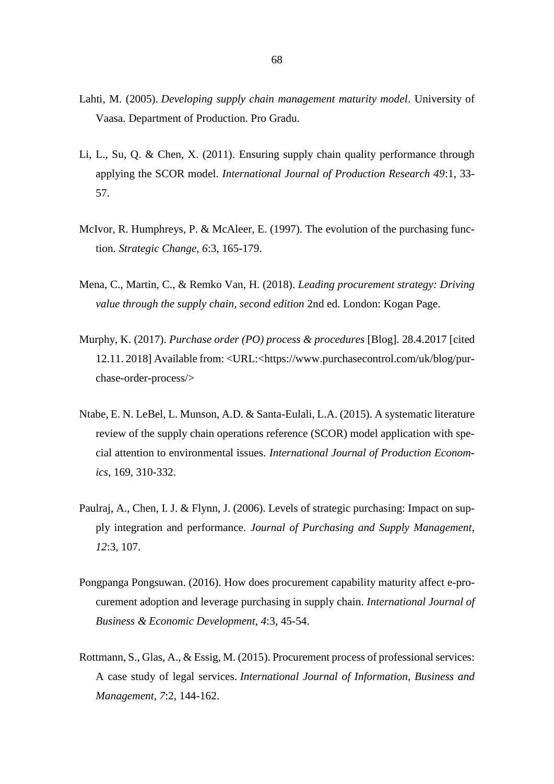- Lahti, M. (2005). *Developing supply chain management maturity model*. University of Vaasa. Department of Production. Pro Gradu.
- Li, L., Su, Q. & Chen, X. (2011). Ensuring supply chain quality performance through applying the SCOR model*. International Journal of Production Research 49*:1, 33- 57.
- McIvor, R. Humphreys, P. & McAleer, E. (1997). The evolution of the purchasing function*. Strategic Change, 6*:3, 165-179.
- Mena, C., Martin, C., & Remko Van, H. (2018). *Leading procurement strategy: Driving value through the supply chain, second edition* 2nd ed. London: Kogan Page.
- Murphy, K. (2017). *Purchase order (PO) process & procedures* [Blog]. 28.4.2017 [cited 12.11. 2018] Available from: <URL:[<https://www.purchasecontrol.com/uk/blog/pur](https://www.purchasecontrol.com/uk/blog/purchase-order-process/)[chase-order-process/>](https://www.purchasecontrol.com/uk/blog/purchase-order-process/)
- Ntabe, E. N. LeBel, L. Munson, A.D. & Santa-Eulali, L.A. (2015). A systematic literature review of the supply chain operations reference (SCOR) model application with special attention to environmental issues. *International Journal of Production Economics*, 169, 310-332.
- Paulraj, A., Chen, I. J. & Flynn, J. (2006). Levels of strategic purchasing: Impact on supply integration and performance. *Journal of Purchasing and Supply Management, 12*:3, 107.
- Pongpanga Pongsuwan. (2016). How does procurement capability maturity affect e-procurement adoption and leverage purchasing in supply chain. *International Journal of Business & Economic Development, 4*:3, 45-54.
- Rottmann, S., Glas, A., & Essig, M. (2015). Procurement process of professional services: A case study of legal services. *International Journal of Information, Business and Management, 7*:2, 144-162.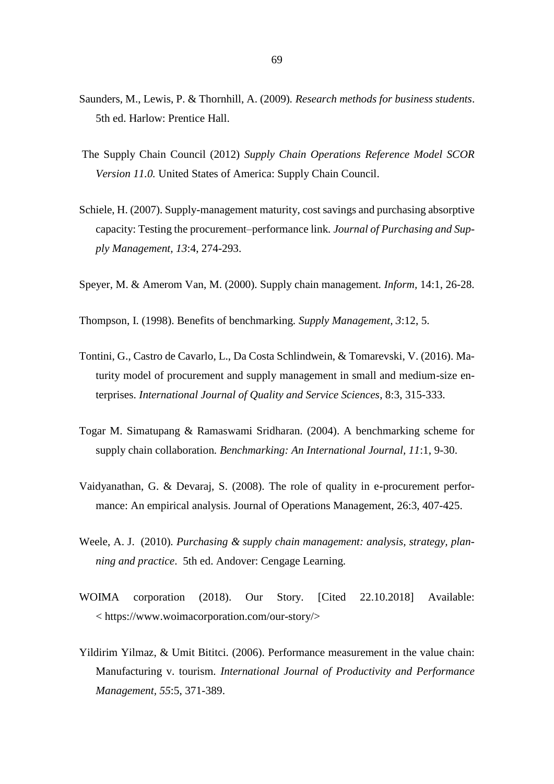- Saunders, M., Lewis, P. & Thornhill, A. (2009)*. Research methods for business students*. 5th ed. Harlow: Prentice Hall.
- The Supply Chain Council (2012) *Supply Chain Operations Reference Model SCOR Version 11.0.* United States of America: Supply Chain Council.
- Schiele, H. (2007). Supply-management maturity, cost savings and purchasing absorptive capacity: Testing the procurement–performance link*. Journal of Purchasing and Supply Management, 13*:4, 274-293.
- Speyer, M. & Amerom Van, M. (2000). Supply chain management*. Inform,* 14:1, 26-28.
- Thompson, I. (1998). Benefits of benchmarking*. Supply Management, 3*:12, 5.
- Tontini, G., Castro de Cavarlo, L., Da Costa Schlindwein, & Tomarevski, V. (2016). Maturity model of procurement and supply management in small and medium-size enterprises. *International Journal of Quality and Service Sciences*, 8:3, 315-333.
- Togar M. Simatupang & Ramaswami Sridharan. (2004). A benchmarking scheme for supply chain collaboration*. Benchmarking: An International Journal, 11*:1, 9-30.
- Vaidyanathan, G. & Devaraj, S. (2008). The role of quality in e-procurement performance: An empirical analysis. Journal of Operations Management, 26:3, 407-425.
- Weele, A. J. (2010)*. Purchasing & supply chain management: analysis, strategy, planning and practice*. 5th ed. Andover: Cengage Learning.
- WOIMA corporation (2018). Our Story. [Cited 22.10.2018] Available: < [https://www.woimacorporation.com/our-story/>](https://www.woimacorporation.com/our-story/)
- Yildirim Yilmaz, & Umit Bititci. (2006). Performance measurement in the value chain: Manufacturing v. tourism. *International Journal of Productivity and Performance Management, 55*:5, 371-389.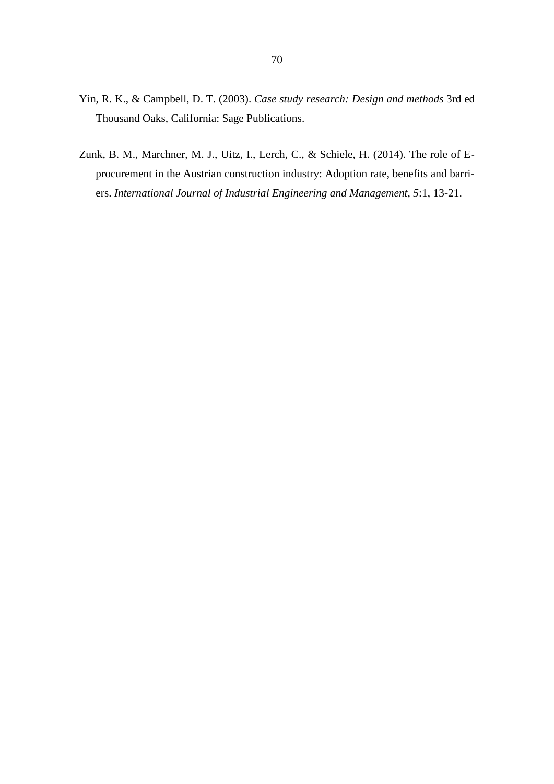- Yin, R. K., & Campbell, D. T. (2003). *Case study research: Design and methods* 3rd ed Thousand Oaks, California: Sage Publications.
- Zunk, B. M., Marchner, M. J., Uitz, I., Lerch, C., & Schiele, H. (2014). The role of Eprocurement in the Austrian construction industry: Adoption rate, benefits and barriers. *International Journal of Industrial Engineering and Management, 5*:1, 13-21.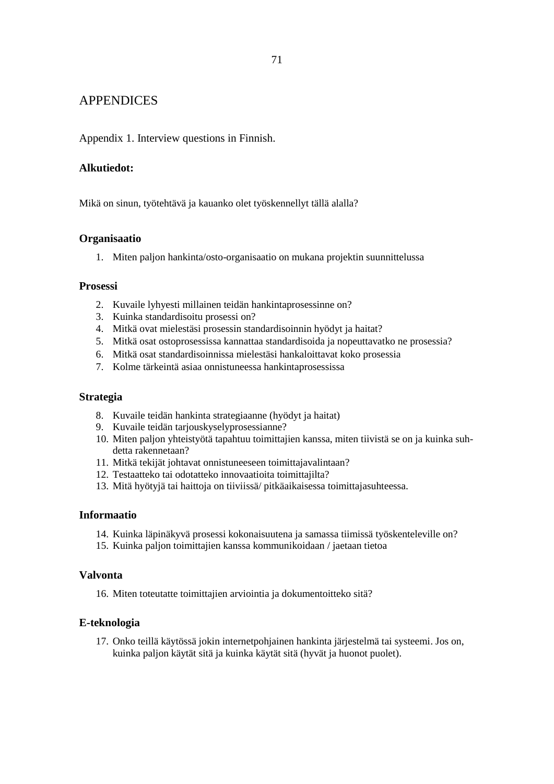# APPENDICES

Appendix 1. Interview questions in Finnish.

# **Alkutiedot:**

Mikä on sinun, työtehtävä ja kauanko olet työskennellyt tällä alalla?

### **Organisaatio**

1. Miten paljon hankinta/osto-organisaatio on mukana projektin suunnittelussa

### **Prosessi**

- 2. Kuvaile lyhyesti millainen teidän hankintaprosessinne on?
- 3. Kuinka standardisoitu prosessi on?
- 4. Mitkä ovat mielestäsi prosessin standardisoinnin hyödyt ja haitat?
- 5. Mitkä osat ostoprosessissa kannattaa standardisoida ja nopeuttavatko ne prosessia?
- 6. Mitkä osat standardisoinnissa mielestäsi hankaloittavat koko prosessia
- 7. Kolme tärkeintä asiaa onnistuneessa hankintaprosessissa

### **Strategia**

- 8. Kuvaile teidän hankinta strategiaanne (hyödyt ja haitat)
- 9. Kuvaile teidän tarjouskyselyprosessianne?
- 10. Miten paljon yhteistyötä tapahtuu toimittajien kanssa, miten tiivistä se on ja kuinka suhdetta rakennetaan?
- 11. Mitkä tekijät johtavat onnistuneeseen toimittajavalintaan?
- 12. Testaatteko tai odotatteko innovaatioita toimittajilta?
- 13. Mitä hyötyjä tai haittoja on tiiviissä/ pitkäaikaisessa toimittajasuhteessa.

# **Informaatio**

- 14. Kuinka läpinäkyvä prosessi kokonaisuutena ja samassa tiimissä työskenteleville on?
- 15. Kuinka paljon toimittajien kanssa kommunikoidaan / jaetaan tietoa

# **Valvonta**

16. Miten toteutatte toimittajien arviointia ja dokumentoitteko sitä?

# **E-teknologia**

17. Onko teillä käytössä jokin internetpohjainen hankinta järjestelmä tai systeemi. Jos on, kuinka paljon käytät sitä ja kuinka käytät sitä (hyvät ja huonot puolet).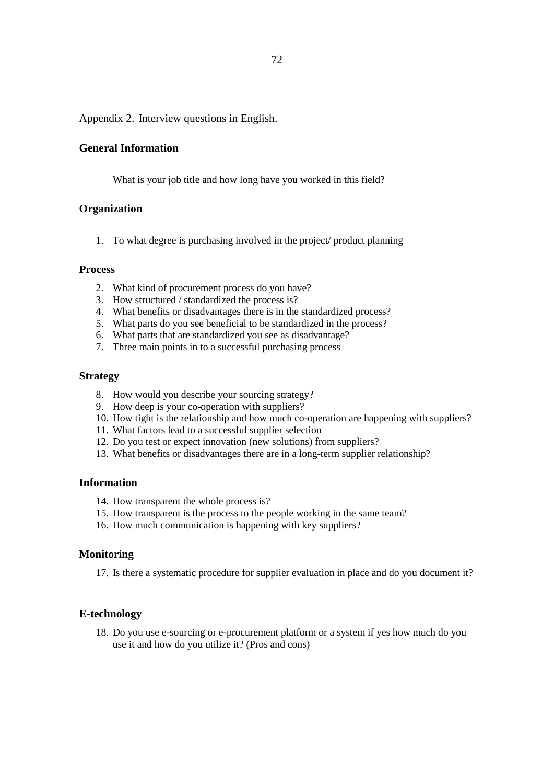Appendix 2. Interview questions in English.

## **General Information**

What is your job title and how long have you worked in this field?

### **Organization**

1. To what degree is purchasing involved in the project/ product planning

#### **Process**

- 2. What kind of procurement process do you have?
- 3. How structured / standardized the process is?
- 4. What benefits or disadvantages there is in the standardized process?
- 5. What parts do you see beneficial to be standardized in the process?
- 6. What parts that are standardized you see as disadvantage?
- 7. Three main points in to a successful purchasing process

### **Strategy**

- 8. How would you describe your sourcing strategy?
- 9. How deep is your co-operation with suppliers?
- 10. How tight is the relationship and how much co-operation are happening with suppliers?
- 11. What factors lead to a successful supplier selection
- 12. Do you test or expect innovation (new solutions) from suppliers?
- 13. What benefits or disadvantages there are in a long-term supplier relationship?

## **Information**

- 14. How transparent the whole process is?
- 15. How transparent is the process to the people working in the same team?
- 16. How much communication is happening with key suppliers?

## **Monitoring**

17. Is there a systematic procedure for supplier evaluation in place and do you document it?

# **E-technology**

18. Do you use e-sourcing or e-procurement platform or a system if yes how much do you use it and how do you utilize it? (Pros and cons)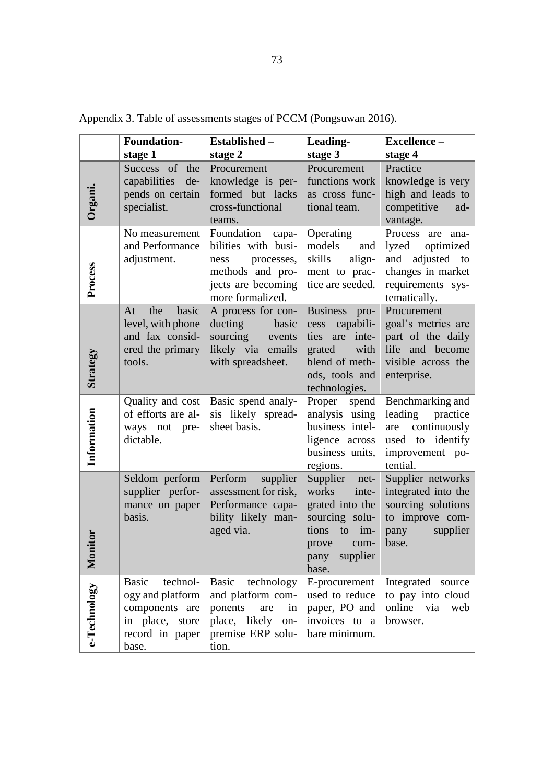|                         | <b>Foundation-</b><br>stage 1                                                                                 | Established -<br>stage 2                                                                                                       | Leading-<br>stage 3                                                                                                                         | Excellence-<br>stage 4                                                                                                    |
|-------------------------|---------------------------------------------------------------------------------------------------------------|--------------------------------------------------------------------------------------------------------------------------------|---------------------------------------------------------------------------------------------------------------------------------------------|---------------------------------------------------------------------------------------------------------------------------|
| Organi.                 | Success of the<br>capabilities<br>de-<br>pends on certain<br>specialist.                                      | Procurement<br>knowledge is per-<br>formed but lacks<br>cross-functional<br>teams.                                             | Procurement<br>functions work<br>as cross func-<br>tional team.                                                                             | Practice<br>knowledge is very<br>high and leads to<br>competitive<br>ad-<br>vantage.                                      |
| Process                 | No measurement<br>and Performance<br>adjustment.                                                              | Foundation<br>capa-<br>bilities with busi-<br>processes,<br>ness<br>methods and pro-<br>jects are becoming<br>more formalized. | Operating<br>models<br>and<br>skills<br>align-<br>ment to prac-<br>tice are seeded.                                                         | Process are<br>ana-<br>lyzed<br>optimized<br>adjusted to<br>and<br>changes in market<br>requirements sys-<br>tematically. |
| <b>Strategy</b>         | the<br>basic<br>At<br>level, with phone<br>and fax consid-<br>ered the primary<br>tools.                      | A process for con-<br>ducting<br>basic<br>sourcing<br>events<br>likely via<br>emails<br>with spreadsheet.                      | <b>Business</b><br>pro-<br>capabili-<br>cess<br>inte-<br>ties<br>are<br>with<br>grated<br>blend of meth-<br>ods, tools and<br>technologies. | Procurement<br>goal's metrics are<br>part of the daily<br>life and become<br>visible across the<br>enterprise.            |
| Information             | Quality and cost<br>of efforts are al-<br>ways not pre-<br>dictable.                                          | Basic spend analy-<br>sis likely spread-<br>sheet basis.                                                                       | Proper<br>spend<br>analysis using<br>business intel-<br>ligence across<br>business units,<br>regions.                                       | Benchmarking and<br>leading<br>practice<br>continuously<br>are<br>used to identify<br>improvement po-<br>tential.         |
| iitor<br>$\mathbf{Mou}$ | Seldom perform<br>supplier perfor-<br>mance on paper<br>basis.                                                | Perform<br>supplier<br>assessment for risk,<br>Performance capa-<br>bility likely man-<br>aged via.                            | Supplier<br>net-<br>works<br>inte-<br>grated into the<br>sourcing solu-<br>tions<br>to<br>im-<br>prove<br>com-<br>supplier<br>pany<br>base. | Supplier networks<br>integrated into the<br>sourcing solutions<br>to improve com-<br>supplier<br>pany<br>base.            |
| e-Technology            | technol-<br><b>Basic</b><br>ogy and platform<br>components are<br>in place, store<br>record in paper<br>base. | technology<br>Basic<br>and platform com-<br>ponents<br>in<br>are<br>place, likely<br>on-<br>premise ERP solu-<br>tion.         | E-procurement<br>used to reduce<br>paper, PO and<br>invoices to a<br>bare minimum.                                                          | Integrated source<br>to pay into cloud<br>online<br>via<br>web<br>browser.                                                |

Appendix 3. Table of assessments stages of PCCM (Pongsuwan 2016).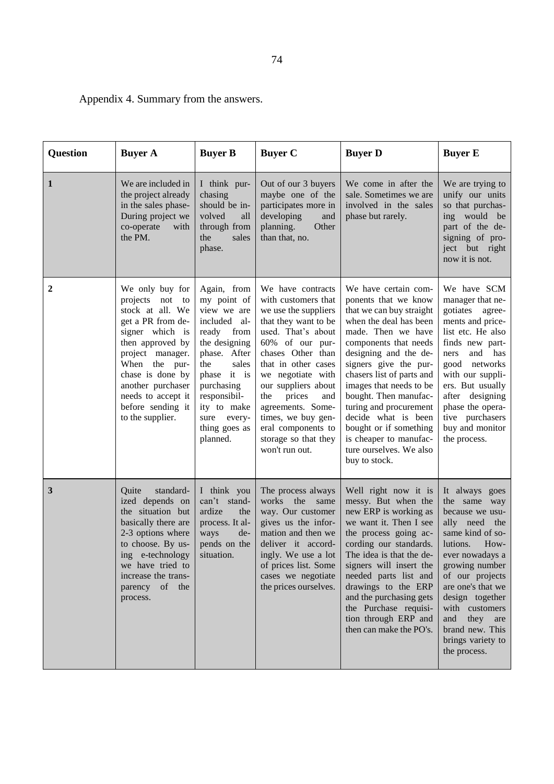74

Appendix 4. Summary from the answers.

| <b>Question</b> | <b>Buyer A</b>                                                                                                                                                                                                                                                  | <b>Buyer B</b>                                                                                                                                                                                                                   | <b>Buyer C</b>                                                                                                                                                                                                                                                                                                                                               | <b>Buyer D</b>                                                                                                                                                                                                                                                                                                                                                                                                                        | <b>Buyer E</b>                                                                                                                                                                                                                                                                                          |
|-----------------|-----------------------------------------------------------------------------------------------------------------------------------------------------------------------------------------------------------------------------------------------------------------|----------------------------------------------------------------------------------------------------------------------------------------------------------------------------------------------------------------------------------|--------------------------------------------------------------------------------------------------------------------------------------------------------------------------------------------------------------------------------------------------------------------------------------------------------------------------------------------------------------|---------------------------------------------------------------------------------------------------------------------------------------------------------------------------------------------------------------------------------------------------------------------------------------------------------------------------------------------------------------------------------------------------------------------------------------|---------------------------------------------------------------------------------------------------------------------------------------------------------------------------------------------------------------------------------------------------------------------------------------------------------|
| 1               | We are included in<br>the project already<br>in the sales phase-<br>During project we<br>co-operate<br>with<br>the PM.                                                                                                                                          | I think pur-<br>chasing<br>should be in-<br>volved<br>all<br>through from<br>the<br>sales<br>phase.                                                                                                                              | Out of our 3 buyers<br>maybe one of the<br>participates more in<br>developing<br>and<br>Other<br>planning.<br>than that, no.                                                                                                                                                                                                                                 | We come in after the<br>sale. Sometimes we are<br>involved in the sales<br>phase but rarely.                                                                                                                                                                                                                                                                                                                                          | We are trying to<br>unify our units<br>so that purchas-<br>ing would be<br>part of the de-<br>signing of pro-<br>ject but right<br>now it is not.                                                                                                                                                       |
| $\mathbf 2$     | We only buy for<br>projects not to<br>stock at all. We<br>get a PR from de-<br>signer which is<br>then approved by<br>project manager.<br>When the pur-<br>chase is done by<br>another purchaser<br>needs to accept it<br>before sending it<br>to the supplier. | Again, from<br>my point of<br>view we are<br>included al-<br>ready from<br>the designing<br>phase. After<br>the<br>sales<br>phase it is<br>purchasing<br>responsibil-<br>ity to make<br>sure every-<br>thing goes as<br>planned. | We have contracts<br>with customers that<br>we use the suppliers<br>that they want to be<br>used. That's about<br>60% of our pur-<br>chases Other than<br>that in other cases<br>we negotiate with<br>our suppliers about<br>prices<br>the<br>and<br>agreements. Some-<br>times, we buy gen-<br>eral components to<br>storage so that they<br>won't run out. | We have certain com-<br>ponents that we know<br>that we can buy straight<br>when the deal has been<br>made. Then we have<br>components that needs<br>designing and the de-<br>signers give the pur-<br>chasers list of parts and<br>images that needs to be<br>bought. Then manufac-<br>turing and procurement<br>decide what is been<br>bought or if something<br>is cheaper to manufac-<br>ture ourselves. We also<br>buy to stock. | We have SCM<br>manager that ne-<br>gotiates agree-<br>ments and price-<br>list etc. He also<br>finds new part-<br>and<br>has<br>ners<br>networks<br>good<br>with our suppli-<br>ers. But usually<br>after designing<br>phase the opera-<br>tive purchasers<br>buy and monitor<br>the process.           |
| 3               | Quite<br>standard-<br>ized depends on<br>the situation but<br>basically there are<br>2-3 options where<br>to choose. By us-<br>ing e-technology<br>we have tried to<br>increase the trans-<br>parency of the<br>process.                                        | I think you<br>can't stand-<br>ardize<br>the<br>process. It al-<br>ways<br>de-<br>pends on the<br>situation.                                                                                                                     | The process always<br>works<br>the<br>same<br>way. Our customer<br>gives us the infor-<br>mation and then we<br>deliver it accord-<br>ingly. We use a lot<br>of prices list. Some<br>cases we negotiate<br>the prices ourselves.                                                                                                                             | Well right now it is<br>messy. But when the<br>new ERP is working as<br>we want it. Then I see<br>the process going ac-<br>cording our standards.<br>The idea is that the de-<br>signers will insert the<br>needed parts list and<br>drawings to the ERP<br>and the purchasing gets<br>the Purchase requisi-<br>tion through ERP and<br>then can make the PO's.                                                                       | It always goes<br>the same way<br>because we usu-<br>ally need the<br>same kind of so-<br>lutions.<br>How-<br>ever nowadays a<br>growing number<br>of our projects<br>are one's that we<br>design together<br>with customers<br>they are<br>and<br>brand new. This<br>brings variety to<br>the process. |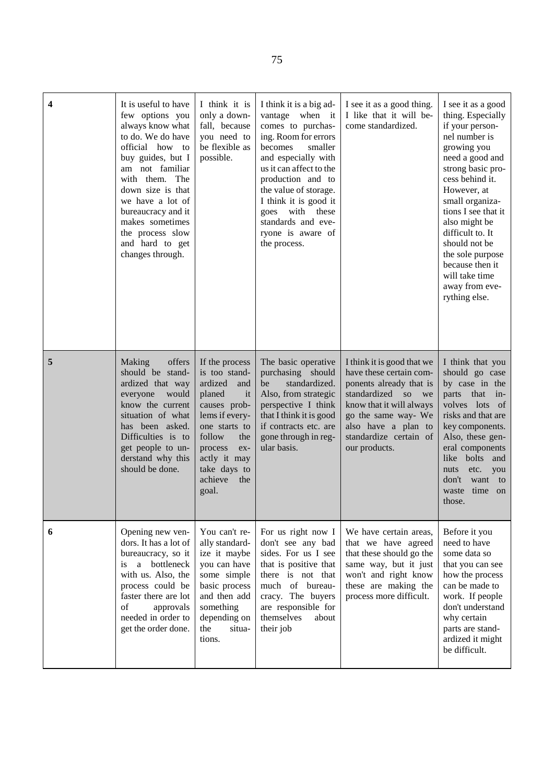| $\overline{\mathbf{4}}$ | It is useful to have<br>few options you<br>always know what<br>to do. We do have<br>official how to<br>buy guides, but I<br>am not familiar<br>with them. The<br>down size is that<br>we have a lot of<br>bureaucracy and it<br>makes sometimes<br>the process slow<br>and hard to get<br>changes through. | I think it is<br>only a down-<br>fall, because<br>you need to<br>be flexible as<br>possible.                                                                                                                       | I think it is a big ad-<br>vantage when it<br>comes to purchas-<br>ing. Room for errors<br>becomes<br>smaller<br>and especially with<br>us it can affect to the<br>production and to<br>the value of storage.<br>I think it is good it<br>goes with these<br>standards and eve-<br>ryone is aware of<br>the process. | I see it as a good thing.<br>I like that it will be-<br>come standardized.                                                                                                                                                     | I see it as a good<br>thing. Especially<br>if your person-<br>nel number is<br>growing you<br>need a good and<br>strong basic pro-<br>cess behind it.<br>However, at<br>small organiza-<br>tions I see that it<br>also might be<br>difficult to. It<br>should not be<br>the sole purpose<br>because then it<br>will take time<br>away from eve-<br>rything else. |
|-------------------------|------------------------------------------------------------------------------------------------------------------------------------------------------------------------------------------------------------------------------------------------------------------------------------------------------------|--------------------------------------------------------------------------------------------------------------------------------------------------------------------------------------------------------------------|----------------------------------------------------------------------------------------------------------------------------------------------------------------------------------------------------------------------------------------------------------------------------------------------------------------------|--------------------------------------------------------------------------------------------------------------------------------------------------------------------------------------------------------------------------------|------------------------------------------------------------------------------------------------------------------------------------------------------------------------------------------------------------------------------------------------------------------------------------------------------------------------------------------------------------------|
| 5                       | Making<br>offers<br>should be stand-<br>ardized that way<br>everyone<br>would<br>know the current<br>situation of what<br>has been asked.<br>Difficulties is to<br>get people to un-<br>derstand why this<br>should be done.                                                                               | If the process<br>is too stand-<br>ardized<br>and<br>planed<br>it<br>causes prob-<br>lems if every-<br>one starts to<br>follow<br>the<br>process<br>ex-<br>actly it may<br>take days to<br>achieve<br>the<br>goal. | The basic operative<br>purchasing should<br>standardized.<br>be<br>Also, from strategic<br>perspective I think<br>that I think it is good<br>if contracts etc. are<br>gone through in reg-<br>ular basis.                                                                                                            | I think it is good that we<br>have these certain com-<br>ponents already that is<br>standardized so<br>we<br>know that it will always<br>go the same way- We<br>also have a plan to<br>standardize certain of<br>our products. | I think that you<br>should go case<br>by case in the<br>parts<br>that<br>$in-$<br>volves lots of<br>risks and that are<br>key components.<br>Also, these gen-<br>eral components<br>like bolts<br>and<br>etc.<br>nuts<br>you<br>don't<br>want<br>to<br>time<br>waste<br>on<br>those.                                                                             |
| 6                       | Opening new ven-<br>dors. It has a lot of<br>bureaucracy, so it<br>a bottleneck<br>is<br>with us. Also, the<br>process could be<br>faster there are lot<br>of<br>approvals<br>needed in order to<br>get the order done.                                                                                    | You can't re-<br>ally standard-<br>ize it maybe<br>you can have<br>some simple<br>basic process<br>and then add<br>something<br>depending on<br>the<br>situa-<br>tions.                                            | For us right now I<br>don't see any bad<br>sides. For us I see<br>that is positive that<br>there is not that<br>much of bureau-<br>cracy. The buyers<br>are responsible for<br>themselves<br>about<br>their job                                                                                                      | We have certain areas,<br>that we have agreed<br>that these should go the<br>same way, but it just<br>won't and right know<br>these are making the<br>process more difficult.                                                  | Before it you<br>need to have<br>some data so<br>that you can see<br>how the process<br>can be made to<br>work. If people<br>don't understand<br>why certain<br>parts are stand-<br>ardized it might<br>be difficult.                                                                                                                                            |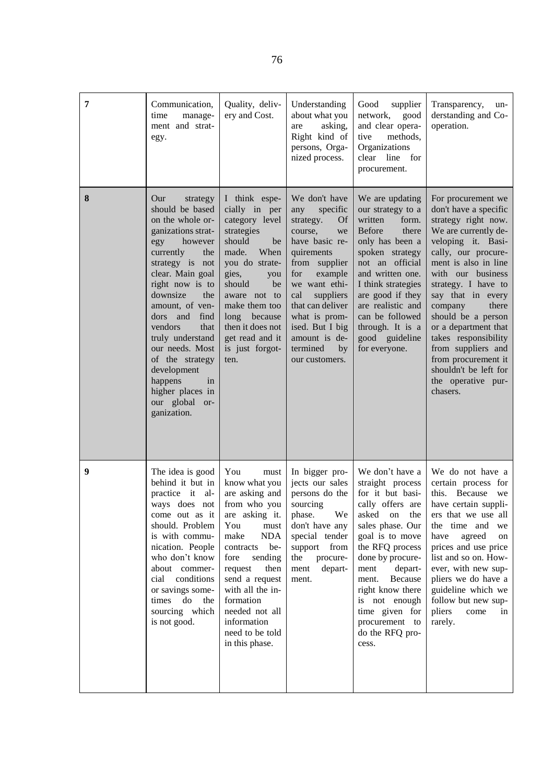| 7 | Communication,<br>manage-<br>time<br>ment and strat-<br>egy.                                                                                                                                                                                                                                                                                                                                                | Quality, deliv-<br>ery and Cost.                                                                                                                                                                                                                                                                                 | Understanding<br>about what you<br>asking,<br>are<br>Right kind of<br>persons, Orga-<br>nized process.                                                                                                                                                                                    | Good<br>supplier<br>network,<br>good<br>and clear opera-<br>methods,<br>tive<br>Organizations<br>line<br>clear<br>for<br>procurement.                                                                                                                                                                                    | Transparency,<br>un-<br>derstanding and Co-<br>operation.                                                                                                                                                                                                                                                                                                                                                                          |
|---|-------------------------------------------------------------------------------------------------------------------------------------------------------------------------------------------------------------------------------------------------------------------------------------------------------------------------------------------------------------------------------------------------------------|------------------------------------------------------------------------------------------------------------------------------------------------------------------------------------------------------------------------------------------------------------------------------------------------------------------|-------------------------------------------------------------------------------------------------------------------------------------------------------------------------------------------------------------------------------------------------------------------------------------------|--------------------------------------------------------------------------------------------------------------------------------------------------------------------------------------------------------------------------------------------------------------------------------------------------------------------------|------------------------------------------------------------------------------------------------------------------------------------------------------------------------------------------------------------------------------------------------------------------------------------------------------------------------------------------------------------------------------------------------------------------------------------|
| 8 | Our<br>strategy<br>should be based<br>on the whole or-<br>ganizations strat-<br>however<br>egy<br>currently<br>the<br>strategy is not<br>clear. Main goal<br>right now is to<br>downsize<br>the<br>amount, of ven-<br>and<br>find<br>dors<br>vendors<br>that<br>truly understand<br>our needs. Most<br>of the strategy<br>development<br>happens<br>in<br>higher places in<br>our global or-<br>ganization. | I think espe-<br>cially in per<br>category level<br>strategies<br>should<br>be<br>made.<br>When<br>you do strate-<br>gies,<br>you<br>should<br>be<br>aware not to<br>make them too<br>long<br>because<br>then it does not<br>get read and it<br>is just forgot-<br>ten.                                          | We don't have<br>specific<br>any<br>strategy.<br>Of<br>course,<br>we<br>have basic re-<br>quirements<br>from supplier<br>for<br>example<br>we want ethi-<br>cal<br>suppliers<br>that can deliver<br>what is prom-<br>ised. But I big<br>amount is de-<br>termined<br>by<br>our customers. | We are updating<br>our strategy to a<br>written<br>form.<br><b>Before</b><br>there<br>only has been a<br>spoken strategy<br>not an official<br>and written one.<br>I think strategies<br>are good if they<br>are realistic and<br>can be followed<br>through. It is a<br>good guideline<br>for everyone.                 | For procurement we<br>don't have a specific<br>strategy right now.<br>We are currently de-<br>veloping it. Basi-<br>cally, our procure-<br>ment is also in line<br>with our business<br>strategy. I have to<br>say that in every<br>company<br>there<br>should be a person<br>or a department that<br>takes responsibility<br>from suppliers and<br>from procurement it<br>shouldn't be left for<br>the operative pur-<br>chasers. |
| 9 | The idea is good<br>behind it but in<br>practice it<br>al-<br>ways does not<br>come out as it<br>should. Problem<br>is with commu-<br>nication. People<br>who don't know<br>about commer-<br>conditions<br>cial<br>or savings some-<br>do<br>times<br>the<br>sourcing which<br>is not good.                                                                                                                 | You<br>must<br>know what you<br>are asking and<br>from who you<br>are asking it.<br>You<br>${\rm must}$<br><b>NDA</b><br>make<br>be-<br>contracts<br>sending<br>fore<br>request<br>then<br>send a request<br>with all the in-<br>formation<br>needed not all<br>information<br>need to be told<br>in this phase. | In bigger pro-<br>jects our sales<br>persons do the<br>sourcing<br>We<br>phase.<br>don't have any<br>special tender<br>support from<br>procure-<br>the<br>depart-<br>ment<br>ment.                                                                                                        | We don't have a<br>straight process<br>for it but basi-<br>cally offers are<br>asked on<br>the<br>sales phase. Our<br>goal is to move<br>the RFQ process<br>done by procure-<br>ment<br>depart-<br>Because<br>ment.<br>right know there<br>is not enough<br>time given for<br>procurement to<br>do the RFQ pro-<br>cess. | We do not have a<br>certain process for<br>this.<br>Because<br>we<br>have certain suppli-<br>ers that we use all<br>the time and we<br>have<br>agreed<br>on<br>prices and use price<br>list and so on. How-<br>ever, with new sup-<br>pliers we do have a<br>guideline which we<br>follow but new sup-<br>pliers<br>come<br>in<br>rarely.                                                                                          |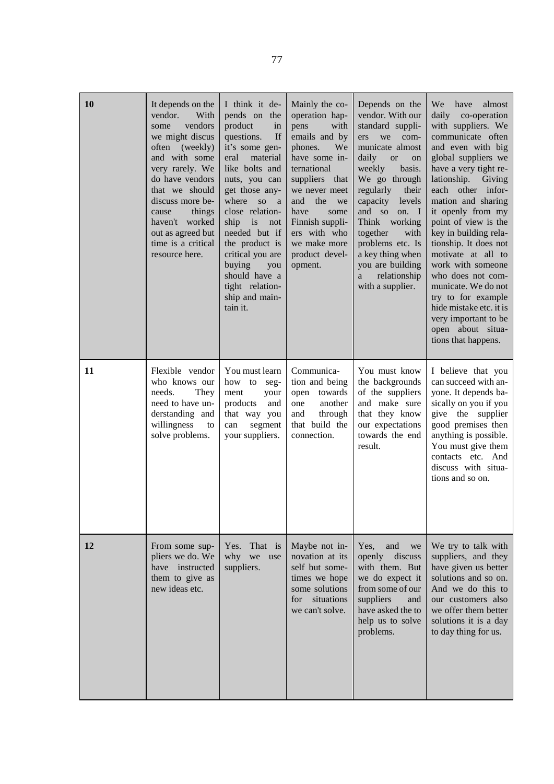| <b>10</b> | It depends on the<br>vendor.<br>With<br>vendors<br>some<br>we might discus<br>often<br>(weekly)<br>and with some<br>very rarely. We<br>do have vendors<br>that we should<br>discuss more be-<br>things<br>cause<br>haven't worked<br>out as agreed but<br>time is a critical<br>resource here. | I think it de-<br>pends on the<br>product<br>in<br>If<br>questions.<br>it's some gen-<br>eral<br>material<br>like bolts and<br>nuts, you can<br>get those any-<br>where so a<br>close relation-<br>ship is<br>not<br>needed but if<br>the product is<br>critical you are<br>buying<br>you<br>should have a<br>tight relation-<br>ship and main-<br>tain it. | Mainly the co-<br>operation hap-<br>pens<br>with<br>emails and by<br>phones.<br>We<br>have some in-<br>ternational<br>suppliers that<br>we never meet<br>the<br>and<br>we<br>have<br>some<br>Finnish suppli-<br>ers with who<br>we make more<br>product devel-<br>opment. | Depends on the<br>vendor. With our<br>standard suppli-<br>ers<br>we<br>com-<br>municate almost<br>daily<br><b>or</b><br>on<br>weekly<br>basis.<br>We go through<br>regularly<br>their<br>capacity<br>levels<br>and so<br>on. I<br>Think working<br>together<br>with<br>problems etc. Is<br>a key thing when<br>you are building<br>relationship<br>a<br>with a supplier. | almost<br>We<br>have<br>daily<br>co-operation<br>with suppliers. We<br>communicate often<br>and even with big<br>global suppliers we<br>have a very tight re-<br>lationship. Giving<br>each other infor-<br>mation and sharing<br>it openly from my<br>point of view is the<br>key in building rela-<br>tionship. It does not<br>motivate at all to<br>work with someone<br>who does not com-<br>municate. We do not<br>try to for example<br>hide mistake etc. it is<br>very important to be<br>open about situa-<br>tions that happens. |
|-----------|------------------------------------------------------------------------------------------------------------------------------------------------------------------------------------------------------------------------------------------------------------------------------------------------|-------------------------------------------------------------------------------------------------------------------------------------------------------------------------------------------------------------------------------------------------------------------------------------------------------------------------------------------------------------|---------------------------------------------------------------------------------------------------------------------------------------------------------------------------------------------------------------------------------------------------------------------------|--------------------------------------------------------------------------------------------------------------------------------------------------------------------------------------------------------------------------------------------------------------------------------------------------------------------------------------------------------------------------|-------------------------------------------------------------------------------------------------------------------------------------------------------------------------------------------------------------------------------------------------------------------------------------------------------------------------------------------------------------------------------------------------------------------------------------------------------------------------------------------------------------------------------------------|
| 11        | Flexible vendor<br>who knows our<br>needs.<br>They<br>need to have un-<br>derstanding and<br>willingness<br>to<br>solve problems.                                                                                                                                                              | You must learn<br>how to<br>seg-<br>ment<br>your<br>products<br>and<br>that way you<br>segment<br>can<br>your suppliers.                                                                                                                                                                                                                                    | Communica-<br>tion and being<br>open towards<br>another<br>one<br>through<br>and<br>that build the<br>connection.                                                                                                                                                         | You must know<br>the backgrounds<br>of the suppliers<br>and make sure<br>that they know<br>our expectations<br>towards the end<br>result.                                                                                                                                                                                                                                | I believe that you<br>can succeed with an-<br>yone. It depends ba-<br>sically on you if you<br>give the supplier<br>good premises then<br>anything is possible.<br>You must give them<br>contacts etc. And<br>discuss with situa-<br>tions and so on.                                                                                                                                                                                                                                                                                     |
| <b>12</b> | From some sup-<br>pliers we do. We<br>have instructed<br>them to give as<br>new ideas etc.                                                                                                                                                                                                     | That is<br>Yes.<br>why<br>we<br>use<br>suppliers.                                                                                                                                                                                                                                                                                                           | Maybe not in-<br>novation at its<br>self but some-<br>times we hope<br>some solutions<br>for<br>situations<br>we can't solve.                                                                                                                                             | Yes.<br>and<br>we<br>openly<br>discuss<br>with them. But<br>we do expect it<br>from some of our<br>suppliers<br>and<br>have asked the to<br>help us to solve<br>problems.                                                                                                                                                                                                | We try to talk with<br>suppliers, and they<br>have given us better<br>solutions and so on.<br>And we do this to<br>our customers also<br>we offer them better<br>solutions it is a day<br>to day thing for us.                                                                                                                                                                                                                                                                                                                            |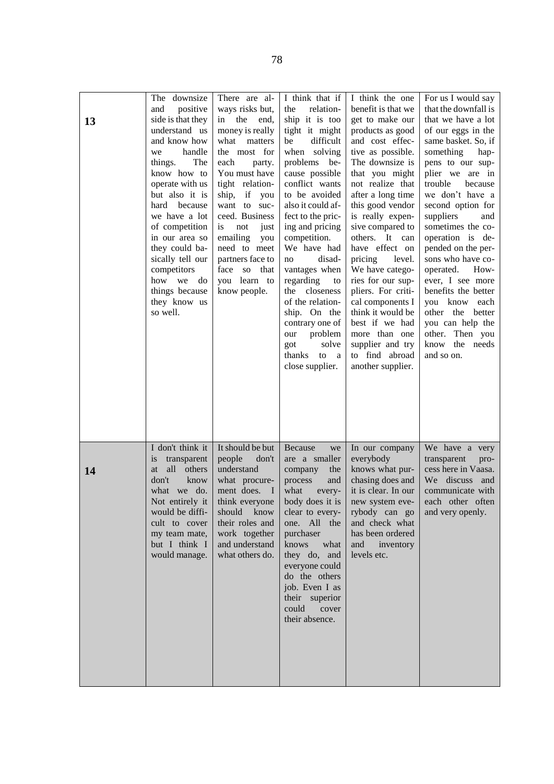| 13        | The downsize<br>positive<br>and<br>side is that they<br>understand us<br>and know how<br>handle<br>we<br>The<br>things.<br>know how to<br>operate with us<br>but also it is<br>hard<br>because<br>we have a lot<br>of competition<br>in our area so<br>they could ba-<br>sically tell our<br>competitors<br>how<br>we<br>do<br>things because<br>they know us<br>so well. | There are al-<br>ways risks but,<br>the<br>end,<br>in<br>money is really<br>what<br>matters<br>the most for<br>each<br>party.<br>You must have<br>tight relation-<br>if you<br>ship,<br>want to<br>suc-<br>ceed. Business<br>is.<br>not<br>just<br>emailing<br>you<br>need to meet<br>partners face to<br>face<br>that<br>SO.<br>learn to<br>you<br>know people. | I think that if<br>relation-<br>the<br>ship it is too<br>tight it might<br>difficult<br>be<br>when solving<br>problems be-<br>cause possible<br>conflict wants<br>to be avoided<br>also it could af-<br>fect to the pric-<br>ing and pricing<br>competition.<br>We have had<br>disad-<br>no<br>vantages when<br>regarding<br>to<br>the<br>closeness<br>of the relation-<br>ship. On the<br>contrary one of<br>problem<br>our<br>solve<br>got<br>thanks<br>to<br><sub>a</sub><br>close supplier. | I think the one<br>benefit is that we<br>get to make our<br>products as good<br>and cost effec-<br>tive as possible.<br>The downsize is<br>that you might<br>not realize that<br>after a long time<br>this good vendor<br>is really expen-<br>sive compared to<br>others. It<br>can<br>have effect on<br>pricing<br>level.<br>We have catego-<br>ries for our sup-<br>pliers. For criti-<br>cal components I<br>think it would be<br>best if we had<br>more than one<br>supplier and try<br>to find abroad<br>another supplier. | For us I would say<br>that the downfall is<br>that we have a lot<br>of our eggs in the<br>same basket. So, if<br>something<br>hap-<br>pens to our sup-<br>plier we are in<br>trouble<br>because<br>we don't have a<br>second option for<br>suppliers<br>and<br>sometimes the co-<br>operation is de-<br>pended on the per-<br>sons who have co-<br>operated.<br>How-<br>ever, I see more<br>benefits the better<br>you know each<br>other the better<br>you can help the<br>other. Then you<br>the needs<br>know<br>and so on. |
|-----------|---------------------------------------------------------------------------------------------------------------------------------------------------------------------------------------------------------------------------------------------------------------------------------------------------------------------------------------------------------------------------|------------------------------------------------------------------------------------------------------------------------------------------------------------------------------------------------------------------------------------------------------------------------------------------------------------------------------------------------------------------|-------------------------------------------------------------------------------------------------------------------------------------------------------------------------------------------------------------------------------------------------------------------------------------------------------------------------------------------------------------------------------------------------------------------------------------------------------------------------------------------------|---------------------------------------------------------------------------------------------------------------------------------------------------------------------------------------------------------------------------------------------------------------------------------------------------------------------------------------------------------------------------------------------------------------------------------------------------------------------------------------------------------------------------------|--------------------------------------------------------------------------------------------------------------------------------------------------------------------------------------------------------------------------------------------------------------------------------------------------------------------------------------------------------------------------------------------------------------------------------------------------------------------------------------------------------------------------------|
| <b>14</b> | I don't think it<br>transparent<br>is<br>all<br>others<br>at<br>don't<br>know<br>we do.<br>what<br>Not entirely it<br>would be diffi-<br>cult to cover<br>my team mate,<br>but I think I<br>would manage.                                                                                                                                                                 | It should be but<br>people<br>don't<br>understand<br>what procure-<br>ment does.<br>$\blacksquare$<br>think everyone<br>should<br>know<br>their roles and<br>work together<br>and understand<br>what others do.                                                                                                                                                  | Because<br>we<br>are a smaller<br>company<br>the<br>and<br>process<br>what<br>every-<br>body does it is<br>clear to every-<br>All the<br>one.<br>purchaser<br>what<br>knows<br>they do, and<br>everyone could<br>do the others<br>job. Even I as<br>their superior<br>could<br>cover<br>their absence.                                                                                                                                                                                          | In our company<br>everybody<br>knows what pur-<br>chasing does and<br>it is clear. In our<br>new system eve-<br>rybody can go<br>and check what<br>has been ordered<br>and<br>inventory<br>levels etc.                                                                                                                                                                                                                                                                                                                          | We have a very<br>transparent<br>pro-<br>cess here in Vaasa.<br>We discuss<br>and<br>communicate with<br>each other often<br>and very openly.                                                                                                                                                                                                                                                                                                                                                                                  |